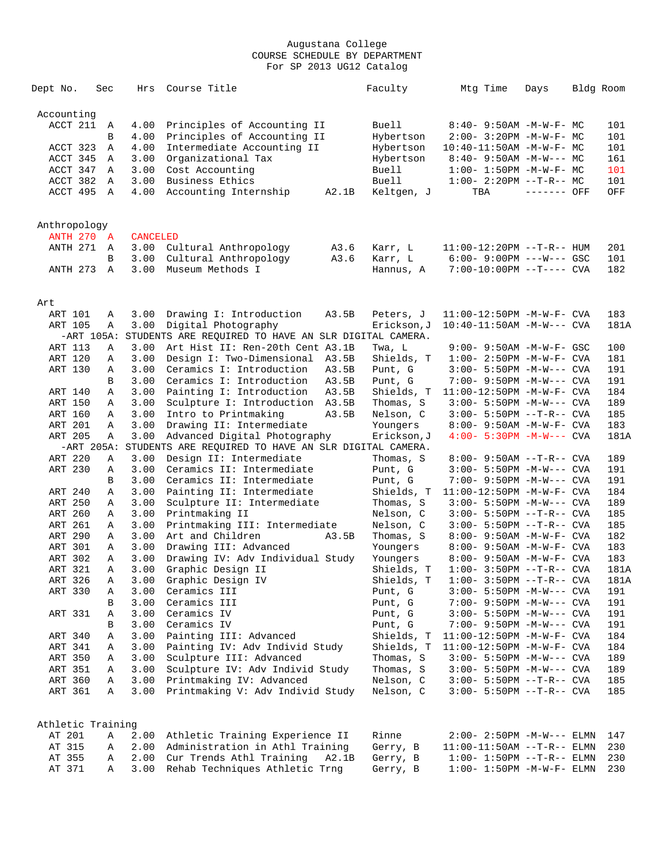| Accounting<br>ACCT 211<br>4.00<br>Principles of Accounting II<br>Buell<br>$8:40 - 9:50AM - M - W - F - MC$<br>101<br>A<br>Principles of Accounting II<br>101<br>B<br>4.00<br>Hybertson<br>$2:00 - 3:20PM -M-W-F - MC$<br>4.00<br>Intermediate Accounting II<br>101<br>ACCT 323<br>Hybertson<br>$10:40 - 11:50AM$ -M-W-F- MC<br>Α<br>ACCT 345<br>3.00<br>Organizational Tax<br>161<br>Hybertson<br>$8:40 - 9:50AM - M-W--- MC$<br>A<br>Cost Accounting<br>Buell<br>101<br>ACCT 347<br>3.00<br>$1:00 - 1:50PM - M - W - F - MC$<br>A<br>Business Ethics<br><b>Buell</b><br>ACCT 382<br>A<br>3.00<br>$1:00-2:20PM -T-R--MC$<br>101<br>ACCT 495 A<br>Accounting Internship<br>------- OFF<br>OFF<br>4.00<br>A2.1B<br>Keltgen, J<br>TBA<br>Anthropology<br><b>ANTH 270 A</b><br><b>CANCELED</b><br>ANTH 271<br>3.00<br>Cultural Anthropology<br>A3.6<br>Karr, L<br>$11:00-12:20PM -T-R--HUM$<br>201<br>A<br>Cultural Anthropology<br>101<br>3.00<br>A3.6<br>Karr, L<br>$6:00 - 9:00PM$ ---W--- GSC<br>В<br><b>ANTH 273</b><br>3.00<br>Museum Methods I<br>182<br>$\overline{A}$<br>Hannus, A<br>$7:00-10:00PM$ --T---- CVA<br>Art<br>ART 101<br>3.00<br>Drawing I: Introduction<br>A3.5B<br>Peters, J<br>$11:00-12:50PM -M-W-F-CVA$<br>183<br>Α<br>3.00<br>Digital Photography<br>10:40-11:50AM -M-W--- CVA<br>181A<br>ART 105<br>Α<br>Erickson, J<br>STUDENTS ARE REQUIRED TO HAVE AN SLR DIGITAL CAMERA.<br>$-ART$ 105A:<br>3.00<br>Art Hist II: Ren-20th Cent A3.1B<br>ART 113<br>Α<br>Twa, L<br>9:00- 9:50AM -M-W-F- GSC<br>100<br>ART 120<br>181<br>3.00<br>Design I: Two-Dimensional<br>A3.5B<br>Shields, T<br>$1:00 - 2:50PM -M-W-F - CVA$<br>Α<br>ART 130<br>3.00<br>Ceramics I: Introduction<br>Punt, G<br>191<br>A3.5B<br>3:00- 5:50PM -M-W--- CVA<br>Α<br>3.00<br>Ceramics I: Introduction<br>A3.5B<br>Punt, G<br>191<br>В<br>7:00- 9:50PM -M-W--- CVA<br>3.00<br>Painting I: Introduction<br>A3.5B<br>Shields, T<br>184<br>ART 140<br>11:00-12:50PM -M-W-F- CVA<br>Α<br>Sculpture I: Introduction<br>ART 150<br>3.00<br>A3.5B<br>Thomas, S<br>$3:00 - 5:50PM -M-W---$ CVA<br>189<br>Α<br>3.00<br>185<br>ART 160<br>Intro to Printmaking<br>A3.5B<br>Nelson, C<br>$3:00 - 5:50PM -T-R--CVA$<br>Α<br><b>ART 201</b><br>3.00<br>Drawing II: Intermediate<br>183<br>Youngers<br>8:00- 9:50AM -M-W-F- CVA<br>Α<br>ART 205<br>Advanced Digital Photography<br>$4:00 - 5:30PM -M-W---$ CVA<br>181A<br>Α<br>3.00<br>Erickson,J<br>STUDENTS ARE REQUIRED TO HAVE AN SLR DIGITAL CAMERA.<br>$-ART 205A:$<br>ART 220<br>3.00<br>Design II: Intermediate<br>Α<br>Thomas, S<br>$8:00 - 9:50AM -T-R--CVA$<br>189<br>ART 230<br>3.00<br>Ceramics II: Intermediate<br>191<br>Α<br>Punt, G<br>$3:00 - 5:50PM -M-W---$ CVA<br>3.00<br>Ceramics II: Intermediate<br>191<br>Punt, G<br>7:00- 9:50PM -M-W--- CVA<br>В<br>3.00<br>Painting II: Intermediate<br>Shields, T<br>184<br>ART 240<br>$11:00-12:50PM -M-W-F-CVA$<br>Α<br>ART 250<br>3.00<br>Sculpture II: Intermediate<br>189<br>Thomas, S<br>$3:00 - 5:50PM -M-W---$ CVA<br>Α<br>ART 260<br>Printmaking II<br>3.00<br>Nelson, C<br>$3:00 - 5:50PM -T-R--CVA$<br>185<br>Α<br>ART 261<br>Printmaking III: Intermediate<br>Nelson, C<br>185<br>3.00<br>Α<br>$3:00 - 5:50PM -T-R--CVA$<br>ART 290<br>3.00<br>Art and Children<br>182<br>A3.5B<br>Thomas, S<br>Α<br>8:00- 9:50AM -M-W-F- CVA<br><b>ART 301</b><br>Drawing III: Advanced<br>183<br>3.00<br>Youngers<br>8:00- 9:50AM -M-W-F- CVA<br>Α<br>ART 302<br>3.00<br>Drawing IV: Adv Individual Study<br>183<br>Α<br>Youngers<br>8:00- 9:50AM -M-W-F- CVA<br>ART 321<br>181A<br>3.00 Graphic Design II<br>Shields, T<br>$1:00-3:50PM --T-R--CVA$<br>$\mathbf{A}$<br>3.00 Graphic Design IV<br>Shields, T<br>ART 326<br>$1:00-3:50PM -T-R--CVA$<br>181A<br>Α<br>3.00 Ceramics III<br>ART 330<br>Punt, G<br>191<br>Α<br>$3:00 - 5:50PM -M-W---$ CVA<br>3.00<br>Ceramics III<br>Punt, G<br>191<br>В<br>7:00- 9:50PM -M-W--- CVA<br>ART 331<br>3.00<br>Ceramics IV<br>Α<br>Punt, G<br>$3:00 - 5:50PM -M-W---$ CVA<br>191<br>Ceramics IV<br>3.00<br>Punt, G<br>7:00- 9:50PM -M-W--- CVA<br>191<br>В<br>Painting III: Advanced<br>184<br>ART 340<br>3.00<br>Shields, T<br>Α<br>$11:00-12:50PM -M-W-F-CVA$<br>Painting IV: Adv Individ Study<br>ART 341<br>3.00<br>Shields, T<br>184<br>11:00-12:50PM -M-W-F- CVA<br>Α<br>Sculpture III: Advanced<br>ART 350<br>3.00<br>Thomas, S<br>189<br>$3:00 - 5:50PM -M-W---$ CVA<br>Α<br>ART 351<br>3.00<br>Sculpture IV: Adv Individ Study<br>Thomas, S<br>189<br>$3:00 - 5:50PM -M-W---$ CVA<br>Α<br>ART 360<br>3.00 Printmaking IV: Advanced<br>Nelson, C<br>Α<br>$3:00 - 5:50PM -T-R--CVA$<br>185<br>Printmaking V: Adv Individ Study<br>ART 361<br>3.00<br>Nelson, C<br>$3:00 - 5:50PM -T-R--CVA$<br>185<br>Α<br>Athletic Training<br>Rinne<br>AT 201<br>Α<br>2.00 Athletic Training Experience II<br>$2:00 - 2:50PM -M-W---$ ELMN<br>147<br>2.00 Administration in Athl Training<br>Gerry, B<br>AT 315<br>230<br>Α<br>$11:00-11:50AM$ --T-R-- ELMN<br>2.00 Cur Trends Athl Training A2.1B<br>AT 355<br>Gerry, B<br>230<br>Α<br>$1:00 - 1:50PM -T-R-- ELMN$<br>3.00 Rehab Techniques Athletic Trng<br>AT 371<br>Gerry, B<br>$1:00-1:50PM -M-W-F-ELMN$<br>230<br>Α | Dept No. | Sec | Hrs | Course Title | Faculty | Mtg Time | Days | Bldg Room |
|---------------------------------------------------------------------------------------------------------------------------------------------------------------------------------------------------------------------------------------------------------------------------------------------------------------------------------------------------------------------------------------------------------------------------------------------------------------------------------------------------------------------------------------------------------------------------------------------------------------------------------------------------------------------------------------------------------------------------------------------------------------------------------------------------------------------------------------------------------------------------------------------------------------------------------------------------------------------------------------------------------------------------------------------------------------------------------------------------------------------------------------------------------------------------------------------------------------------------------------------------------------------------------------------------------------------------------------------------------------------------------------------------------------------------------------------------------------------------------------------------------------------------------------------------------------------------------------------------------------------------------------------------------------------------------------------------------------------------------------------------------------------------------------------------------------------------------------------------------------------------------------------------------------------------------------------------------------------------------------------------------------------------------------------------------------------------------------------------------------------------------------------------------------------------------------------------------------------------------------------------------------------------------------------------------------------------------------------------------------------------------------------------------------------------------------------------------------------------------------------------------------------------------------------------------------------------------------------------------------------------------------------------------------------------------------------------------------------------------------------------------------------------------------------------------------------------------------------------------------------------------------------------------------------------------------------------------------------------------------------------------------------------------------------------------------------------------------------------------------------------------------------------------------------------------------------------------------------------------------------------------------------------------------------------------------------------------------------------------------------------------------------------------------------------------------------------------------------------------------------------------------------------------------------------------------------------------------------------------------------------------------------------------------------------------------------------------------------------------------------------------------------------------------------------------------------------------------------------------------------------------------------------------------------------------------------------------------------------------------------------------------------------------------------------------------------------------------------------------------------------------------------------------------------------------------------------------------------------------------------------------------------------------------------------------------------------------------------------------------------------------------------------------------------------------------------------------------------------------------------------------------------------------------------------------------------------------------------------------------------------------------------------------------------------------------------------------------------------------------------------------------------------------------------------------------------------------------------------------------------------------------------------------------------------------------------------------------------------------------------------------------------------------------------------------------------------------------------------------------------------------------------------------------------------------------------------|----------|-----|-----|--------------|---------|----------|------|-----------|
|                                                                                                                                                                                                                                                                                                                                                                                                                                                                                                                                                                                                                                                                                                                                                                                                                                                                                                                                                                                                                                                                                                                                                                                                                                                                                                                                                                                                                                                                                                                                                                                                                                                                                                                                                                                                                                                                                                                                                                                                                                                                                                                                                                                                                                                                                                                                                                                                                                                                                                                                                                                                                                                                                                                                                                                                                                                                                                                                                                                                                                                                                                                                                                                                                                                                                                                                                                                                                                                                                                                                                                                                                                                                                                                                                                                                                                                                                                                                                                                                                                                                                                                                                                                                                                                                                                                                                                                                                                                                                                                                                                                                                                                                                                                                                                                                                                                                                                                                                                                                                                                                                                                                                                                                   |          |     |     |              |         |          |      |           |
|                                                                                                                                                                                                                                                                                                                                                                                                                                                                                                                                                                                                                                                                                                                                                                                                                                                                                                                                                                                                                                                                                                                                                                                                                                                                                                                                                                                                                                                                                                                                                                                                                                                                                                                                                                                                                                                                                                                                                                                                                                                                                                                                                                                                                                                                                                                                                                                                                                                                                                                                                                                                                                                                                                                                                                                                                                                                                                                                                                                                                                                                                                                                                                                                                                                                                                                                                                                                                                                                                                                                                                                                                                                                                                                                                                                                                                                                                                                                                                                                                                                                                                                                                                                                                                                                                                                                                                                                                                                                                                                                                                                                                                                                                                                                                                                                                                                                                                                                                                                                                                                                                                                                                                                                   |          |     |     |              |         |          |      |           |
|                                                                                                                                                                                                                                                                                                                                                                                                                                                                                                                                                                                                                                                                                                                                                                                                                                                                                                                                                                                                                                                                                                                                                                                                                                                                                                                                                                                                                                                                                                                                                                                                                                                                                                                                                                                                                                                                                                                                                                                                                                                                                                                                                                                                                                                                                                                                                                                                                                                                                                                                                                                                                                                                                                                                                                                                                                                                                                                                                                                                                                                                                                                                                                                                                                                                                                                                                                                                                                                                                                                                                                                                                                                                                                                                                                                                                                                                                                                                                                                                                                                                                                                                                                                                                                                                                                                                                                                                                                                                                                                                                                                                                                                                                                                                                                                                                                                                                                                                                                                                                                                                                                                                                                                                   |          |     |     |              |         |          |      |           |
|                                                                                                                                                                                                                                                                                                                                                                                                                                                                                                                                                                                                                                                                                                                                                                                                                                                                                                                                                                                                                                                                                                                                                                                                                                                                                                                                                                                                                                                                                                                                                                                                                                                                                                                                                                                                                                                                                                                                                                                                                                                                                                                                                                                                                                                                                                                                                                                                                                                                                                                                                                                                                                                                                                                                                                                                                                                                                                                                                                                                                                                                                                                                                                                                                                                                                                                                                                                                                                                                                                                                                                                                                                                                                                                                                                                                                                                                                                                                                                                                                                                                                                                                                                                                                                                                                                                                                                                                                                                                                                                                                                                                                                                                                                                                                                                                                                                                                                                                                                                                                                                                                                                                                                                                   |          |     |     |              |         |          |      |           |
|                                                                                                                                                                                                                                                                                                                                                                                                                                                                                                                                                                                                                                                                                                                                                                                                                                                                                                                                                                                                                                                                                                                                                                                                                                                                                                                                                                                                                                                                                                                                                                                                                                                                                                                                                                                                                                                                                                                                                                                                                                                                                                                                                                                                                                                                                                                                                                                                                                                                                                                                                                                                                                                                                                                                                                                                                                                                                                                                                                                                                                                                                                                                                                                                                                                                                                                                                                                                                                                                                                                                                                                                                                                                                                                                                                                                                                                                                                                                                                                                                                                                                                                                                                                                                                                                                                                                                                                                                                                                                                                                                                                                                                                                                                                                                                                                                                                                                                                                                                                                                                                                                                                                                                                                   |          |     |     |              |         |          |      |           |
|                                                                                                                                                                                                                                                                                                                                                                                                                                                                                                                                                                                                                                                                                                                                                                                                                                                                                                                                                                                                                                                                                                                                                                                                                                                                                                                                                                                                                                                                                                                                                                                                                                                                                                                                                                                                                                                                                                                                                                                                                                                                                                                                                                                                                                                                                                                                                                                                                                                                                                                                                                                                                                                                                                                                                                                                                                                                                                                                                                                                                                                                                                                                                                                                                                                                                                                                                                                                                                                                                                                                                                                                                                                                                                                                                                                                                                                                                                                                                                                                                                                                                                                                                                                                                                                                                                                                                                                                                                                                                                                                                                                                                                                                                                                                                                                                                                                                                                                                                                                                                                                                                                                                                                                                   |          |     |     |              |         |          |      |           |
|                                                                                                                                                                                                                                                                                                                                                                                                                                                                                                                                                                                                                                                                                                                                                                                                                                                                                                                                                                                                                                                                                                                                                                                                                                                                                                                                                                                                                                                                                                                                                                                                                                                                                                                                                                                                                                                                                                                                                                                                                                                                                                                                                                                                                                                                                                                                                                                                                                                                                                                                                                                                                                                                                                                                                                                                                                                                                                                                                                                                                                                                                                                                                                                                                                                                                                                                                                                                                                                                                                                                                                                                                                                                                                                                                                                                                                                                                                                                                                                                                                                                                                                                                                                                                                                                                                                                                                                                                                                                                                                                                                                                                                                                                                                                                                                                                                                                                                                                                                                                                                                                                                                                                                                                   |          |     |     |              |         |          |      |           |
|                                                                                                                                                                                                                                                                                                                                                                                                                                                                                                                                                                                                                                                                                                                                                                                                                                                                                                                                                                                                                                                                                                                                                                                                                                                                                                                                                                                                                                                                                                                                                                                                                                                                                                                                                                                                                                                                                                                                                                                                                                                                                                                                                                                                                                                                                                                                                                                                                                                                                                                                                                                                                                                                                                                                                                                                                                                                                                                                                                                                                                                                                                                                                                                                                                                                                                                                                                                                                                                                                                                                                                                                                                                                                                                                                                                                                                                                                                                                                                                                                                                                                                                                                                                                                                                                                                                                                                                                                                                                                                                                                                                                                                                                                                                                                                                                                                                                                                                                                                                                                                                                                                                                                                                                   |          |     |     |              |         |          |      |           |
|                                                                                                                                                                                                                                                                                                                                                                                                                                                                                                                                                                                                                                                                                                                                                                                                                                                                                                                                                                                                                                                                                                                                                                                                                                                                                                                                                                                                                                                                                                                                                                                                                                                                                                                                                                                                                                                                                                                                                                                                                                                                                                                                                                                                                                                                                                                                                                                                                                                                                                                                                                                                                                                                                                                                                                                                                                                                                                                                                                                                                                                                                                                                                                                                                                                                                                                                                                                                                                                                                                                                                                                                                                                                                                                                                                                                                                                                                                                                                                                                                                                                                                                                                                                                                                                                                                                                                                                                                                                                                                                                                                                                                                                                                                                                                                                                                                                                                                                                                                                                                                                                                                                                                                                                   |          |     |     |              |         |          |      |           |
|                                                                                                                                                                                                                                                                                                                                                                                                                                                                                                                                                                                                                                                                                                                                                                                                                                                                                                                                                                                                                                                                                                                                                                                                                                                                                                                                                                                                                                                                                                                                                                                                                                                                                                                                                                                                                                                                                                                                                                                                                                                                                                                                                                                                                                                                                                                                                                                                                                                                                                                                                                                                                                                                                                                                                                                                                                                                                                                                                                                                                                                                                                                                                                                                                                                                                                                                                                                                                                                                                                                                                                                                                                                                                                                                                                                                                                                                                                                                                                                                                                                                                                                                                                                                                                                                                                                                                                                                                                                                                                                                                                                                                                                                                                                                                                                                                                                                                                                                                                                                                                                                                                                                                                                                   |          |     |     |              |         |          |      |           |
|                                                                                                                                                                                                                                                                                                                                                                                                                                                                                                                                                                                                                                                                                                                                                                                                                                                                                                                                                                                                                                                                                                                                                                                                                                                                                                                                                                                                                                                                                                                                                                                                                                                                                                                                                                                                                                                                                                                                                                                                                                                                                                                                                                                                                                                                                                                                                                                                                                                                                                                                                                                                                                                                                                                                                                                                                                                                                                                                                                                                                                                                                                                                                                                                                                                                                                                                                                                                                                                                                                                                                                                                                                                                                                                                                                                                                                                                                                                                                                                                                                                                                                                                                                                                                                                                                                                                                                                                                                                                                                                                                                                                                                                                                                                                                                                                                                                                                                                                                                                                                                                                                                                                                                                                   |          |     |     |              |         |          |      |           |
|                                                                                                                                                                                                                                                                                                                                                                                                                                                                                                                                                                                                                                                                                                                                                                                                                                                                                                                                                                                                                                                                                                                                                                                                                                                                                                                                                                                                                                                                                                                                                                                                                                                                                                                                                                                                                                                                                                                                                                                                                                                                                                                                                                                                                                                                                                                                                                                                                                                                                                                                                                                                                                                                                                                                                                                                                                                                                                                                                                                                                                                                                                                                                                                                                                                                                                                                                                                                                                                                                                                                                                                                                                                                                                                                                                                                                                                                                                                                                                                                                                                                                                                                                                                                                                                                                                                                                                                                                                                                                                                                                                                                                                                                                                                                                                                                                                                                                                                                                                                                                                                                                                                                                                                                   |          |     |     |              |         |          |      |           |
|                                                                                                                                                                                                                                                                                                                                                                                                                                                                                                                                                                                                                                                                                                                                                                                                                                                                                                                                                                                                                                                                                                                                                                                                                                                                                                                                                                                                                                                                                                                                                                                                                                                                                                                                                                                                                                                                                                                                                                                                                                                                                                                                                                                                                                                                                                                                                                                                                                                                                                                                                                                                                                                                                                                                                                                                                                                                                                                                                                                                                                                                                                                                                                                                                                                                                                                                                                                                                                                                                                                                                                                                                                                                                                                                                                                                                                                                                                                                                                                                                                                                                                                                                                                                                                                                                                                                                                                                                                                                                                                                                                                                                                                                                                                                                                                                                                                                                                                                                                                                                                                                                                                                                                                                   |          |     |     |              |         |          |      |           |
|                                                                                                                                                                                                                                                                                                                                                                                                                                                                                                                                                                                                                                                                                                                                                                                                                                                                                                                                                                                                                                                                                                                                                                                                                                                                                                                                                                                                                                                                                                                                                                                                                                                                                                                                                                                                                                                                                                                                                                                                                                                                                                                                                                                                                                                                                                                                                                                                                                                                                                                                                                                                                                                                                                                                                                                                                                                                                                                                                                                                                                                                                                                                                                                                                                                                                                                                                                                                                                                                                                                                                                                                                                                                                                                                                                                                                                                                                                                                                                                                                                                                                                                                                                                                                                                                                                                                                                                                                                                                                                                                                                                                                                                                                                                                                                                                                                                                                                                                                                                                                                                                                                                                                                                                   |          |     |     |              |         |          |      |           |
|                                                                                                                                                                                                                                                                                                                                                                                                                                                                                                                                                                                                                                                                                                                                                                                                                                                                                                                                                                                                                                                                                                                                                                                                                                                                                                                                                                                                                                                                                                                                                                                                                                                                                                                                                                                                                                                                                                                                                                                                                                                                                                                                                                                                                                                                                                                                                                                                                                                                                                                                                                                                                                                                                                                                                                                                                                                                                                                                                                                                                                                                                                                                                                                                                                                                                                                                                                                                                                                                                                                                                                                                                                                                                                                                                                                                                                                                                                                                                                                                                                                                                                                                                                                                                                                                                                                                                                                                                                                                                                                                                                                                                                                                                                                                                                                                                                                                                                                                                                                                                                                                                                                                                                                                   |          |     |     |              |         |          |      |           |
|                                                                                                                                                                                                                                                                                                                                                                                                                                                                                                                                                                                                                                                                                                                                                                                                                                                                                                                                                                                                                                                                                                                                                                                                                                                                                                                                                                                                                                                                                                                                                                                                                                                                                                                                                                                                                                                                                                                                                                                                                                                                                                                                                                                                                                                                                                                                                                                                                                                                                                                                                                                                                                                                                                                                                                                                                                                                                                                                                                                                                                                                                                                                                                                                                                                                                                                                                                                                                                                                                                                                                                                                                                                                                                                                                                                                                                                                                                                                                                                                                                                                                                                                                                                                                                                                                                                                                                                                                                                                                                                                                                                                                                                                                                                                                                                                                                                                                                                                                                                                                                                                                                                                                                                                   |          |     |     |              |         |          |      |           |
|                                                                                                                                                                                                                                                                                                                                                                                                                                                                                                                                                                                                                                                                                                                                                                                                                                                                                                                                                                                                                                                                                                                                                                                                                                                                                                                                                                                                                                                                                                                                                                                                                                                                                                                                                                                                                                                                                                                                                                                                                                                                                                                                                                                                                                                                                                                                                                                                                                                                                                                                                                                                                                                                                                                                                                                                                                                                                                                                                                                                                                                                                                                                                                                                                                                                                                                                                                                                                                                                                                                                                                                                                                                                                                                                                                                                                                                                                                                                                                                                                                                                                                                                                                                                                                                                                                                                                                                                                                                                                                                                                                                                                                                                                                                                                                                                                                                                                                                                                                                                                                                                                                                                                                                                   |          |     |     |              |         |          |      |           |
|                                                                                                                                                                                                                                                                                                                                                                                                                                                                                                                                                                                                                                                                                                                                                                                                                                                                                                                                                                                                                                                                                                                                                                                                                                                                                                                                                                                                                                                                                                                                                                                                                                                                                                                                                                                                                                                                                                                                                                                                                                                                                                                                                                                                                                                                                                                                                                                                                                                                                                                                                                                                                                                                                                                                                                                                                                                                                                                                                                                                                                                                                                                                                                                                                                                                                                                                                                                                                                                                                                                                                                                                                                                                                                                                                                                                                                                                                                                                                                                                                                                                                                                                                                                                                                                                                                                                                                                                                                                                                                                                                                                                                                                                                                                                                                                                                                                                                                                                                                                                                                                                                                                                                                                                   |          |     |     |              |         |          |      |           |
|                                                                                                                                                                                                                                                                                                                                                                                                                                                                                                                                                                                                                                                                                                                                                                                                                                                                                                                                                                                                                                                                                                                                                                                                                                                                                                                                                                                                                                                                                                                                                                                                                                                                                                                                                                                                                                                                                                                                                                                                                                                                                                                                                                                                                                                                                                                                                                                                                                                                                                                                                                                                                                                                                                                                                                                                                                                                                                                                                                                                                                                                                                                                                                                                                                                                                                                                                                                                                                                                                                                                                                                                                                                                                                                                                                                                                                                                                                                                                                                                                                                                                                                                                                                                                                                                                                                                                                                                                                                                                                                                                                                                                                                                                                                                                                                                                                                                                                                                                                                                                                                                                                                                                                                                   |          |     |     |              |         |          |      |           |
|                                                                                                                                                                                                                                                                                                                                                                                                                                                                                                                                                                                                                                                                                                                                                                                                                                                                                                                                                                                                                                                                                                                                                                                                                                                                                                                                                                                                                                                                                                                                                                                                                                                                                                                                                                                                                                                                                                                                                                                                                                                                                                                                                                                                                                                                                                                                                                                                                                                                                                                                                                                                                                                                                                                                                                                                                                                                                                                                                                                                                                                                                                                                                                                                                                                                                                                                                                                                                                                                                                                                                                                                                                                                                                                                                                                                                                                                                                                                                                                                                                                                                                                                                                                                                                                                                                                                                                                                                                                                                                                                                                                                                                                                                                                                                                                                                                                                                                                                                                                                                                                                                                                                                                                                   |          |     |     |              |         |          |      |           |
|                                                                                                                                                                                                                                                                                                                                                                                                                                                                                                                                                                                                                                                                                                                                                                                                                                                                                                                                                                                                                                                                                                                                                                                                                                                                                                                                                                                                                                                                                                                                                                                                                                                                                                                                                                                                                                                                                                                                                                                                                                                                                                                                                                                                                                                                                                                                                                                                                                                                                                                                                                                                                                                                                                                                                                                                                                                                                                                                                                                                                                                                                                                                                                                                                                                                                                                                                                                                                                                                                                                                                                                                                                                                                                                                                                                                                                                                                                                                                                                                                                                                                                                                                                                                                                                                                                                                                                                                                                                                                                                                                                                                                                                                                                                                                                                                                                                                                                                                                                                                                                                                                                                                                                                                   |          |     |     |              |         |          |      |           |
|                                                                                                                                                                                                                                                                                                                                                                                                                                                                                                                                                                                                                                                                                                                                                                                                                                                                                                                                                                                                                                                                                                                                                                                                                                                                                                                                                                                                                                                                                                                                                                                                                                                                                                                                                                                                                                                                                                                                                                                                                                                                                                                                                                                                                                                                                                                                                                                                                                                                                                                                                                                                                                                                                                                                                                                                                                                                                                                                                                                                                                                                                                                                                                                                                                                                                                                                                                                                                                                                                                                                                                                                                                                                                                                                                                                                                                                                                                                                                                                                                                                                                                                                                                                                                                                                                                                                                                                                                                                                                                                                                                                                                                                                                                                                                                                                                                                                                                                                                                                                                                                                                                                                                                                                   |          |     |     |              |         |          |      |           |
|                                                                                                                                                                                                                                                                                                                                                                                                                                                                                                                                                                                                                                                                                                                                                                                                                                                                                                                                                                                                                                                                                                                                                                                                                                                                                                                                                                                                                                                                                                                                                                                                                                                                                                                                                                                                                                                                                                                                                                                                                                                                                                                                                                                                                                                                                                                                                                                                                                                                                                                                                                                                                                                                                                                                                                                                                                                                                                                                                                                                                                                                                                                                                                                                                                                                                                                                                                                                                                                                                                                                                                                                                                                                                                                                                                                                                                                                                                                                                                                                                                                                                                                                                                                                                                                                                                                                                                                                                                                                                                                                                                                                                                                                                                                                                                                                                                                                                                                                                                                                                                                                                                                                                                                                   |          |     |     |              |         |          |      |           |
|                                                                                                                                                                                                                                                                                                                                                                                                                                                                                                                                                                                                                                                                                                                                                                                                                                                                                                                                                                                                                                                                                                                                                                                                                                                                                                                                                                                                                                                                                                                                                                                                                                                                                                                                                                                                                                                                                                                                                                                                                                                                                                                                                                                                                                                                                                                                                                                                                                                                                                                                                                                                                                                                                                                                                                                                                                                                                                                                                                                                                                                                                                                                                                                                                                                                                                                                                                                                                                                                                                                                                                                                                                                                                                                                                                                                                                                                                                                                                                                                                                                                                                                                                                                                                                                                                                                                                                                                                                                                                                                                                                                                                                                                                                                                                                                                                                                                                                                                                                                                                                                                                                                                                                                                   |          |     |     |              |         |          |      |           |
|                                                                                                                                                                                                                                                                                                                                                                                                                                                                                                                                                                                                                                                                                                                                                                                                                                                                                                                                                                                                                                                                                                                                                                                                                                                                                                                                                                                                                                                                                                                                                                                                                                                                                                                                                                                                                                                                                                                                                                                                                                                                                                                                                                                                                                                                                                                                                                                                                                                                                                                                                                                                                                                                                                                                                                                                                                                                                                                                                                                                                                                                                                                                                                                                                                                                                                                                                                                                                                                                                                                                                                                                                                                                                                                                                                                                                                                                                                                                                                                                                                                                                                                                                                                                                                                                                                                                                                                                                                                                                                                                                                                                                                                                                                                                                                                                                                                                                                                                                                                                                                                                                                                                                                                                   |          |     |     |              |         |          |      |           |
|                                                                                                                                                                                                                                                                                                                                                                                                                                                                                                                                                                                                                                                                                                                                                                                                                                                                                                                                                                                                                                                                                                                                                                                                                                                                                                                                                                                                                                                                                                                                                                                                                                                                                                                                                                                                                                                                                                                                                                                                                                                                                                                                                                                                                                                                                                                                                                                                                                                                                                                                                                                                                                                                                                                                                                                                                                                                                                                                                                                                                                                                                                                                                                                                                                                                                                                                                                                                                                                                                                                                                                                                                                                                                                                                                                                                                                                                                                                                                                                                                                                                                                                                                                                                                                                                                                                                                                                                                                                                                                                                                                                                                                                                                                                                                                                                                                                                                                                                                                                                                                                                                                                                                                                                   |          |     |     |              |         |          |      |           |
|                                                                                                                                                                                                                                                                                                                                                                                                                                                                                                                                                                                                                                                                                                                                                                                                                                                                                                                                                                                                                                                                                                                                                                                                                                                                                                                                                                                                                                                                                                                                                                                                                                                                                                                                                                                                                                                                                                                                                                                                                                                                                                                                                                                                                                                                                                                                                                                                                                                                                                                                                                                                                                                                                                                                                                                                                                                                                                                                                                                                                                                                                                                                                                                                                                                                                                                                                                                                                                                                                                                                                                                                                                                                                                                                                                                                                                                                                                                                                                                                                                                                                                                                                                                                                                                                                                                                                                                                                                                                                                                                                                                                                                                                                                                                                                                                                                                                                                                                                                                                                                                                                                                                                                                                   |          |     |     |              |         |          |      |           |
|                                                                                                                                                                                                                                                                                                                                                                                                                                                                                                                                                                                                                                                                                                                                                                                                                                                                                                                                                                                                                                                                                                                                                                                                                                                                                                                                                                                                                                                                                                                                                                                                                                                                                                                                                                                                                                                                                                                                                                                                                                                                                                                                                                                                                                                                                                                                                                                                                                                                                                                                                                                                                                                                                                                                                                                                                                                                                                                                                                                                                                                                                                                                                                                                                                                                                                                                                                                                                                                                                                                                                                                                                                                                                                                                                                                                                                                                                                                                                                                                                                                                                                                                                                                                                                                                                                                                                                                                                                                                                                                                                                                                                                                                                                                                                                                                                                                                                                                                                                                                                                                                                                                                                                                                   |          |     |     |              |         |          |      |           |
|                                                                                                                                                                                                                                                                                                                                                                                                                                                                                                                                                                                                                                                                                                                                                                                                                                                                                                                                                                                                                                                                                                                                                                                                                                                                                                                                                                                                                                                                                                                                                                                                                                                                                                                                                                                                                                                                                                                                                                                                                                                                                                                                                                                                                                                                                                                                                                                                                                                                                                                                                                                                                                                                                                                                                                                                                                                                                                                                                                                                                                                                                                                                                                                                                                                                                                                                                                                                                                                                                                                                                                                                                                                                                                                                                                                                                                                                                                                                                                                                                                                                                                                                                                                                                                                                                                                                                                                                                                                                                                                                                                                                                                                                                                                                                                                                                                                                                                                                                                                                                                                                                                                                                                                                   |          |     |     |              |         |          |      |           |
|                                                                                                                                                                                                                                                                                                                                                                                                                                                                                                                                                                                                                                                                                                                                                                                                                                                                                                                                                                                                                                                                                                                                                                                                                                                                                                                                                                                                                                                                                                                                                                                                                                                                                                                                                                                                                                                                                                                                                                                                                                                                                                                                                                                                                                                                                                                                                                                                                                                                                                                                                                                                                                                                                                                                                                                                                                                                                                                                                                                                                                                                                                                                                                                                                                                                                                                                                                                                                                                                                                                                                                                                                                                                                                                                                                                                                                                                                                                                                                                                                                                                                                                                                                                                                                                                                                                                                                                                                                                                                                                                                                                                                                                                                                                                                                                                                                                                                                                                                                                                                                                                                                                                                                                                   |          |     |     |              |         |          |      |           |
|                                                                                                                                                                                                                                                                                                                                                                                                                                                                                                                                                                                                                                                                                                                                                                                                                                                                                                                                                                                                                                                                                                                                                                                                                                                                                                                                                                                                                                                                                                                                                                                                                                                                                                                                                                                                                                                                                                                                                                                                                                                                                                                                                                                                                                                                                                                                                                                                                                                                                                                                                                                                                                                                                                                                                                                                                                                                                                                                                                                                                                                                                                                                                                                                                                                                                                                                                                                                                                                                                                                                                                                                                                                                                                                                                                                                                                                                                                                                                                                                                                                                                                                                                                                                                                                                                                                                                                                                                                                                                                                                                                                                                                                                                                                                                                                                                                                                                                                                                                                                                                                                                                                                                                                                   |          |     |     |              |         |          |      |           |
|                                                                                                                                                                                                                                                                                                                                                                                                                                                                                                                                                                                                                                                                                                                                                                                                                                                                                                                                                                                                                                                                                                                                                                                                                                                                                                                                                                                                                                                                                                                                                                                                                                                                                                                                                                                                                                                                                                                                                                                                                                                                                                                                                                                                                                                                                                                                                                                                                                                                                                                                                                                                                                                                                                                                                                                                                                                                                                                                                                                                                                                                                                                                                                                                                                                                                                                                                                                                                                                                                                                                                                                                                                                                                                                                                                                                                                                                                                                                                                                                                                                                                                                                                                                                                                                                                                                                                                                                                                                                                                                                                                                                                                                                                                                                                                                                                                                                                                                                                                                                                                                                                                                                                                                                   |          |     |     |              |         |          |      |           |
|                                                                                                                                                                                                                                                                                                                                                                                                                                                                                                                                                                                                                                                                                                                                                                                                                                                                                                                                                                                                                                                                                                                                                                                                                                                                                                                                                                                                                                                                                                                                                                                                                                                                                                                                                                                                                                                                                                                                                                                                                                                                                                                                                                                                                                                                                                                                                                                                                                                                                                                                                                                                                                                                                                                                                                                                                                                                                                                                                                                                                                                                                                                                                                                                                                                                                                                                                                                                                                                                                                                                                                                                                                                                                                                                                                                                                                                                                                                                                                                                                                                                                                                                                                                                                                                                                                                                                                                                                                                                                                                                                                                                                                                                                                                                                                                                                                                                                                                                                                                                                                                                                                                                                                                                   |          |     |     |              |         |          |      |           |
|                                                                                                                                                                                                                                                                                                                                                                                                                                                                                                                                                                                                                                                                                                                                                                                                                                                                                                                                                                                                                                                                                                                                                                                                                                                                                                                                                                                                                                                                                                                                                                                                                                                                                                                                                                                                                                                                                                                                                                                                                                                                                                                                                                                                                                                                                                                                                                                                                                                                                                                                                                                                                                                                                                                                                                                                                                                                                                                                                                                                                                                                                                                                                                                                                                                                                                                                                                                                                                                                                                                                                                                                                                                                                                                                                                                                                                                                                                                                                                                                                                                                                                                                                                                                                                                                                                                                                                                                                                                                                                                                                                                                                                                                                                                                                                                                                                                                                                                                                                                                                                                                                                                                                                                                   |          |     |     |              |         |          |      |           |
|                                                                                                                                                                                                                                                                                                                                                                                                                                                                                                                                                                                                                                                                                                                                                                                                                                                                                                                                                                                                                                                                                                                                                                                                                                                                                                                                                                                                                                                                                                                                                                                                                                                                                                                                                                                                                                                                                                                                                                                                                                                                                                                                                                                                                                                                                                                                                                                                                                                                                                                                                                                                                                                                                                                                                                                                                                                                                                                                                                                                                                                                                                                                                                                                                                                                                                                                                                                                                                                                                                                                                                                                                                                                                                                                                                                                                                                                                                                                                                                                                                                                                                                                                                                                                                                                                                                                                                                                                                                                                                                                                                                                                                                                                                                                                                                                                                                                                                                                                                                                                                                                                                                                                                                                   |          |     |     |              |         |          |      |           |
|                                                                                                                                                                                                                                                                                                                                                                                                                                                                                                                                                                                                                                                                                                                                                                                                                                                                                                                                                                                                                                                                                                                                                                                                                                                                                                                                                                                                                                                                                                                                                                                                                                                                                                                                                                                                                                                                                                                                                                                                                                                                                                                                                                                                                                                                                                                                                                                                                                                                                                                                                                                                                                                                                                                                                                                                                                                                                                                                                                                                                                                                                                                                                                                                                                                                                                                                                                                                                                                                                                                                                                                                                                                                                                                                                                                                                                                                                                                                                                                                                                                                                                                                                                                                                                                                                                                                                                                                                                                                                                                                                                                                                                                                                                                                                                                                                                                                                                                                                                                                                                                                                                                                                                                                   |          |     |     |              |         |          |      |           |
|                                                                                                                                                                                                                                                                                                                                                                                                                                                                                                                                                                                                                                                                                                                                                                                                                                                                                                                                                                                                                                                                                                                                                                                                                                                                                                                                                                                                                                                                                                                                                                                                                                                                                                                                                                                                                                                                                                                                                                                                                                                                                                                                                                                                                                                                                                                                                                                                                                                                                                                                                                                                                                                                                                                                                                                                                                                                                                                                                                                                                                                                                                                                                                                                                                                                                                                                                                                                                                                                                                                                                                                                                                                                                                                                                                                                                                                                                                                                                                                                                                                                                                                                                                                                                                                                                                                                                                                                                                                                                                                                                                                                                                                                                                                                                                                                                                                                                                                                                                                                                                                                                                                                                                                                   |          |     |     |              |         |          |      |           |
|                                                                                                                                                                                                                                                                                                                                                                                                                                                                                                                                                                                                                                                                                                                                                                                                                                                                                                                                                                                                                                                                                                                                                                                                                                                                                                                                                                                                                                                                                                                                                                                                                                                                                                                                                                                                                                                                                                                                                                                                                                                                                                                                                                                                                                                                                                                                                                                                                                                                                                                                                                                                                                                                                                                                                                                                                                                                                                                                                                                                                                                                                                                                                                                                                                                                                                                                                                                                                                                                                                                                                                                                                                                                                                                                                                                                                                                                                                                                                                                                                                                                                                                                                                                                                                                                                                                                                                                                                                                                                                                                                                                                                                                                                                                                                                                                                                                                                                                                                                                                                                                                                                                                                                                                   |          |     |     |              |         |          |      |           |
|                                                                                                                                                                                                                                                                                                                                                                                                                                                                                                                                                                                                                                                                                                                                                                                                                                                                                                                                                                                                                                                                                                                                                                                                                                                                                                                                                                                                                                                                                                                                                                                                                                                                                                                                                                                                                                                                                                                                                                                                                                                                                                                                                                                                                                                                                                                                                                                                                                                                                                                                                                                                                                                                                                                                                                                                                                                                                                                                                                                                                                                                                                                                                                                                                                                                                                                                                                                                                                                                                                                                                                                                                                                                                                                                                                                                                                                                                                                                                                                                                                                                                                                                                                                                                                                                                                                                                                                                                                                                                                                                                                                                                                                                                                                                                                                                                                                                                                                                                                                                                                                                                                                                                                                                   |          |     |     |              |         |          |      |           |
|                                                                                                                                                                                                                                                                                                                                                                                                                                                                                                                                                                                                                                                                                                                                                                                                                                                                                                                                                                                                                                                                                                                                                                                                                                                                                                                                                                                                                                                                                                                                                                                                                                                                                                                                                                                                                                                                                                                                                                                                                                                                                                                                                                                                                                                                                                                                                                                                                                                                                                                                                                                                                                                                                                                                                                                                                                                                                                                                                                                                                                                                                                                                                                                                                                                                                                                                                                                                                                                                                                                                                                                                                                                                                                                                                                                                                                                                                                                                                                                                                                                                                                                                                                                                                                                                                                                                                                                                                                                                                                                                                                                                                                                                                                                                                                                                                                                                                                                                                                                                                                                                                                                                                                                                   |          |     |     |              |         |          |      |           |
|                                                                                                                                                                                                                                                                                                                                                                                                                                                                                                                                                                                                                                                                                                                                                                                                                                                                                                                                                                                                                                                                                                                                                                                                                                                                                                                                                                                                                                                                                                                                                                                                                                                                                                                                                                                                                                                                                                                                                                                                                                                                                                                                                                                                                                                                                                                                                                                                                                                                                                                                                                                                                                                                                                                                                                                                                                                                                                                                                                                                                                                                                                                                                                                                                                                                                                                                                                                                                                                                                                                                                                                                                                                                                                                                                                                                                                                                                                                                                                                                                                                                                                                                                                                                                                                                                                                                                                                                                                                                                                                                                                                                                                                                                                                                                                                                                                                                                                                                                                                                                                                                                                                                                                                                   |          |     |     |              |         |          |      |           |
|                                                                                                                                                                                                                                                                                                                                                                                                                                                                                                                                                                                                                                                                                                                                                                                                                                                                                                                                                                                                                                                                                                                                                                                                                                                                                                                                                                                                                                                                                                                                                                                                                                                                                                                                                                                                                                                                                                                                                                                                                                                                                                                                                                                                                                                                                                                                                                                                                                                                                                                                                                                                                                                                                                                                                                                                                                                                                                                                                                                                                                                                                                                                                                                                                                                                                                                                                                                                                                                                                                                                                                                                                                                                                                                                                                                                                                                                                                                                                                                                                                                                                                                                                                                                                                                                                                                                                                                                                                                                                                                                                                                                                                                                                                                                                                                                                                                                                                                                                                                                                                                                                                                                                                                                   |          |     |     |              |         |          |      |           |
|                                                                                                                                                                                                                                                                                                                                                                                                                                                                                                                                                                                                                                                                                                                                                                                                                                                                                                                                                                                                                                                                                                                                                                                                                                                                                                                                                                                                                                                                                                                                                                                                                                                                                                                                                                                                                                                                                                                                                                                                                                                                                                                                                                                                                                                                                                                                                                                                                                                                                                                                                                                                                                                                                                                                                                                                                                                                                                                                                                                                                                                                                                                                                                                                                                                                                                                                                                                                                                                                                                                                                                                                                                                                                                                                                                                                                                                                                                                                                                                                                                                                                                                                                                                                                                                                                                                                                                                                                                                                                                                                                                                                                                                                                                                                                                                                                                                                                                                                                                                                                                                                                                                                                                                                   |          |     |     |              |         |          |      |           |
|                                                                                                                                                                                                                                                                                                                                                                                                                                                                                                                                                                                                                                                                                                                                                                                                                                                                                                                                                                                                                                                                                                                                                                                                                                                                                                                                                                                                                                                                                                                                                                                                                                                                                                                                                                                                                                                                                                                                                                                                                                                                                                                                                                                                                                                                                                                                                                                                                                                                                                                                                                                                                                                                                                                                                                                                                                                                                                                                                                                                                                                                                                                                                                                                                                                                                                                                                                                                                                                                                                                                                                                                                                                                                                                                                                                                                                                                                                                                                                                                                                                                                                                                                                                                                                                                                                                                                                                                                                                                                                                                                                                                                                                                                                                                                                                                                                                                                                                                                                                                                                                                                                                                                                                                   |          |     |     |              |         |          |      |           |
|                                                                                                                                                                                                                                                                                                                                                                                                                                                                                                                                                                                                                                                                                                                                                                                                                                                                                                                                                                                                                                                                                                                                                                                                                                                                                                                                                                                                                                                                                                                                                                                                                                                                                                                                                                                                                                                                                                                                                                                                                                                                                                                                                                                                                                                                                                                                                                                                                                                                                                                                                                                                                                                                                                                                                                                                                                                                                                                                                                                                                                                                                                                                                                                                                                                                                                                                                                                                                                                                                                                                                                                                                                                                                                                                                                                                                                                                                                                                                                                                                                                                                                                                                                                                                                                                                                                                                                                                                                                                                                                                                                                                                                                                                                                                                                                                                                                                                                                                                                                                                                                                                                                                                                                                   |          |     |     |              |         |          |      |           |
|                                                                                                                                                                                                                                                                                                                                                                                                                                                                                                                                                                                                                                                                                                                                                                                                                                                                                                                                                                                                                                                                                                                                                                                                                                                                                                                                                                                                                                                                                                                                                                                                                                                                                                                                                                                                                                                                                                                                                                                                                                                                                                                                                                                                                                                                                                                                                                                                                                                                                                                                                                                                                                                                                                                                                                                                                                                                                                                                                                                                                                                                                                                                                                                                                                                                                                                                                                                                                                                                                                                                                                                                                                                                                                                                                                                                                                                                                                                                                                                                                                                                                                                                                                                                                                                                                                                                                                                                                                                                                                                                                                                                                                                                                                                                                                                                                                                                                                                                                                                                                                                                                                                                                                                                   |          |     |     |              |         |          |      |           |
|                                                                                                                                                                                                                                                                                                                                                                                                                                                                                                                                                                                                                                                                                                                                                                                                                                                                                                                                                                                                                                                                                                                                                                                                                                                                                                                                                                                                                                                                                                                                                                                                                                                                                                                                                                                                                                                                                                                                                                                                                                                                                                                                                                                                                                                                                                                                                                                                                                                                                                                                                                                                                                                                                                                                                                                                                                                                                                                                                                                                                                                                                                                                                                                                                                                                                                                                                                                                                                                                                                                                                                                                                                                                                                                                                                                                                                                                                                                                                                                                                                                                                                                                                                                                                                                                                                                                                                                                                                                                                                                                                                                                                                                                                                                                                                                                                                                                                                                                                                                                                                                                                                                                                                                                   |          |     |     |              |         |          |      |           |
|                                                                                                                                                                                                                                                                                                                                                                                                                                                                                                                                                                                                                                                                                                                                                                                                                                                                                                                                                                                                                                                                                                                                                                                                                                                                                                                                                                                                                                                                                                                                                                                                                                                                                                                                                                                                                                                                                                                                                                                                                                                                                                                                                                                                                                                                                                                                                                                                                                                                                                                                                                                                                                                                                                                                                                                                                                                                                                                                                                                                                                                                                                                                                                                                                                                                                                                                                                                                                                                                                                                                                                                                                                                                                                                                                                                                                                                                                                                                                                                                                                                                                                                                                                                                                                                                                                                                                                                                                                                                                                                                                                                                                                                                                                                                                                                                                                                                                                                                                                                                                                                                                                                                                                                                   |          |     |     |              |         |          |      |           |
|                                                                                                                                                                                                                                                                                                                                                                                                                                                                                                                                                                                                                                                                                                                                                                                                                                                                                                                                                                                                                                                                                                                                                                                                                                                                                                                                                                                                                                                                                                                                                                                                                                                                                                                                                                                                                                                                                                                                                                                                                                                                                                                                                                                                                                                                                                                                                                                                                                                                                                                                                                                                                                                                                                                                                                                                                                                                                                                                                                                                                                                                                                                                                                                                                                                                                                                                                                                                                                                                                                                                                                                                                                                                                                                                                                                                                                                                                                                                                                                                                                                                                                                                                                                                                                                                                                                                                                                                                                                                                                                                                                                                                                                                                                                                                                                                                                                                                                                                                                                                                                                                                                                                                                                                   |          |     |     |              |         |          |      |           |
|                                                                                                                                                                                                                                                                                                                                                                                                                                                                                                                                                                                                                                                                                                                                                                                                                                                                                                                                                                                                                                                                                                                                                                                                                                                                                                                                                                                                                                                                                                                                                                                                                                                                                                                                                                                                                                                                                                                                                                                                                                                                                                                                                                                                                                                                                                                                                                                                                                                                                                                                                                                                                                                                                                                                                                                                                                                                                                                                                                                                                                                                                                                                                                                                                                                                                                                                                                                                                                                                                                                                                                                                                                                                                                                                                                                                                                                                                                                                                                                                                                                                                                                                                                                                                                                                                                                                                                                                                                                                                                                                                                                                                                                                                                                                                                                                                                                                                                                                                                                                                                                                                                                                                                                                   |          |     |     |              |         |          |      |           |
|                                                                                                                                                                                                                                                                                                                                                                                                                                                                                                                                                                                                                                                                                                                                                                                                                                                                                                                                                                                                                                                                                                                                                                                                                                                                                                                                                                                                                                                                                                                                                                                                                                                                                                                                                                                                                                                                                                                                                                                                                                                                                                                                                                                                                                                                                                                                                                                                                                                                                                                                                                                                                                                                                                                                                                                                                                                                                                                                                                                                                                                                                                                                                                                                                                                                                                                                                                                                                                                                                                                                                                                                                                                                                                                                                                                                                                                                                                                                                                                                                                                                                                                                                                                                                                                                                                                                                                                                                                                                                                                                                                                                                                                                                                                                                                                                                                                                                                                                                                                                                                                                                                                                                                                                   |          |     |     |              |         |          |      |           |
|                                                                                                                                                                                                                                                                                                                                                                                                                                                                                                                                                                                                                                                                                                                                                                                                                                                                                                                                                                                                                                                                                                                                                                                                                                                                                                                                                                                                                                                                                                                                                                                                                                                                                                                                                                                                                                                                                                                                                                                                                                                                                                                                                                                                                                                                                                                                                                                                                                                                                                                                                                                                                                                                                                                                                                                                                                                                                                                                                                                                                                                                                                                                                                                                                                                                                                                                                                                                                                                                                                                                                                                                                                                                                                                                                                                                                                                                                                                                                                                                                                                                                                                                                                                                                                                                                                                                                                                                                                                                                                                                                                                                                                                                                                                                                                                                                                                                                                                                                                                                                                                                                                                                                                                                   |          |     |     |              |         |          |      |           |
|                                                                                                                                                                                                                                                                                                                                                                                                                                                                                                                                                                                                                                                                                                                                                                                                                                                                                                                                                                                                                                                                                                                                                                                                                                                                                                                                                                                                                                                                                                                                                                                                                                                                                                                                                                                                                                                                                                                                                                                                                                                                                                                                                                                                                                                                                                                                                                                                                                                                                                                                                                                                                                                                                                                                                                                                                                                                                                                                                                                                                                                                                                                                                                                                                                                                                                                                                                                                                                                                                                                                                                                                                                                                                                                                                                                                                                                                                                                                                                                                                                                                                                                                                                                                                                                                                                                                                                                                                                                                                                                                                                                                                                                                                                                                                                                                                                                                                                                                                                                                                                                                                                                                                                                                   |          |     |     |              |         |          |      |           |
|                                                                                                                                                                                                                                                                                                                                                                                                                                                                                                                                                                                                                                                                                                                                                                                                                                                                                                                                                                                                                                                                                                                                                                                                                                                                                                                                                                                                                                                                                                                                                                                                                                                                                                                                                                                                                                                                                                                                                                                                                                                                                                                                                                                                                                                                                                                                                                                                                                                                                                                                                                                                                                                                                                                                                                                                                                                                                                                                                                                                                                                                                                                                                                                                                                                                                                                                                                                                                                                                                                                                                                                                                                                                                                                                                                                                                                                                                                                                                                                                                                                                                                                                                                                                                                                                                                                                                                                                                                                                                                                                                                                                                                                                                                                                                                                                                                                                                                                                                                                                                                                                                                                                                                                                   |          |     |     |              |         |          |      |           |
|                                                                                                                                                                                                                                                                                                                                                                                                                                                                                                                                                                                                                                                                                                                                                                                                                                                                                                                                                                                                                                                                                                                                                                                                                                                                                                                                                                                                                                                                                                                                                                                                                                                                                                                                                                                                                                                                                                                                                                                                                                                                                                                                                                                                                                                                                                                                                                                                                                                                                                                                                                                                                                                                                                                                                                                                                                                                                                                                                                                                                                                                                                                                                                                                                                                                                                                                                                                                                                                                                                                                                                                                                                                                                                                                                                                                                                                                                                                                                                                                                                                                                                                                                                                                                                                                                                                                                                                                                                                                                                                                                                                                                                                                                                                                                                                                                                                                                                                                                                                                                                                                                                                                                                                                   |          |     |     |              |         |          |      |           |
|                                                                                                                                                                                                                                                                                                                                                                                                                                                                                                                                                                                                                                                                                                                                                                                                                                                                                                                                                                                                                                                                                                                                                                                                                                                                                                                                                                                                                                                                                                                                                                                                                                                                                                                                                                                                                                                                                                                                                                                                                                                                                                                                                                                                                                                                                                                                                                                                                                                                                                                                                                                                                                                                                                                                                                                                                                                                                                                                                                                                                                                                                                                                                                                                                                                                                                                                                                                                                                                                                                                                                                                                                                                                                                                                                                                                                                                                                                                                                                                                                                                                                                                                                                                                                                                                                                                                                                                                                                                                                                                                                                                                                                                                                                                                                                                                                                                                                                                                                                                                                                                                                                                                                                                                   |          |     |     |              |         |          |      |           |
|                                                                                                                                                                                                                                                                                                                                                                                                                                                                                                                                                                                                                                                                                                                                                                                                                                                                                                                                                                                                                                                                                                                                                                                                                                                                                                                                                                                                                                                                                                                                                                                                                                                                                                                                                                                                                                                                                                                                                                                                                                                                                                                                                                                                                                                                                                                                                                                                                                                                                                                                                                                                                                                                                                                                                                                                                                                                                                                                                                                                                                                                                                                                                                                                                                                                                                                                                                                                                                                                                                                                                                                                                                                                                                                                                                                                                                                                                                                                                                                                                                                                                                                                                                                                                                                                                                                                                                                                                                                                                                                                                                                                                                                                                                                                                                                                                                                                                                                                                                                                                                                                                                                                                                                                   |          |     |     |              |         |          |      |           |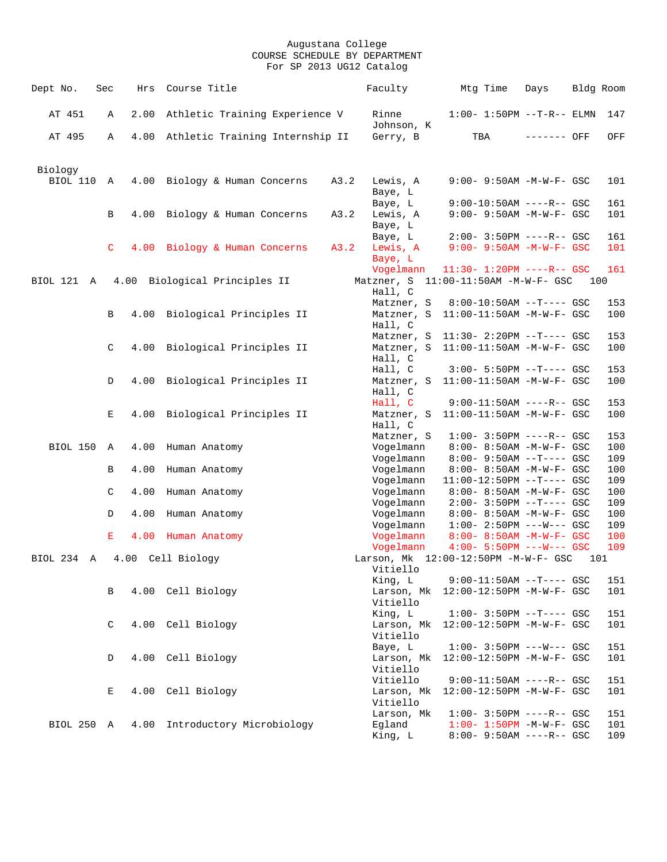| Dept No.                   | Sec          | Hrs          | Course Title                         |      | Faculty                              | Mtg Time                                                                                     | Days        |     | Bldg Room         |
|----------------------------|--------------|--------------|--------------------------------------|------|--------------------------------------|----------------------------------------------------------------------------------------------|-------------|-----|-------------------|
| AT 451                     | Α            | 2.00         | Athletic Training Experience V       |      | Rinne<br>Johnson, K                  | $1:00 - 1:50PM -T-R-- ELMN$                                                                  |             |     | 147               |
| AT 495                     | Α            |              | 4.00 Athletic Training Internship II |      | Gerry, B                             | TBA                                                                                          | ------- OFF |     | OFF               |
| Biology<br><b>BIOL 110</b> | A            | 4.00         | Biology & Human Concerns             | A3.2 | Lewis, A<br>Baye, L                  | 9:00- 9:50AM -M-W-F- GSC                                                                     |             |     | 101               |
|                            | B            |              | 4.00 Biology & Human Concerns        | A3.2 | Baye, L<br>Lewis, A<br>Baye, L       | $9:00-10:50AM$ ----R-- GSC<br>9:00- 9:50AM -M-W-F- GSC                                       |             |     | 161<br>101        |
|                            | $\mathsf{C}$ |              | 4.00 Biology & Human Concerns        | A3.2 | Baye, L<br>Lewis, A<br>Baye, L       | $2:00-3:50PM$ ----R-- GSC<br>$9:00 - 9:50AM - M - W - F - GSC$                               |             |     | 161<br>101        |
| BIOL 121 A                 |              |              | 4.00 Biological Principles II        |      | Vogelmann<br>Hall, C                 | $11:30 - 1:20PM$ ----R-- GSC<br>Matzner, S 11:00-11:50AM -M-W-F- GSC                         |             | 100 | 161               |
|                            | B            | 4.00         | Biological Principles II             |      | Matzner, S<br>Matzner, S<br>Hall, C  | $8:00-10:50AM$ --T---- GSC<br>11:00-11:50AM -M-W-F- GSC                                      |             |     | 153<br>100        |
|                            | C            | 4.00         | Biological Principles II             |      | Matzner, S<br>Matzner, S<br>Hall, C  | $11:30 - 2:20PM -T--- GSC$<br>11:00-11:50AM -M-W-F- GSC                                      |             |     | 153<br>100        |
|                            | D            | 4.00         | Biological Principles II             |      | Hall, C<br>Matzner, S<br>Hall, C     | $3:00 - 5:50PM -T--- GSC$<br>$11:00-11:50AM$ -M-W-F- GSC                                     |             |     | 153<br>100        |
|                            | Е            | 4.00         | Biological Principles II             |      | Hall, C<br>Matzner, S<br>Hall, C     | $9:00-11:50AM$ ----R-- GSC<br>11:00-11:50AM -M-W-F- GSC                                      |             |     | 153<br>100        |
| BIOL 150 A                 |              | 4.00         | Human Anatomy                        |      | Matzner, S<br>Vogelmann<br>Vogelmann | $1:00 - 3:50PM$ ----R-- GSC<br>8:00- 8:50AM -M-W-F- GSC<br>$8:00 - 9:50AM -T--- GSC$         |             |     | 153<br>100<br>109 |
|                            | В<br>C       | 4.00<br>4.00 | Human Anatomy<br>Human Anatomy       |      | Vogelmann<br>Vogelmann<br>Vogelmann  | 8:00- 8:50AM -M-W-F- GSC<br>$11:00-12:50PM$ --T---- GSC<br>8:00- 8:50AM -M-W-F- GSC          |             |     | 100<br>109<br>100 |
|                            | D            | 4.00         | Human Anatomy                        |      | Vogelmann<br>Vogelmann               | $2:00-3:50PM$ --T---- GSC<br>8:00- 8:50AM -M-W-F- GSC                                        |             |     | 109<br>100        |
|                            | Е            | 4.00         | Human Anatomy                        |      | Vogelmann<br>Vogelmann<br>Vogelmann  | $1:00-2:50PM$ ---W--- GSC<br>8:00- 8:50AM -M-W-F- GSC<br>$4:00 - 5:50PM$ ---W--- GSC         |             |     | 109<br>100<br>109 |
| BIOL 234 A                 |              |              | 4.00 Cell Biology                    |      | Vitiello<br>King, L                  | Larson, Mk 12:00-12:50PM -M-W-F- GSC<br>$9:00-11:50AM$ --T---- GSC                           |             | 101 | 151               |
|                            | В            |              | 4.00 Cell Biology                    |      | Larson, Mk<br>Vitiello               | 12:00-12:50PM -M-W-F- GSC                                                                    |             |     | 101               |
|                            | C            |              | 4.00 Cell Biology                    |      | King, L<br>Larson, Mk<br>Vitiello    | $1:00-3:50PM --T---GSC$<br>12:00-12:50PM -M-W-F- GSC                                         |             |     | 151<br>101        |
|                            | D            | 4.00         | Cell Biology                         |      | Baye, L<br>Larson, Mk<br>Vitiello    | $1:00 - 3:50PM$ ---W--- GSC<br>12:00-12:50PM -M-W-F- GSC                                     |             |     | 151<br>101        |
|                            | Е            |              | 4.00 Cell Biology                    |      | Vitiello<br>Larson, Mk<br>Vitiello   | $9:00-11:50AM$ ----R-- GSC<br>12:00-12:50PM -M-W-F- GSC                                      |             |     | 151<br>101        |
| BIOL 250 A                 |              | 4.00         | Introductory Microbiology            |      | Larson, Mk<br>Egland<br>King, L      | $1:00 - 3:50PM$ ----R-- GSC<br>$1:00 - 1:50PM - M - W - F - GSC$<br>8:00- 9:50AM ----R-- GSC |             |     | 151<br>101<br>109 |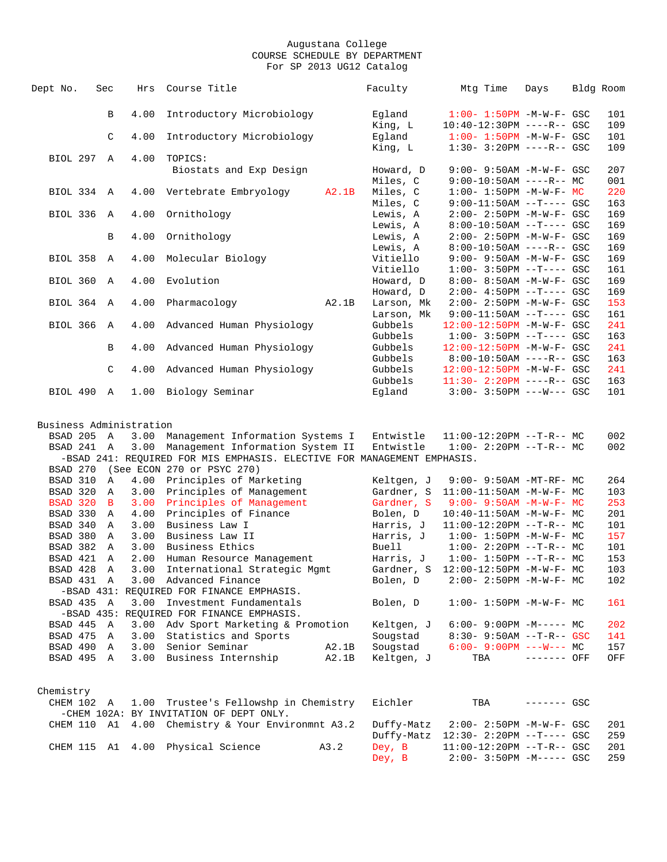| Dept No.                | Sec          | Hrs  | Course Title                                                            |       | Faculty    | Mtg Time                             | Days         | Bldg Room |
|-------------------------|--------------|------|-------------------------------------------------------------------------|-------|------------|--------------------------------------|--------------|-----------|
|                         |              |      |                                                                         |       |            |                                      |              |           |
|                         | B            | 4.00 | Introductory Microbiology                                               |       | Eqland     | $1:00 - 1:50PM - M - W - F - GSC$    |              | 101       |
|                         |              |      |                                                                         |       | King, L    | 10:40-12:30PM ----R-- GSC            |              | 109       |
|                         | C            | 4.00 | Introductory Microbiology                                               |       | Egland     | $1:00 - 1:50PM - M - W - F - GSC$    |              | 101       |
|                         |              |      |                                                                         |       | King, L    | $1:30 - 3:20PM$ ----R-- GSC          |              | 109       |
| BIOL 297 A              |              | 4.00 | TOPICS:                                                                 |       |            |                                      |              |           |
|                         |              |      | Biostats and Exp Design                                                 |       | Howard, D  | 9:00- 9:50AM -M-W-F- GSC             |              | 207       |
|                         |              |      |                                                                         |       | Miles, C   | $9:00-10:50AM$ ----R-- MC            |              | 001       |
| BIOL 334 A              |              |      | 4.00 Vertebrate Embryology                                              | A2.1B | Miles, C   | $1:00 - 1:50PM -M-W-F - MC$          |              | 220       |
|                         |              |      |                                                                         |       | Miles, C   | $9:00-11:50AM$ --T---- GSC           |              | 163       |
| BIOL 336 A              |              | 4.00 | Ornithology                                                             |       | Lewis, A   | $2:00 - 2:50PM -M-W-F - GSC$         |              | 169       |
|                         |              |      |                                                                         |       | Lewis, A   | $8:00-10:50AM$ --T---- GSC           |              | 169       |
|                         | В            |      | 4.00 Ornithology                                                        |       | Lewis, A   | 2:00- 2:50PM -M-W-F- GSC             |              | 169       |
|                         |              |      |                                                                         |       | Lewis, A   | $8:00-10:50AM$ ----R-- GSC           |              | 169       |
| BIOL 358 A              |              |      | 4.00 Molecular Biology                                                  |       | Vitiello   | 9:00- 9:50AM -M-W-F- GSC             |              | 169       |
|                         |              |      |                                                                         |       | Vitiello   | $1:00-3:50PM -T---GSC$               |              | 161       |
| BIOL 360 A              |              | 4.00 | Evolution                                                               |       | Howard, D  | 8:00- 8:50AM -M-W-F- GSC             |              | 169       |
|                         |              |      |                                                                         |       | Howard, D  | $2:00-4:50PM$ --T---- GSC            |              | 169       |
| BIOL 364 A              |              |      | 4.00 Pharmacology                                                       | A2.1B | Larson, Mk | $2:00 - 2:50PM - M - W - F - GSC$    |              | 153       |
|                         |              |      |                                                                         |       | Larson, Mk | $9:00-11:50AM$ --T---- GSC           |              | 161       |
| BIOL 366 A              |              |      | 4.00 Advanced Human Physiology                                          |       | Gubbels    | 12:00-12:50PM -M-W-F- GSC            |              | 241       |
|                         |              |      |                                                                         |       | Gubbels    | $1:00-3:50PM -T---GSC$               |              | 163       |
|                         | B            |      | 4.00 Advanced Human Physiology                                          |       | Gubbels    | 12:00-12:50PM -M-W-F- GSC            |              | 241       |
|                         |              |      |                                                                         |       | Gubbels    | $8:00-10:50AM$ ----R-- GSC           |              | 163       |
|                         | C            |      | 4.00 Advanced Human Physiology                                          |       | Gubbels    | 12:00-12:50PM -M-W-F- GSC            |              | 241       |
|                         |              |      |                                                                         |       | Gubbels    | $11:30 - 2:20PM$ ----R-- GSC         |              | 163       |
| BIOL 490 A              |              |      | 1.00 Biology Seminar                                                    |       | Egland     | $3:00-3:50PM$ ---W--- GSC            |              | 101       |
|                         |              |      |                                                                         |       |            |                                      |              |           |
|                         |              |      |                                                                         |       |            |                                      |              |           |
| Business Administration |              |      |                                                                         |       |            |                                      |              |           |
| BSAD 205 A              |              |      | 3.00 Management Information Systems I                                   |       | Entwistle  | $11:00-12:20PM$ --T-R-- MC           |              | 002       |
| BSAD 241 A              |              |      | 3.00 Management Information System II                                   |       | Entwistle  | $1:00-2:20PM -T-R--MC$               |              | 002       |
|                         |              |      | -BSAD 241: REQUIRED FOR MIS EMPHASIS. ELECTIVE FOR MANAGEMENT EMPHASIS. |       |            |                                      |              |           |
| BSAD 270                |              |      | (See ECON 270 or PSYC 270)                                              |       |            |                                      |              |           |
| BSAD 310                | $\mathbf{A}$ |      | 4.00 Principles of Marketing                                            |       | Keltgen, J | 9:00- 9:50AM -MT-RF- MC              |              | 264       |
| BSAD 320                | $\mathbf{A}$ |      | 3.00 Principles of Management                                           |       |            | Gardner, S 11:00-11:50AM -M-W-F- MC  |              | 103       |
| BSAD 320                | $\mathbf{B}$ |      | 3.00 Principles of Management                                           |       | Gardner, S | 9:00- 9:50AM -M-W-F- MC              |              | 253       |
| BSAD 330                | $\mathbb{A}$ |      | 4.00 Principles of Finance                                              |       | Bolen, D   | $10:40-11:50AM$ -M-W-F- MC           |              | 201       |
| BSAD 340 A              |              |      | 3.00 Business Law I                                                     |       | Harris, J  | $11:00-12:20PM$ --T-R-- MC           |              | 101       |
| BSAD 380                | A            | 3.00 | Business Law II                                                         |       | Harris, J  | $1:00-1:50PM -M-W-F-MC$              |              | 157       |
| BSAD 382                | $\mathbf{A}$ |      | 3.00 Business Ethics                                                    |       | Buell      | $1:00-2:20PM -T-R--MC$               |              | 101       |
| BSAD 421                | $\mathbb{A}$ |      | 2.00 Human Resource Management                                          |       | Harris, J  | $1:00-1:50PM -T-R--MC$               |              | 153       |
| BSAD 428 A              |              |      | 3.00 International Strategic Mgmt                                       |       |            | Gardner, S 12:00-12:50PM -M-W-F- MC  |              | 103       |
| BSAD 431 A              |              |      | 3.00 Advanced Finance                                                   |       | Bolen, D   | $2:00-2:50PM -M-W-F-MC$              |              | 102       |
|                         |              |      | -BSAD 431: REQUIRED FOR FINANCE EMPHASIS.                               |       |            |                                      |              |           |
|                         |              |      |                                                                         |       | Bolen, D   | $1:00 - 1:50PM -M-W-F-MC$            |              | 161       |
| BSAD 435 A              |              |      | 3.00 Investment Fundamentals                                            |       |            |                                      |              |           |
|                         |              |      | -BSAD 435: REQUIRED FOR FINANCE EMPHASIS.                               |       |            |                                      |              |           |
| BSAD 445 A              |              |      | 3.00 Adv Sport Marketing & Promotion                                    |       | Keltgen, J | $6:00-9:00PM -M--- MC$               |              | 202       |
| BSAD 475 A              |              |      | 3.00 Statistics and Sports                                              |       | Sougstad   | 8:30- 9:50AM --T-R-- GSC             |              | 141       |
| BSAD 490 A              |              |      | 3.00 Senior Seminar                                                     | A2.1B | Sougstad   | $6:00-9:00PM$ ---W--- MC             |              | 157       |
| BSAD 495 A              |              |      | 3.00 Business Internship A2.1B                                          |       | Keltgen, J | $TBA$ ------- OFF                    |              | OFF       |
|                         |              |      |                                                                         |       |            |                                      |              |           |
|                         |              |      |                                                                         |       |            |                                      |              |           |
| Chemistry               |              |      |                                                                         |       |            |                                      |              |           |
| CHEM 102 A              |              |      | 1.00 Trustee's Fellowshp in Chemistry                                   |       | Eichler    | TBA                                  | $------$ GSC |           |
|                         |              |      | -CHEM 102A: BY INVITATION OF DEPT ONLY.                                 |       |            |                                      |              |           |
| CHEM 110 A1             |              |      | 4.00 Chemistry & Your Environmnt A3.2                                   |       | Duffy-Matz | 2:00- 2:50PM -M-W-F- GSC             |              | 201       |
|                         |              |      |                                                                         |       |            | Duffy-Matz 12:30- 2:20PM --T---- GSC |              | 259       |
|                         |              |      | CHEM 115 A1 4.00 Physical Science                                       | A3.2  | Dey, B     | 11:00-12:20PM --T-R-- GSC            |              | 201       |
|                         |              |      |                                                                         |       | Dey, B     | $2:00 - 3:50PM -M--- GSC$            |              | 259       |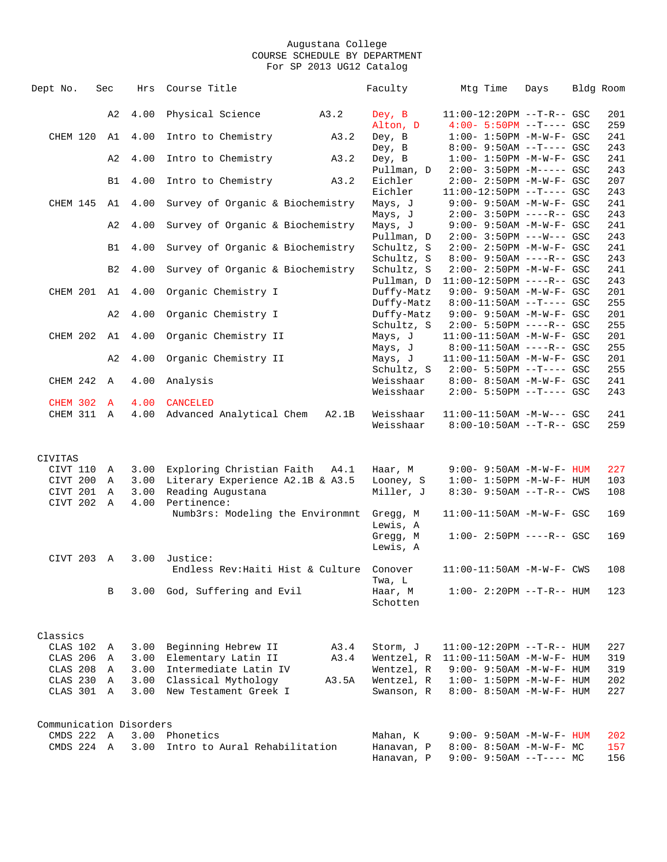| Dept No.                | Sec              | Hrs          | Course Title                      | Faculty               | Mtg Time                                                         | Days | Bldg Room  |
|-------------------------|------------------|--------------|-----------------------------------|-----------------------|------------------------------------------------------------------|------|------------|
|                         |                  |              |                                   |                       |                                                                  |      |            |
|                         | A2               | 4.00         | Physical Science<br>A3.2          | Dey, B                | $11:00-12:20PM$ --T-R-- GSC                                      |      | 201        |
|                         |                  |              |                                   | Alton, D              | $4:00 - 5:50PM$ --T---- GSC                                      |      | 259        |
| CHEM 120                | A1               | 4.00         | Intro to Chemistry<br>A3.2        | Dey, B                | $1:00 - 1:50PM - M - W - F - GSC$                                |      | 241        |
|                         |                  |              |                                   | Dey, B                | $8:00 - 9:50AM -T--- GSC$                                        |      | 243        |
|                         | A2               | 4.00         | Intro to Chemistry<br>A3.2        | Dey, B                | $1:00 - 1:50PM - M - W - F - GSC$                                |      | 241        |
|                         |                  | 4.00         | A3.2                              | Pullman, D<br>Eichler | $2:00 - 3:50PM -M--- GSC$                                        |      | 243<br>207 |
|                         | B1               |              | Intro to Chemistry                | Eichler               | $2:00 - 2:50PM - M - W - F - GSC$<br>$11:00-12:50PM$ --T---- GSC |      | 243        |
| CHEM 145                | A1               | 4.00         | Survey of Organic & Biochemistry  | Mays, J               | $9:00 - 9:50AM - M - W - F - GSC$                                |      | 241        |
|                         |                  |              |                                   | Mays, J               | $2:00 - 3:50PM$ ----R-- GSC                                      |      | 243        |
|                         | A2               | 4.00         | Survey of Organic & Biochemistry  | Mays, J               | $9:00 - 9:50AM - M - W - F - GSC$                                |      | 241        |
|                         |                  |              |                                   | Pullman, D            | $2:00 - 3:50PM$ ---W--- GSC                                      |      | 243        |
|                         | <b>B1</b>        | 4.00         | Survey of Organic & Biochemistry  | Schultz, S            | $2:00 - 2:50PM - M - W - F - GSC$                                |      | 241        |
|                         |                  |              |                                   | Schultz, S            | $8:00 - 9:50AM$ ----R-- GSC                                      |      | 243        |
|                         | B <sub>2</sub>   | 4.00         | Survey of Organic & Biochemistry  | Schultz, S            | $2:00 - 2:50PM - M - W - F - GSC$                                |      | 241        |
|                         |                  |              |                                   | Pullman, D            | $11:00-12:50PM$ ----R-- GSC                                      |      | 243        |
| CHEM 201 A1             |                  | 4.00         | Organic Chemistry I               | Duffy-Matz            | $9:00 - 9:50AM - M - W - F - GSC$                                |      | 201        |
|                         |                  |              |                                   | Duffy-Matz            | $8:00-11:50AM$ --T---- GSC                                       |      | 255        |
|                         | A <sub>2</sub>   | 4.00         | Organic Chemistry I               | Duffy-Matz            | $9:00 - 9:50AM - M - W - F - GSC$                                |      | 201        |
|                         |                  |              |                                   | Schultz, S            | $2:00 - 5:50PM$ ----R-- GSC                                      |      | 255        |
| CHEM 202                | A1               | 4.00         | Organic Chemistry II              | Mays, J               | 11:00-11:50AM -M-W-F- GSC                                        |      | 201        |
|                         |                  |              |                                   | Mays, J               | $8:00-11:50AM$ ----R-- GSC                                       |      | 255        |
|                         | A2               | 4.00         | Organic Chemistry II              | Mays, J               | 11:00-11:50AM -M-W-F- GSC                                        |      | 201        |
|                         |                  |              |                                   | Schultz, S            | $2:00 - 5:50PM -T--- GSC$                                        |      | 255        |
| CHEM 242                | $\mathbb{A}$     | 4.00         | Analysis                          | Weisshaar             | 8:00- 8:50AM -M-W-F- GSC                                         |      | 241        |
|                         |                  |              |                                   | Weisshaar             | $2:00 - 5:50PM -T--- GSC$                                        |      | 243        |
| <b>CHEM 302</b>         | $\mathbf{A}$     | 4.00         | <b>CANCELED</b>                   |                       |                                                                  |      |            |
| CHEM 311 A              |                  | 4.00         | Advanced Analytical Chem<br>A2.1B | Weisshaar             | 11:00-11:50AM -M-W--- GSC                                        |      | 241        |
|                         |                  |              |                                   | Weisshaar             | $8:00-10:50AM$ --T-R-- GSC                                       |      | 259        |
|                         |                  |              |                                   |                       |                                                                  |      |            |
|                         |                  |              |                                   |                       |                                                                  |      |            |
| CIVITAS                 |                  |              |                                   |                       |                                                                  |      |            |
| CIVT 110                | Α                | 3.00         | Exploring Christian Faith A4.1    | Haar, M               | $9:00 - 9:50AM - M - W - F - HUM$                                |      | 227        |
| CIVT 200                | Α<br>$\mathbb A$ | 3.00         | Literary Experience A2.1B & A3.5  | Looney, S             | $1:00 - 1:50PM - M - W - F - HUM$                                |      | 103        |
| CIVT 201<br>CIVT 202    | $\mathbf{A}$     | 3.00<br>4.00 | Reading Augustana<br>Pertinence:  | Miller, J             | 8:30- 9:50AM --T-R-- CWS                                         |      | 108        |
|                         |                  |              | Numb3rs: Modeling the Environmnt  | Gregg, M              | 11:00-11:50AM -M-W-F- GSC                                        |      | 169        |
|                         |                  |              |                                   | Lewis, A              |                                                                  |      |            |
|                         |                  |              |                                   | Gregg, M              | $1:00 - 2:50PM$ ----R-- GSC                                      |      | 169        |
|                         |                  |              |                                   | Lewis, A              |                                                                  |      |            |
| CIVT 203                | $\mathbb{A}$     | 3.00         | Justice:                          |                       |                                                                  |      |            |
|                         |                  |              | Endless Rev: Haiti Hist & Culture | Conover               | 11:00-11:50AM -M-W-F- CWS                                        |      | 108        |
|                         |                  |              |                                   | Twa, L                |                                                                  |      |            |
|                         | В                | 3.00         | God, Suffering and Evil           | Haar, M               | $1:00 - 2:20PM -T-R--HUM$                                        |      | 123        |
|                         |                  |              |                                   | Schotten              |                                                                  |      |            |
|                         |                  |              |                                   |                       |                                                                  |      |            |
|                         |                  |              |                                   |                       |                                                                  |      |            |
| Classics                |                  |              |                                   |                       |                                                                  |      |            |
| CLAS 102                | Α                | 3.00         | Beginning Hebrew II<br>A3.4       | Storm, J              | $11:00-12:20PM -T-R--HUM$                                        |      | 227        |
| CLAS 206                | Α                | 3.00         | Elementary Latin II<br>A3.4       | Wentzel, R            | $11:00-11:50AM$ -M-W-F- HUM                                      |      | 319        |
| CLAS 208                | Α                | 3.00         | Intermediate Latin IV             | Wentzel, R            | $9:00 - 9:50$ AM $-M-W-F-$ HUM                                   |      | 319        |
| CLAS 230                | Α                | 3.00         | Classical Mythology<br>A3.5A      | Wentzel, R            | $1:00 - 1:50PM - M - W - F - HUM$                                |      | 202        |
| CLAS 301                | A                | 3.00         | New Testament Greek I             | Swanson, R            | 8:00- 8:50AM -M-W-F- HUM                                         |      | 227        |
|                         |                  |              |                                   |                       |                                                                  |      |            |
|                         |                  |              |                                   |                       |                                                                  |      |            |
| Communication Disorders |                  |              |                                   |                       |                                                                  |      |            |
| CMDS 222 A              |                  | 3.00         | Phonetics                         | Mahan, K              | 9:00- 9:50AM -M-W-F- HUM                                         |      | 202        |
| CMDS 224 A              |                  | 3.00         | Intro to Aural Rehabilitation     | Hanavan, P            | $8:00-8:50AM$ -M-W-F- MC                                         |      | 157        |
|                         |                  |              |                                   | Hanavan, P            | $9:00-9:50AM --T---MC$                                           |      | 156        |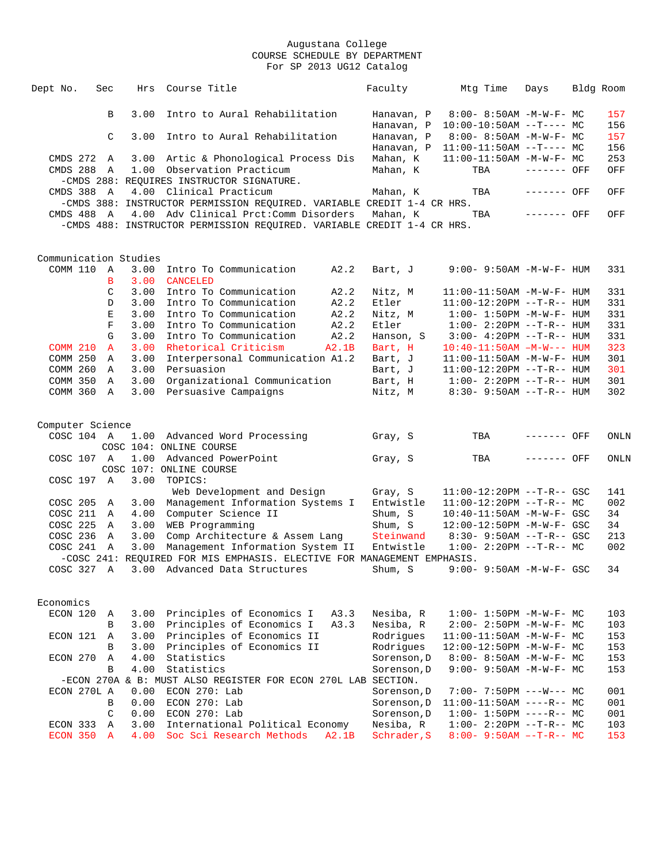| Dept No.               | Sec                | Hrs          | Course Title                                                            | Faculty                  | Mtg Time                                             | Days         | Bldg Room  |
|------------------------|--------------------|--------------|-------------------------------------------------------------------------|--------------------------|------------------------------------------------------|--------------|------------|
|                        | B                  | 3.00         | Intro to Aural Rehabilitation                                           | Hanavan, P               | $8:00 - 8:50AM - M - W - F - MC$                     |              | 157        |
|                        |                    |              |                                                                         | Hanavan, P               | $10:00-10:50AM$ --T---- MC                           |              | 156        |
|                        | C                  | 3.00         | Intro to Aural Rehabilitation                                           | Hanavan, P               | $8:00 - 8:50AM - M - W - F - MC$                     |              | 157        |
|                        |                    |              |                                                                         | Hanavan, P               | $11:00-11:50AM$ --T---- MC                           |              | 156        |
| CMDS 272 A             |                    |              | 3.00 Artic & Phonological Process Dis                                   | Mahan, K                 | $11:00-11:50AM$ -M-W-F- MC                           |              | 253        |
| CMDS 288 A             |                    |              | 1.00 Observation Practicum                                              | Mahan, K                 | TBA                                                  | $------$ OFF | OFF        |
|                        |                    |              | -CMDS 288: REQUIRES INSTRUCTOR SIGNATURE.                               |                          |                                                      |              |            |
| CMDS 388 A             |                    |              | 4.00 Clinical Practicum                                                 | Mahan, K                 | TBA                                                  | ------- OFF  | OFF        |
|                        |                    |              | -CMDS 388: INSTRUCTOR PERMISSION REQUIRED. VARIABLE CREDIT 1-4 CR HRS.  |                          |                                                      |              |            |
| CMDS 488 A             |                    |              | 4.00 Adv Clinical Prct: Comm Disorders                                  | Mahan, K                 | TBA                                                  | ------- OFF  | OFF        |
|                        |                    |              | -CMDS 488: INSTRUCTOR PERMISSION REQUIRED. VARIABLE CREDIT 1-4 CR HRS.  |                          |                                                      |              |            |
|                        |                    |              |                                                                         |                          |                                                      |              |            |
|                        |                    |              |                                                                         |                          |                                                      |              |            |
| Communication Studies  |                    |              |                                                                         |                          |                                                      |              |            |
| COMM 110 A             |                    |              | 3.00 Intro To Communication<br>A2.2                                     | Bart, J                  | $9:00 - 9:50AM - M - W - F - HUM$                    |              | 331        |
|                        | B                  | 3.00         | <b>CANCELED</b>                                                         |                          |                                                      |              |            |
|                        | C                  | 3.00         | Intro To Communication<br>A2.2                                          | Nitz, M                  | 11:00-11:50AM -M-W-F- HUM                            |              | 331        |
|                        | D                  | 3.00         | A2.2<br>Intro To Communication                                          | Etler                    | 11:00-12:20PM --T-R-- HUM                            |              | 331        |
|                        | Е                  | 3.00         | Intro To Communication<br>A2.2                                          | Nitz, M                  | $1:00 - 1:50PM - M - W - F - HUM$                    |              | 331        |
|                        | $\mathbf{F}% _{0}$ | 3.00         | Intro To Communication<br>A2.2                                          | Etler                    | $1:00-2:20PM -T-R--HUM$                              |              | 331        |
|                        | G                  | 3.00         | Intro To Communication<br>A2.2                                          | Hanson, S                | $3:00 - 4:20PM -T-R-- HUM$                           |              | 331        |
| <b>COMM 210</b>        | $\mathbf{A}$       | 3.00         | Rhetorical Criticism<br>A2.1B                                           | Bart, H                  | $10:40-11:50AM$ $-M-W---$ HUM                        |              | 323        |
| COMM 250               | A                  | 3.00         | Interpersonal Communication A1.2                                        | Bart, J                  | 11:00-11:50AM -M-W-F- HUM                            |              | 301        |
| COMM 260               | $\mathbb{A}$       | 3.00         | Persuasion                                                              | Bart, J                  | $11:00-12:20PM$ --T-R-- HUM                          |              | 301        |
| COMM 350               | A                  | 3.00         | Organizational Communication                                            | Bart, H                  | $1:00 - 2:20PM -T-R--HUM$                            |              | 301        |
| COMM 360 A             |                    | 3.00         | Persuasive Campaigns                                                    | Nitz, M                  | $8:30 - 9:50AM -T-R-- HUM$                           |              | 302        |
|                        |                    |              |                                                                         |                          |                                                      |              |            |
| Computer Science       |                    |              |                                                                         |                          |                                                      |              |            |
| COSC 104 A             |                    |              | 1.00 Advanced Word Processing                                           | Gray, S                  | TBA                                                  | ------- OFF  | ONLN       |
|                        |                    |              | COSC 104: ONLINE COURSE                                                 |                          |                                                      |              |            |
| COSC 107 A             |                    |              | 1.00 Advanced PowerPoint                                                | Gray, S                  | TBA                                                  | ------- OFF  | ONLN       |
|                        |                    |              | COSC 107: ONLINE COURSE                                                 |                          |                                                      |              |            |
| COSC 197 A             |                    | 3.00         | TOPICS:                                                                 |                          |                                                      |              |            |
|                        |                    |              | Web Development and Design                                              | Gray, S                  | $11:00-12:20PM$ --T-R-- GSC                          |              | 141        |
| COSC 205 A             |                    |              | 3.00 Management Information Systems I                                   | Entwistle                | $11:00-12:20PM$ --T-R-- MC                           |              | 002        |
| COSC 211               | A                  |              | 4.00 Computer Science II                                                | Shum, S                  | 10:40-11:50AM -M-W-F- GSC                            |              | 34         |
| COSC 225 A             |                    |              | 3.00 WEB Programming                                                    | Shum, S                  | 12:00-12:50PM -M-W-F- GSC                            |              | 34         |
| COSC 236 A             |                    | 3.00         | Comp Architecture & Assem Lang                                          | Steinwand                | $8:30 - 9:50AM -T-R--GSC$                            |              | 213        |
| COSC 241 A             |                    | 3.00         | Management Information System II                                        | Entwistle                | $1:00-2:20PM -T-R--MC$                               |              | 002        |
|                        |                    |              | -COSC 241: REQUIRED FOR MIS EMPHASIS. ELECTIVE FOR MANAGEMENT EMPHASIS. |                          |                                                      |              |            |
|                        |                    |              |                                                                         |                          |                                                      |              |            |
|                        |                    |              | COSC 327 A 3.00 Advanced Data Structures                                | Shum, S                  | $9:00 - 9:50$ AM $-M-W-F-$ GSC                       |              | 34         |
|                        |                    |              |                                                                         |                          |                                                      |              |            |
|                        |                    |              |                                                                         |                          |                                                      |              |            |
| Economics              |                    |              |                                                                         |                          |                                                      |              |            |
| ECON 120 A             |                    |              | 3.00 Principles of Economics I<br>A3.3                                  | Nesiba, R                | $1:00 - 1:50PM - M - W - F - MC$                     |              | 103        |
|                        | В                  | 3.00         | Principles of Economics I<br>A3.3                                       | Nesiba, R                | $2:00-2:50PM -M-W-F-MC$                              |              | 103        |
| ECON 121               | A                  |              | 3.00 Principles of Economics II                                         | Rodrigues                | 11:00-11:50AM -M-W-F- MC                             |              | 153        |
|                        | B                  |              | 3.00 Principles of Economics II                                         | Rodrigues                | 12:00-12:50PM -M-W-F- MC                             |              | 153        |
| ECON 270               | A                  | 4.00         | Statistics                                                              | Sorenson, D              | 8:00- 8:50AM -M-W-F- MC                              |              | 153        |
|                        | B                  | 4.00         | Statistics                                                              | Sorenson, D              | 9:00- 9:50AM -M-W-F- MC                              |              | 153        |
|                        |                    |              | -ECON 270A & B: MUST ALSO REGISTER FOR ECON 270L LAB SECTION.           |                          |                                                      |              |            |
| ECON 270L A            |                    | 0.00         | ECON 270: Lab                                                           | Sorenson, D              | $7:00 - 7:50PM$ ---W--- MC                           |              | 001        |
|                        | В                  | 0.00         | ECON 270: Lab                                                           | Sorenson, D              | $11:00-11:50AM$ ----R-- MC                           |              | 001        |
|                        | C                  | 0.00         | ECON 270: Lab                                                           | Sorenson, D              | $1:00 - 1:50PM$ ----R-- MC                           |              | 001        |
| ECON 333<br>ECON 350 A | $\mathbb A$        | 3.00<br>4.00 | International Political Economy<br>Soc Sci Research Methods<br>A2.1B    | Nesiba, R<br>Schrader, S | $1:00-2:20PM -T-R--MC$<br>$8:00 - 9:50AM$ --T-R-- MC |              | 103<br>153 |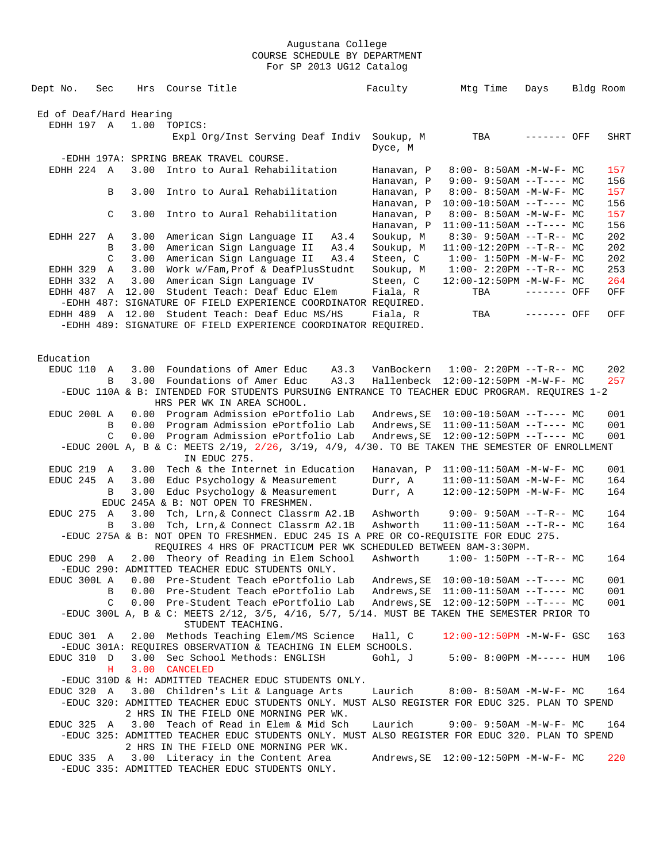| Dept No.                | Sec | Hrs   | Course Title                                                                                                                                     |      | Faculty                  | Mtg Time                                                       | Days        | Bldg Room  |
|-------------------------|-----|-------|--------------------------------------------------------------------------------------------------------------------------------------------------|------|--------------------------|----------------------------------------------------------------|-------------|------------|
|                         |     |       |                                                                                                                                                  |      |                          |                                                                |             |            |
| Ed of Deaf/Hard Hearing |     |       |                                                                                                                                                  |      |                          |                                                                |             |            |
| EDHH 197 A              |     | 1.00  | TOPICS:                                                                                                                                          |      |                          |                                                                |             |            |
|                         |     |       | Expl Org/Inst Serving Deaf Indiv Soukup, M                                                                                                       |      | Dyce, M                  | TBA                                                            | ------- OFF | SHRT       |
|                         |     |       | -EDHH 197A: SPRING BREAK TRAVEL COURSE.                                                                                                          |      |                          |                                                                |             |            |
| EDHH 224 A              |     |       | 3.00 Intro to Aural Rehabilitation                                                                                                               |      | Hanavan, P               | $8:00 - 8:50AM - M - W - F - MC$                               |             | 157        |
|                         |     |       |                                                                                                                                                  |      | Hanavan, P               | $9:00 - 9:50AM -T--- MC$                                       |             | 156        |
|                         | B   | 3.00  | Intro to Aural Rehabilitation                                                                                                                    |      | Hanavan, P               | $8:00 - 8:50AM - M - W - F - MC$                               |             | 157        |
|                         | C   | 3.00  | Intro to Aural Rehabilitation                                                                                                                    |      | Hanavan, P<br>Hanavan, P | $10:00-10:50AM$ --T---- MC<br>$8:00 - 8:50AM - M - W - F - MC$ |             | 156<br>157 |
|                         |     |       |                                                                                                                                                  |      | Hanavan, P               | $11:00-11:50AM$ --T---- MC                                     |             | 156        |
| EDHH 227                | A   | 3.00  | American Sign Language II                                                                                                                        | A3.4 | Soukup, M                | $8:30 - 9:50AM -T-R-- MC$                                      |             | 202        |
|                         | B   | 3.00  | American Sign Language II                                                                                                                        | A3.4 | Soukup, M                | $11:00-12:20PM$ --T-R-- MC                                     |             | 202        |
|                         | C   | 3.00  | American Sign Language II                                                                                                                        | A3.4 | Steen, C                 | $1:00 - 1:50PM - M - W - F - MC$                               |             | 202        |
| EDHH 329                | A   | 3.00  | Work w/Fam, Prof & DeafPlusStudnt                                                                                                                |      | Soukup, M                | $1:00-2:20PM -T-R--MC$                                         |             | 253        |
| EDHH 332                | A   | 3.00  | American Sign Language IV                                                                                                                        |      | Steen, C                 | 12:00-12:50PM -M-W-F- MC                                       |             | 264        |
| EDHH 487                | A   | 12.00 | Student Teach: Deaf Educ Elem                                                                                                                    |      | Fiala, R                 | TBA                                                            | ------- OFF | OFF        |
|                         |     |       | -EDHH 487: SIGNATURE OF FIELD EXPERIENCE COORDINATOR REQUIRED.                                                                                   |      |                          |                                                                |             |            |
| EDHH 489 A 12.00        |     |       | Student Teach: Deaf Educ MS/HS                                                                                                                   |      | Fiala, R                 | TBA                                                            | ------- OFF | OFF        |
|                         |     |       | -EDHH 489: SIGNATURE OF FIELD EXPERIENCE COORDINATOR REQUIRED.                                                                                   |      |                          |                                                                |             |            |
|                         |     |       |                                                                                                                                                  |      |                          |                                                                |             |            |
| Education               |     |       |                                                                                                                                                  |      |                          |                                                                |             |            |
| EDUC 110 A              |     |       | 3.00 Foundations of Amer Educ                                                                                                                    | A3.3 | VanBockern               | $1:00-2:20PM -T-R--MC$                                         |             | 202        |
|                         | B   |       | 3.00 Foundations of Amer Educ                                                                                                                    | A3.3 |                          | Hallenbeck 12:00-12:50PM -M-W-F- MC                            |             | 257        |
|                         |     |       | -EDUC 110A & B: INTENDED FOR STUDENTS PURSUING ENTRANCE TO TEACHER EDUC PROGRAM. REQUIRES 1-2                                                    |      |                          |                                                                |             |            |
|                         |     |       | HRS PER WK IN AREA SCHOOL.                                                                                                                       |      |                          |                                                                |             |            |
| EDUC 200L A             |     |       | 0.00 Program Admission ePortfolio Lab                                                                                                            |      | Andrews, SE              | $10:00-10:50AM$ --T---- MC                                     |             | 001        |
|                         | B   |       | 0.00 Program Admission ePortfolio Lab                                                                                                            |      | Andrews, SE              | $11:00-11:50AM$ --T---- MC                                     |             | 001        |
|                         | C   |       | 0.00 Program Admission ePortfolio Lab                                                                                                            |      | Andrews, SE              | 12:00-12:50PM --T---- MC                                       |             | 001        |
|                         |     |       | -EDUC 200L A, B & C: MEETS 2/19, 2/26, 3/19, 4/9, 4/30. TO BE TAKEN THE SEMESTER OF ENROLLMENT<br>IN EDUC 275.                                   |      |                          |                                                                |             |            |
| EDUC 219                | A   | 3.00  | Tech & the Internet in Education                                                                                                                 |      | Hanavan, P               | $11:00-11:50AM$ -M-W-F- MC                                     |             | 001        |
| EDUC 245 A              |     | 3.00  | Educ Psychology & Measurement                                                                                                                    |      | Durr, A                  | $11:00-11:50AM$ -M-W-F- MC                                     |             | 164        |
|                         | B   | 3.00  | Educ Psychology & Measurement                                                                                                                    |      | Durr, A                  | 12:00-12:50PM -M-W-F- MC                                       |             | 164        |
|                         |     |       | EDUC 245A & B: NOT OPEN TO FRESHMEN.                                                                                                             |      |                          |                                                                |             |            |
| EDUC 275 A              | B   | 3.00  | Tch, Lrn, & Connect Classrm A2.1B<br>Tch, Lrn, & Connect Classrm A2.1B                                                                           |      | Ashworth<br>Ashworth     | $9:00 - 9:50AM -T-R-- MC$<br>$11:00-11:50AM$ --T-R-- MC        |             | 164<br>164 |
|                         |     | 3.00  | -EDUC 275A & B: NOT OPEN TO FRESHMEN. EDUC 245 IS A PRE OR CO-REQUISITE FOR EDUC 275.                                                            |      |                          |                                                                |             |            |
|                         |     |       | REQUIRES 4 HRS OF PRACTICUM PER WK SCHEDULED BETWEEN 8AM-3:30PM.                                                                                 |      |                          |                                                                |             |            |
| EDUC 290 A              |     |       | 2.00 Theory of Reading in Elem School                                                                                                            |      | Ashworth                 | $1:00 - 1:50PM -T-R-- MC$                                      |             | 164        |
|                         |     |       | -EDUC 290: ADMITTED TEACHER EDUC STUDENTS ONLY.                                                                                                  |      |                          |                                                                |             |            |
| EDUC 300L A             |     |       | 0.00 Pre-Student Teach ePortfolio Lab                                                                                                            |      |                          |                                                                |             | 001        |
|                         | B   |       | 0.00 Pre-Student Teach ePortfolio Lab                                                                                                            |      |                          |                                                                |             | 001        |
|                         | C   |       | 0.00 Pre-Student Teach ePortfolio Lab                                                                                                            |      |                          |                                                                |             | 001        |
|                         |     |       | -EDUC 300L A, B & C: MEETS 2/12, 3/5, 4/16, 5/7, 5/14. MUST BE TAKEN THE SEMESTER PRIOR TO<br>STUDENT TEACHING.                                  |      |                          |                                                                |             |            |
| EDUC 301 A              |     |       | 2.00 Methods Teaching Elem/MS Science                                                                                                            |      | Hall, C                  | $12:00-12:50PM$ -M-W-F- GSC                                    |             | 163        |
|                         |     |       | -EDUC 301A: REQUIRES OBSERVATION & TEACHING IN ELEM SCHOOLS.                                                                                     |      |                          |                                                                |             |            |
| EDUC 310 D              |     |       | 3.00 Sec School Methods: ENGLISH                                                                                                                 |      | Gohl, J                  | $5:00-8:00PM -M--- HUM$                                        |             | 106        |
|                         | н   |       | 3.00 CANCELED                                                                                                                                    |      |                          |                                                                |             |            |
|                         |     |       | -EDUC 310D & H: ADMITTED TEACHER EDUC STUDENTS ONLY.                                                                                             |      |                          |                                                                |             |            |
|                         |     |       | EDUC 320 A 3.00 Children's Lit & Language Arts<br>-EDUC 320: ADMITTED TEACHER EDUC STUDENTS ONLY. MUST ALSO REGISTER FOR EDUC 325. PLAN TO SPEND |      | Laurich                  | $8:00 - 8:50AM - M - W - F - MC$                               |             | 164        |
|                         |     |       | 2 HRS IN THE FIELD ONE MORNING PER WK.                                                                                                           |      |                          |                                                                |             |            |
| EDUC 325 A              |     |       | 3.00 Teach of Read in Elem & Mid Sch                                                                                                             |      | Laurich                  | $9:00 - 9:50AM - M - W - F - MC$                               |             | 164        |
|                         |     |       | -EDUC 325: ADMITTED TEACHER EDUC STUDENTS ONLY. MUST ALSO REGISTER FOR EDUC 320. PLAN TO SPEND                                                   |      |                          |                                                                |             |            |
|                         |     |       | 2 HRS IN THE FIELD ONE MORNING PER WK.                                                                                                           |      |                          |                                                                |             |            |
|                         |     |       | EDUC 335 A 3.00 Literacy in the Content Area<br>-EDUC 335: ADMITTED TEACHER EDUC STUDENTS ONLY.                                                  |      |                          |                                                                |             | 220        |
|                         |     |       |                                                                                                                                                  |      |                          |                                                                |             |            |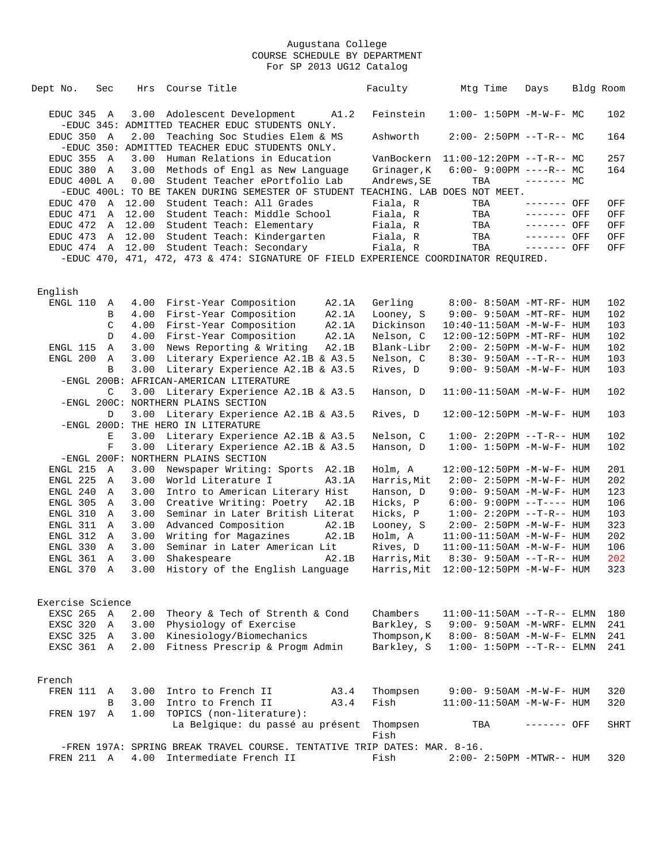| Dept No.         | Sec          | Hrs  | Course Title                                                                           |       | Faculty     | Mtg Time                            | Days         | Bldg Room |      |
|------------------|--------------|------|----------------------------------------------------------------------------------------|-------|-------------|-------------------------------------|--------------|-----------|------|
| EDUC 345 A       |              |      | 3.00 Adolescent Development<br>-EDUC 345: ADMITTED TEACHER EDUC STUDENTS ONLY.         | A1.2  | Feinstein   | $1:00 - 1:50PM -M-W-F-MC$           |              |           | 102  |
| EDUC 350 A       |              |      | 2.00 Teaching Soc Studies Elem & MS<br>-EDUC 350: ADMITTED TEACHER EDUC STUDENTS ONLY. |       | Ashworth    | $2:00 - 2:50PM -T-R-- MC$           |              |           | 164  |
|                  |              |      | Human Relations in Education                                                           |       |             |                                     |              |           |      |
| EDUC 355 A       |              | 3.00 |                                                                                        |       |             | VanBockern $11:00-12:20PM -T-R--MC$ |              |           | 257  |
| EDUC 380 A       |              |      | 3.00 Methods of Engl as New Language                                                   |       | Grinager, K | $6:00 - 9:00PM$ ----R-- MC          |              |           | 164  |
| EDUC 400L A      |              | 0.00 | Student Teacher ePortfolio Lab                                                         |       | Andrews, SE | TBA                                 | $-----MC$    |           |      |
|                  |              |      | -EDUC 400L: TO BE TAKEN DURING SEMESTER OF STUDENT TEACHING. LAB DOES NOT MEET.        |       |             |                                     |              |           |      |
| EDUC 470         |              |      | A 12.00 Student Teach: All Grades                                                      |       | Fiala, R    | TBA                                 | $-----$ OFF  |           | OFF  |
| EDUC 471         |              |      | A 12.00 Student Teach: Middle School                                                   |       | Fiala, R    | TBA                                 | ------- OFF  |           | OFF  |
| EDUC 472         |              |      | A 12.00 Student Teach: Elementary                                                      |       | Fiala, R    | TBA                                 | $-----$ OFF  |           | OFF  |
|                  |              |      | EDUC 473 A 12.00 Student Teach: Kindergarten                                           |       | Fiala, R    | TBA                                 | ------- OFF  |           | OFF  |
|                  |              |      | EDUC 474 A 12.00 Student Teach: Secondary                                              |       | Fiala, R    | TBA                                 | $------$ OFF |           | OFF  |
|                  |              |      | -EDUC 470, 471, 472, 473 & 474: SIGNATURE OF FIELD EXPERIENCE COORDINATOR REQUIRED.    |       |             |                                     |              |           |      |
|                  |              |      |                                                                                        |       |             |                                     |              |           |      |
|                  |              |      |                                                                                        |       |             |                                     |              |           |      |
| English          |              |      |                                                                                        |       |             |                                     |              |           |      |
| ENGL 110         | A            |      | 4.00 First-Year Composition                                                            | A2.1A | Gerling     | 8:00- 8:50AM -MT-RF- HUM            |              |           | 102  |
|                  | В            |      | 4.00 First-Year Composition                                                            | A2.1A | Looney, S   | 9:00- 9:50AM -MT-RF- HUM            |              |           | 102  |
|                  | C            |      | 4.00 First-Year Composition                                                            | A2.1A | Dickinson   | 10:40-11:50AM -M-W-F- HUM           |              |           | 103  |
|                  | D            |      | 4.00 First-Year Composition                                                            | A2.1A | Nelson, C   | 12:00-12:50PM -MT-RF- HUM           |              |           | 102  |
| ENGL 115         | $\mathbb A$  |      | 3.00 News Reporting & Writing                                                          | A2.1B | Blank-Libr  | $2:00 - 2:50PM -M-W-F - HUM$        |              |           | 102  |
| ENGL 200         | A            |      | 3.00 Literary Experience A2.1B & A3.5                                                  |       | Nelson, C   | $8:30 - 9:50AM -T-R-- HUM$          |              |           | 103  |
|                  | B            | 3.00 | Literary Experience A2.1B & A3.5                                                       |       | Rives, D    | $9:00 - 9:50AM - M - W - F - HUM$   |              |           | 103  |
|                  |              |      | -ENGL 200B: AFRICAN-AMERICAN LITERATURE                                                |       |             |                                     |              |           |      |
|                  | C            |      | 3.00 Literary Experience A2.1B & A3.5                                                  |       | Hanson, D   | 11:00-11:50AM -M-W-F- HUM           |              |           | 102  |
|                  |              |      | -ENGL 200C: NORTHERN PLAINS SECTION                                                    |       |             |                                     |              |           |      |
|                  | D            |      |                                                                                        |       |             |                                     |              |           |      |
|                  |              |      | 3.00 Literary Experience A2.1B & A3.5                                                  |       | Rives, D    | 12:00-12:50PM -M-W-F- HUM           |              |           | 103  |
|                  |              |      | -ENGL 200D: THE HERO IN LITERATURE                                                     |       |             |                                     |              |           |      |
|                  | Ε            | 3.00 | Literary Experience A2.1B & A3.5                                                       |       | Nelson, C   | $1:00 - 2:20PM -T-R--HUM$           |              |           | 102  |
|                  | $\mathbf F$  | 3.00 | Literary Experience A2.1B & A3.5                                                       |       | Hanson, D   | $1:00 - 1:50PM - M - W - F - HUM$   |              |           | 102  |
|                  |              |      | -ENGL 200F: NORTHERN PLAINS SECTION                                                    |       |             |                                     |              |           |      |
| ENGL 215 A       |              | 3.00 | Newspaper Writing: Sports A2.1B                                                        |       | Holm, A     | 12:00-12:50PM -M-W-F- HUM           |              |           | 201  |
| ENGL 225         | A            | 3.00 | World Literature I                                                                     | A3.1A | Harris, Mit | $2:00 - 2:50PM -M-W-F - HUM$        |              |           | 202  |
| ENGL 240         | A            | 3.00 | Intro to American Literary Hist                                                        |       | Hanson, D   | $9:00 - 9:50AM - M - W - F - HUM$   |              |           | 123  |
| ENGL 305         | A            | 3.00 | Creative Writing: Poetry                                                               | A2.1B | Hicks, P    | $6:00-9:00PM --T---HUM$             |              |           | 106  |
| ENGL 310         | A            | 3.00 | Seminar in Later British Literat                                                       |       | Hicks, P    | $1:00 - 2:20PM -T-R--HUM$           |              |           | 103  |
| ENGL 311         | A            | 3.00 | Advanced Composition                                                                   | A2.1B | Looney, S   | $2:00 - 2:50PM -M-W-F - HUM$        |              |           | 323  |
| ENGL 312         | A            | 3.00 | Writing for Magazines                                                                  | A2.1B | Holm, A     | $11:00-11:50AM$ -M-W-F- HUM         |              |           | 202  |
| ENGL 330         | $\mathbb{A}$ | 3.00 | Seminar in Later American Lit                                                          |       | Rives, D    | $11:00-11:50AM$ -M-W-F- HUM         |              |           | 106  |
| ENGL 361         | A            | 3.00 | Shakespeare                                                                            | A2.1B | Harris, Mit | 8:30- 9:50AM --T-R-- HUM            |              |           | 202  |
| ENGL 370 A       |              |      | 3.00 History of the English Language Harris, Mit 12:00-12:50PM -M-W-F- HUM             |       |             |                                     |              |           | 323  |
|                  |              |      |                                                                                        |       |             |                                     |              |           |      |
|                  |              |      |                                                                                        |       |             |                                     |              |           |      |
| Exercise Science |              |      |                                                                                        |       |             |                                     |              |           |      |
| EXSC 265 A       |              |      | 2.00 Theory & Tech of Strenth & Cond                                                   |       | Chambers    | $11:00-11:50AM$ --T-R-- ELMN        |              |           | 180  |
| EXSC 320 A       |              |      | 3.00 Physiology of Exercise                                                            |       | Barkley, S  | 9:00- 9:50AM -M-WRF- ELMN           |              |           | 241  |
| EXSC 325 A       |              |      | 3.00 Kinesiology/Biomechanics                                                          |       | Thompson, K | 8:00- 8:50AM -M-W-F- ELMN           |              |           | 241  |
| EXSC 361 A       |              |      | 2.00 Fitness Prescrip & Progm Admin                                                    |       | Barkley, S  | $1:00 - 1:50PM -T-R-- ELMN$         |              |           | 241  |
|                  |              |      |                                                                                        |       |             |                                     |              |           |      |
|                  |              |      |                                                                                        |       |             |                                     |              |           |      |
| French           |              |      |                                                                                        |       |             |                                     |              |           |      |
| FREN 111 A       |              |      | 3.00 Intro to French II                                                                | A3.4  | Thompsen    | $9:00 - 9:50AM - M - W - F - HUM$   |              |           | 320  |
|                  | B            |      | 3.00 Intro to French II                                                                | A3.4  | Fish        | 11:00-11:50AM -M-W-F- HUM           |              |           | 320  |
|                  |              |      | 1.00 TOPICS (non-literature):                                                          |       |             |                                     |              |           |      |
| FREN 197 A       |              |      |                                                                                        |       |             |                                     |              |           |      |
|                  |              |      | La Belgique: du passé au présent                                                       |       | Thompsen    | TBA                                 | ------- OFF  |           | SHRT |
|                  |              |      |                                                                                        |       | Fish        |                                     |              |           |      |
|                  |              |      | -FREN 197A: SPRING BREAK TRAVEL COURSE. TENTATIVE TRIP DATES: MAR. 8-16.               |       |             |                                     |              |           |      |
| FREN 211 A       |              | 4.00 | Intermediate French II                                                                 |       | Fish        | 2:00- 2:50PM -MTWR-- HUM            |              |           | 320  |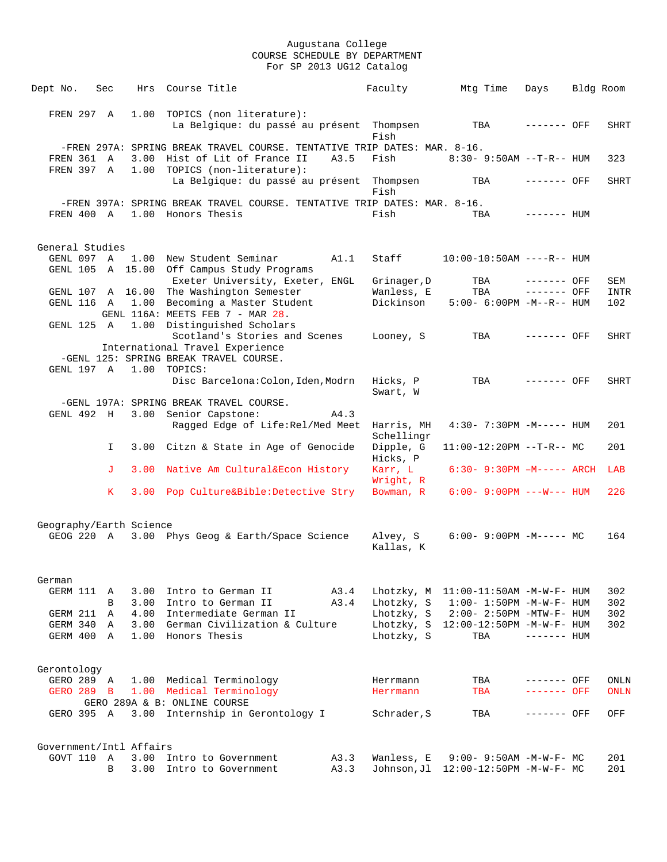| Dept No.                | Sec        |      | Hrs Course Title |                                                                          |      | Faculty                  | Mtg Time                               | Days         | Bldg Room |             |
|-------------------------|------------|------|------------------|--------------------------------------------------------------------------|------|--------------------------|----------------------------------------|--------------|-----------|-------------|
|                         |            |      |                  |                                                                          |      |                          |                                        |              |           |             |
| FREN 297 A              |            | 1.00 |                  | TOPICS (non literature):                                                 |      |                          |                                        |              |           |             |
|                         |            |      |                  | La Belgique: du passé au présent Thompsen                                |      | Fish                     | TBA                                    | ------- OFF  |           | <b>SHRT</b> |
|                         |            |      |                  | -FREN 297A: SPRING BREAK TRAVEL COURSE. TENTATIVE TRIP DATES: MAR. 8-16. |      |                          |                                        |              |           |             |
| FREN 361 A              |            | 3.00 |                  | Hist of Lit of France II                                                 | A3.5 | Fish                     | 8:30- 9:50AM --T-R-- HUM               |              |           | 323         |
| FREN 397 A              |            | 1.00 |                  | TOPICS (non-literature):<br>La Belgique: du passé au présent Thompsen    |      |                          | TBA                                    | $------$ OFF |           | <b>SHRT</b> |
|                         |            |      |                  |                                                                          |      | Fish                     |                                        |              |           |             |
|                         |            |      |                  | -FREN 397A: SPRING BREAK TRAVEL COURSE. TENTATIVE TRIP DATES: MAR. 8-16. |      |                          |                                        |              |           |             |
| FREN 400 A              |            |      |                  | 1.00 Honors Thesis                                                       |      | Fish                     | TBA                                    | $------$ HUM |           |             |
| General Studies         |            |      |                  |                                                                          |      |                          |                                        |              |           |             |
|                         |            |      |                  | GENL 097 A 1.00 New Student Seminar                                      | A1.1 | Staff                    | $10:00-10:50AM$ ----R-- HUM            |              |           |             |
|                         |            |      |                  | GENL 105 A 15.00 Off Campus Study Programs                               |      |                          |                                        |              |           |             |
|                         |            |      |                  | Exeter University, Exeter, ENGL                                          |      | Grinager, D              | TBA                                    | $------$ OFF |           | SEM         |
|                         |            |      |                  | GENL 107 A 16.00 The Washington Semester                                 |      | Wanless, E<br>Dickinson  | TBA<br>$5:00 - 6:00PM -M--R--HUM$      | $------$ OFF |           | <b>INTR</b> |
| GENL 116 A              |            |      |                  | 1.00 Becoming a Master Student<br>GENL 116A: MEETS FEB 7 - MAR 28.       |      |                          |                                        |              |           | 102         |
| GENL 125 A              |            |      |                  | 1.00 Distinguished Scholars                                              |      |                          |                                        |              |           |             |
|                         |            |      |                  | Scotland's Stories and Scenes                                            |      | Looney, S                | TBA                                    | ------- OFF  |           | <b>SHRT</b> |
|                         |            |      |                  | International Travel Experience                                          |      |                          |                                        |              |           |             |
|                         | GENL 197 A | 1.00 | TOPICS:          | -GENL 125: SPRING BREAK TRAVEL COURSE.                                   |      |                          |                                        |              |           |             |
|                         |            |      |                  | Disc Barcelona: Colon, Iden, Modrn                                       |      | Hicks, P                 | TBA                                    | $------$ OFF |           | <b>SHRT</b> |
|                         |            |      |                  |                                                                          |      | Swart, W                 |                                        |              |           |             |
|                         |            |      |                  | -GENL 197A: SPRING BREAK TRAVEL COURSE.                                  |      |                          |                                        |              |           |             |
| GENL 492 H              |            |      |                  | 3.00 Senior Capstone:                                                    | A4.3 |                          | $4:30 - 7:30PM - M--- - HUM$           |              |           | 201         |
|                         |            |      |                  | Ragged Edge of Life: Rel/Med Meet                                        |      | Harris, MH<br>Schellingr |                                        |              |           |             |
|                         | I.         |      |                  | 3.00 Citzn & State in Age of Genocide                                    |      | Dipple, G<br>Hicks, P    | $11:00-12:20PM$ --T-R-- MC             |              |           | 201         |
|                         | J          | 3.00 |                  | Native Am Cultural&Econ History                                          |      | Karr, L<br>Wright, R     | $6:30 - 9:30PM -M-----$ ARCH           |              |           | LAB         |
|                         | K.         |      |                  | 3.00 Pop Culture&Bible:Detective Stry                                    |      | Bowman, R                | $6:00 - 9:00PM$ ---W--- HUM            |              |           | 226         |
|                         |            |      |                  |                                                                          |      |                          |                                        |              |           |             |
| Geography/Earth Science |            |      |                  |                                                                          |      |                          |                                        |              |           |             |
| GEOG 220 A              |            |      |                  | 3.00 Phys Geog & Earth/Space Science                                     |      | Alvey, S<br>Kallas, K    | $6:00-9:00PM -M--- MC$                 |              |           | 164         |
|                         |            |      |                  |                                                                          |      |                          |                                        |              |           |             |
| German                  |            |      |                  |                                                                          |      |                          |                                        |              |           |             |
| GERM 111                | A          | 3.00 |                  | Intro to German II                                                       | A3.4 |                          | Lhotzky, $M$ 11:00-11:50AM -M-W-F- HUM |              |           | 302         |
|                         | В          | 3.00 |                  | Intro to German II                                                       | A3.4 | Lhotzky, S               | $1:00 - 1:50PM - M - W - F - HUM$      |              |           | 302         |
| GERM 211                | Α          | 4.00 |                  | Intermediate German II                                                   |      | Lhotzky, S               | $2:00 - 2:50PM - MTW - F - HUM$        |              |           | 302         |
| GERM 340                | A          | 3.00 |                  | German Civilization & Culture                                            |      |                          | Lhotzky, S 12:00-12:50PM -M-W-F- HUM   |              |           | 302         |
| GERM 400 A              |            | 1.00 |                  | Honors Thesis                                                            |      | Lhotzky, S               | TBA                                    | $------$ HUM |           |             |
| Gerontology             |            |      |                  |                                                                          |      |                          |                                        |              |           |             |
| GERO 289 A              |            |      |                  | 1.00 Medical Terminology                                                 |      | Herrmann                 | TBA                                    | ------- OFF  |           | ONLN        |
| GERO 289 B              |            | 1.00 |                  | Medical Terminology                                                      |      | Herrmann                 | TBA                                    | ------- OFF  |           | <b>ONLN</b> |
| GERO 395 A              |            |      |                  | GERO 289A & B: ONLINE COURSE                                             |      |                          | TBA                                    | ------- OFF  |           | OFF         |
|                         |            |      |                  | 3.00 Internship in Gerontology I                                         |      | Schrader, S              |                                        |              |           |             |
| Government/Intl Affairs |            |      |                  |                                                                          |      |                          |                                        |              |           |             |
| GOVT 110                | A          | 3.00 |                  | Intro to Government                                                      | A3.3 | Wanless, E               | $9:00 - 9:50AM - M - W - F - MC$       |              |           | 201         |
|                         | B          | 3.00 |                  | Intro to Government                                                      | A3.3 |                          |                                        |              |           | 201         |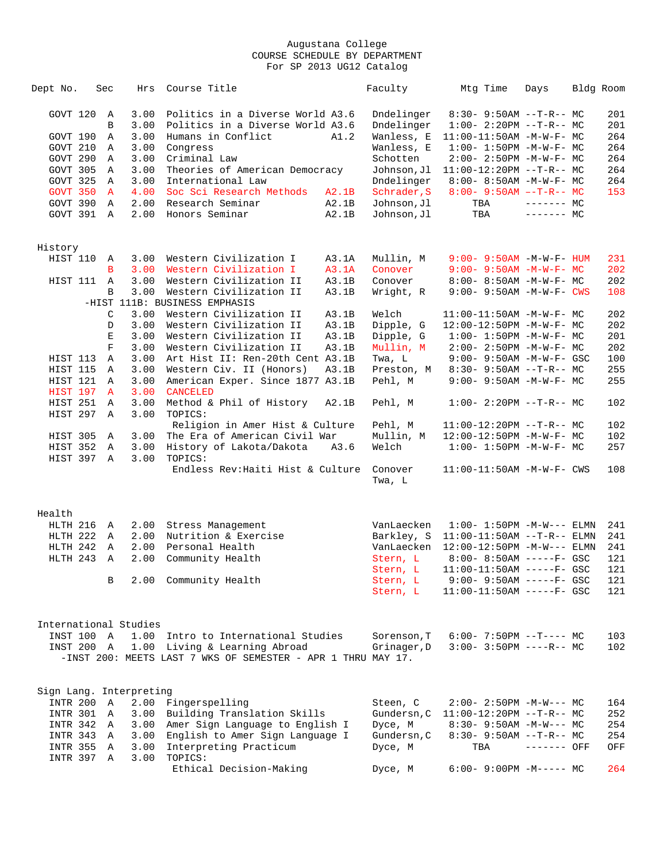| Dept No.   | Sec          | Hrs                     | Course Title                                                 |       | Faculty     | Mtg Time                          | Days        | Bldg Room |
|------------|--------------|-------------------------|--------------------------------------------------------------|-------|-------------|-----------------------------------|-------------|-----------|
| GOVT 120   | Α            | 3.00                    | Politics in a Diverse World A3.6                             |       | Dndelinger  | $8:30 - 9:50AM -T-R-- MC$         |             | 201       |
|            | B            | 3.00                    | Politics in a Diverse World A3.6                             |       | Dndelinger  | $1:00-2:20PM -T-R--MC$            |             | 201       |
| GOVT 190   | Α            | 3.00                    | Humans in Conflict                                           | A1.2  | Wanless, E  | $11:00-11:50AM$ -M-W-F- MC        |             | 264       |
| GOVT 210   | Α            | 3.00                    | Congress                                                     |       | Wanless, E  | $1:00 - 1:50PM - M - W - F - MC$  |             | 264       |
| GOVT 290   | A            | 3.00                    | Criminal Law                                                 |       | Schotten    | $2:00 - 2:50PM -M-W-F - MC$       |             | 264       |
| GOVT 305   | Α            | 3.00                    | Theories of American Democracy                               |       | Johnson, Jl | $11:00-12:20PM$ --T-R-- MC        |             | 264       |
| GOVT 325   | A            | 3.00                    | International Law                                            |       | Dndelinger  | $8:00 - 8:50AM - M - W - F - MC$  |             | 264       |
| GOVT 350   | $\mathbf{A}$ | 4.00                    | Soc Sci Research Methods                                     | A2.1B | Schrader, S | $8:00 - 9:50AM -T-R-- MC$         |             | 153       |
| GOVT 390   | A            | 2.00                    | Research Seminar                                             | A2.1B | Johnson, Jl | TBA                               | $------$ MC |           |
| GOVT 391   | $\Delta$     | 2.00                    | Honors Seminar                                               | A2.1B | Johnson, Jl | TBA                               | $------MC$  |           |
| History    |              |                         |                                                              |       |             |                                   |             |           |
| HIST 110   | Α            | 3.00                    | Western Civilization I                                       | A3.1A | Mullin, M   | $9:00 - 9:50AM - M - W - F - HUM$ |             | 231       |
|            | B            | 3.00                    | Western Civilization I                                       | A3.1A | Conover     | $9:00 - 9:50AM - M - W - F - MC$  |             | 202       |
| HIST 111   | A            | 3.00                    | Western Civilization II                                      | A3.1B | Conover     | 8:00- 8:50AM -M-W-F- MC           |             | 202       |
|            | B            | 3.00                    | Western Civilization II                                      | A3.1B | Wright, R   | $9:00 - 9:50AM - M - W - F - CWS$ |             | 108       |
|            |              |                         | -HIST 111B: BUSINESS EMPHASIS                                |       |             |                                   |             |           |
|            | C            | 3.00                    | Western Civilization II                                      | A3.1B | Welch       | $11:00-11:50AM$ -M-W-F- MC        |             | 202       |
|            | D            | 3.00                    | Western Civilization II                                      | A3.1B | Dipple, G   | 12:00-12:50PM -M-W-F- MC          |             | 202       |
|            | Ε            | 3.00                    | Western Civilization II                                      | A3.1B | Dipple, G   | $1:00 - 1:50PM - M - W - F - MC$  |             | 201       |
|            | F            | 3.00                    | Western Civilization II                                      | A3.1B | Mullin, M   | $2:00 - 2:50PM -M-W-F-MC$         |             | 202       |
| HIST 113   | Α            | 3.00                    | Art Hist II: Ren-20th Cent A3.1B                             |       | Twa, L      | $9:00 - 9:50AM - M - W - F - GSC$ |             | 100       |
| HIST 115   | Α            | 3.00                    | Western Civ. II (Honors)                                     | A3.1B | Preston, M  | $8:30 - 9:50AM -T-R--MC$          |             | 255       |
| HIST 121   | Α            | 3.00                    | American Exper. Since 1877 A3.1B                             |       | Pehl, M     | $9:00 - 9:50AM - M - W - F - MC$  |             | 255       |
| HIST 197   | $\mathbf{A}$ | 3.00                    | <b>CANCELED</b>                                              |       |             |                                   |             |           |
| HIST 251   | A            | 3.00                    | Method & Phil of History                                     | A2.1B | Pehl, M     | $1:00-2:20PM -T-R--MC$            |             | 102       |
| HIST 297   | Α            | 3.00                    | TOPICS:                                                      |       |             |                                   |             |           |
|            |              |                         | Religion in Amer Hist & Culture                              |       | Pehl, M     | $11:00-12:20PM$ --T-R-- MC        |             | 102       |
| HIST 305   | A            | 3.00                    | The Era of American Civil War                                |       | Mullin, M   | 12:00-12:50PM -M-W-F- MC          |             | 102       |
| HIST 352   | Α            | 3.00                    | History of Lakota/Dakota                                     | A3.6  | Welch       | $1:00 - 1:50PM -M-W-F - MC$       |             | 257       |
| HIST 397   | Α            | 3.00                    | TOPICS:<br>Endless Rev: Haiti Hist & Culture                 |       | Conover     | $11:00-11:50AM$ -M-W-F- CWS       |             | 108       |
|            |              |                         |                                                              |       | Twa, L      |                                   |             |           |
|            |              |                         |                                                              |       |             |                                   |             |           |
| Health     |              |                         |                                                              |       |             |                                   |             |           |
| HLTH 216   | A            | 2.00                    | Stress Management                                            |       | VanLaecken  | $1:00 - 1:50PM -M-W---$ ELMN      |             | 241       |
| HLTH 222   | A            | 2.00                    | Nutrition & Exercise                                         |       | Barkley, S  | $11:00-11:50AM$ --T-R-- ELMN      |             | 241       |
| HLTH 242   | A            | 2.00                    | Personal Health                                              |       | VanLaecken  | $12:00-12:50PM -M-W---$ ELMN      |             | 241       |
| HLTH 243   | A            | 2.00                    | Community Health                                             |       | Stern, L    | 8:00- 8:50AM -----F- GSC          |             | 121       |
|            |              |                         |                                                              |       | Stern, L    | $11:00-11:50AM$ -----F- GSC       |             | 121       |
|            | В            |                         | 2.00 Community Health                                        |       | Stern, L    | 9:00- 9:50AM -----F- GSC          |             | 121       |
|            |              |                         |                                                              |       | Stern, L    | 11:00-11:50AM -----F- GSC         |             | 121       |
|            |              | International Studies   |                                                              |       |             |                                   |             |           |
| INST 100 A |              |                         | 1.00 Intro to International Studies                          |       | Sorenson, T | $6:00 - 7:50PM -T--- MC$          |             | 103       |
| INST 200 A |              |                         | 1.00 Living & Learning Abroad                                |       | Grinager, D | $3:00-3:50PM$ ----R-- MC          |             | 102       |
|            |              |                         | -INST 200: MEETS LAST 7 WKS OF SEMESTER - APR 1 THRU MAY 17. |       |             |                                   |             |           |
|            |              |                         |                                                              |       |             |                                   |             |           |
|            |              | Sign Lang. Interpreting |                                                              |       |             |                                   |             |           |
| INTR 200 A |              |                         | 2.00 Fingerspelling                                          |       | Steen, C    | $2:00-2:50PM -M-W--- MC$          |             | 164       |
| INTR 301 A |              |                         | 3.00 Building Translation Skills                             |       | Gundersn, C | $11:00-12:20PM --T-R-- MC$        |             | 252       |
| INTR 342 A |              |                         | 3.00 Amer Sign Language to English I                         |       | Dyce, M     | $8:30 - 9:50AM - M-W--- MC$       |             | 254       |
| INTR 343 A |              |                         | 3.00 English to Amer Sign Language I                         |       | Gundersn, C | $8:30 - 9:50AM -T-R-- MC$         |             | 254       |
| INTR 355 A |              | 3.00                    | Interpreting Practicum                                       |       | Dyce, M     | TBA                               | ------- OFF | OFF       |
| INTR 397 A |              | 3.00                    | TOPICS:                                                      |       |             |                                   |             |           |
|            |              |                         | Ethical Decision-Making                                      |       | Dyce, M     | $6:00-9:00PM -M--- MC$            |             | 264       |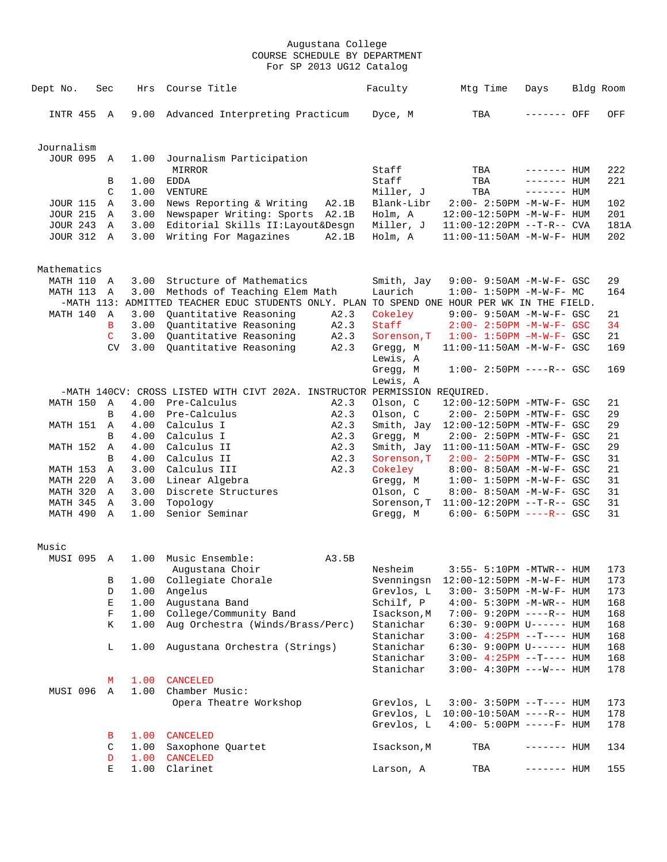| Dept No.                    | Sec         | Hrs          | Course Title                                                                                           | Faculty                | Mtg Time                                                             | Days         | Bldg Room  |
|-----------------------------|-------------|--------------|--------------------------------------------------------------------------------------------------------|------------------------|----------------------------------------------------------------------|--------------|------------|
|                             |             |              |                                                                                                        |                        |                                                                      |              |            |
| INTR 455 A                  |             | 9.00         | Advanced Interpreting Practicum                                                                        | Dyce, M                | TBA                                                                  | ------- OFF  | OFF        |
|                             |             |              |                                                                                                        |                        |                                                                      |              |            |
| Journalism                  |             |              |                                                                                                        |                        |                                                                      |              |            |
| JOUR 095 A                  |             | 1.00         | Journalism Participation                                                                               |                        |                                                                      |              |            |
|                             |             |              | <b>MIRROR</b>                                                                                          | Staff                  | TBA                                                                  | $------$ HUM | 222        |
|                             | B           | 1.00         | EDDA                                                                                                   | Staff                  | TBA                                                                  | $------$ HUM | 221        |
|                             | C           |              | 1.00 VENTURE                                                                                           | Miller, J              | TBA                                                                  | $------$ HUM |            |
| JOUR 115<br><b>JOUR 215</b> | A<br>A      |              | 3.00 News Reporting & Writing<br>A2.1B<br>3.00 Newspaper Writing: Sports<br>A2.1B                      | Blank-Libr<br>Holm, A  | 2:00- 2:50PM -M-W-F- HUM<br>12:00-12:50PM -M-W-F- HUM                |              | 102<br>201 |
| <b>JOUR 243 A</b>           |             | 3.00         | Editorial Skills II:Layout&Desgn                                                                       | Miller, J              | $11:00-12:20PM$ --T-R-- CVA                                          |              | 181A       |
| JOUR 312 A                  |             | 3.00         | Writing For Magazines<br>A2.1B                                                                         | Holm, A                | $11:00-11:50AM$ -M-W-F- HUM                                          |              | 202        |
|                             |             |              |                                                                                                        |                        |                                                                      |              |            |
|                             |             |              |                                                                                                        |                        |                                                                      |              |            |
| Mathematics<br>MATH 110 A   |             | 3.00         | Structure of Mathematics                                                                               | Smith, Jay             | 9:00- 9:50AM -M-W-F- GSC                                             |              | 29         |
| MATH 113 A                  |             |              | 3.00 Methods of Teaching Elem Math                                                                     | Laurich                | $1:00-1:50PM -M-W-F-MC$                                              |              | 164        |
|                             |             |              | -MATH 113: ADMITTED TEACHER EDUC STUDENTS ONLY. PLAN TO SPEND ONE HOUR PER WK IN THE FIELD.            |                        |                                                                      |              |            |
| MATH 140                    | A           | 3.00         | Quantitative Reasoning<br>A2.3                                                                         | Cokeley                | 9:00- 9:50AM -M-W-F- GSC                                             |              | 21         |
|                             | В           | 3.00         | Quantitative Reasoning<br>A2.3                                                                         | Staff                  | $2:00 - 2:50PM -M-W-F - GSC$                                         |              | 34         |
|                             | C           |              | 3.00 Quantitative Reasoning<br>A2.3                                                                    | Sorenson, T            | $1:00 - 1:50PM - M - W - F - GSC$                                    |              | 21         |
|                             | CV          | 3.00         | Quantitative Reasoning<br>A2.3                                                                         | Gregg, M               | $11:00-11:50AM$ -M-W-F- GSC                                          |              | 169        |
|                             |             |              |                                                                                                        | Lewis, A               |                                                                      |              |            |
|                             |             |              |                                                                                                        | Gregg, M               | $1:00-2:50PM$ ----R-- GSC                                            |              | 169        |
|                             |             |              |                                                                                                        | Lewis, A               |                                                                      |              |            |
| MATH 150                    | A           |              | -MATH 140CV: CROSS LISTED WITH CIVT 202A. INSTRUCTOR PERMISSION REQUIRED.<br>4.00 Pre-Calculus<br>A2.3 | Olson, C               | 12:00-12:50PM -MTW-F- GSC                                            |              | 21         |
|                             | B           | 4.00         | Pre-Calculus<br>A2.3                                                                                   | Olson, C               | $2:00-2:50PM -MTW-F-GSC$                                             |              | 29         |
| MATH 151                    | A           | 4.00         | Calculus I<br>A2.3                                                                                     |                        | Smith, Jay 12:00-12:50PM -MTW-F- GSC                                 |              | 29         |
|                             | B           | 4.00         | Calculus I<br>A2.3                                                                                     | Gregg, M               | 2:00- 2:50PM -MTW-F- GSC                                             |              | 21         |
| <b>MATH 152 A</b>           |             | 4.00         | Calculus II<br>A2.3                                                                                    |                        | Smith, Jay 11:00-11:50AM -MTW-F- GSC                                 |              | 29         |
|                             | B           | 4.00         | Calculus II<br>A2.3                                                                                    | Sorenson, T            | 2:00- 2:50PM -MTW-F- GSC                                             |              | 31         |
| MATH 153                    | A           | 3.00         | Calculus III<br>A2.3                                                                                   | Cokeley                | $8:00 - 8:50AM - M - W - F - GSC$                                    |              | 21         |
| MATH 220                    | A           | 3.00         | Linear Algebra                                                                                         | Gregg, M               | $1:00 - 1:50PM - M - W - F - GSC$                                    |              | 31         |
| MATH 320                    | A           | 3.00         | Discrete Structures                                                                                    | Olson, C               | 8:00- 8:50AM -M-W-F- GSC                                             |              | 31         |
| MATH 345<br>MATH 490 A      | A           | 3.00<br>1.00 | Topology<br>Senior Seminar                                                                             | Gregg, M               | Sorenson, T 11:00-12:20PM --T-R-- GSC<br>$6:00 - 6:50PM$ ----R-- GSC |              | 31<br>31   |
|                             |             |              |                                                                                                        |                        |                                                                      |              |            |
|                             |             |              |                                                                                                        |                        |                                                                      |              |            |
| Music<br>MUSI 095 A         |             |              | 1.00 Music Ensemble:<br>A3.5B                                                                          |                        |                                                                      |              |            |
|                             |             |              | Augustana Choir                                                                                        | Nesheim                | 3:55- 5:10PM -MTWR-- HUM                                             |              | 173        |
|                             | В           | 1.00         | Collegiate Chorale                                                                                     | Svenningsn             | 12:00-12:50PM -M-W-F- HUM                                            |              | 173        |
|                             | D           |              | 1.00 Angelus                                                                                           | Grevlos, L             | $3:00 - 3:50PM -M-W-F - HUM$                                         |              | 173        |
|                             | Е           |              | 1.00 Augustana Band                                                                                    | Schilf, P              | $4:00 - 5:30PM -M-WR-- HUM$                                          |              | 168        |
|                             | $\mathbf F$ |              | 1.00 College/Community Band                                                                            | Isackson, M            | 7:00- 9:20PM ----R-- HUM                                             |              | 168        |
|                             | К           |              | 1.00 Aug Orchestra (Winds/Brass/Perc)                                                                  | Stanichar              | 6:30- 9:00PM U------ HUM                                             |              | 168        |
|                             |             |              |                                                                                                        | Stanichar              | $3:00 - 4:25PM -T--- HUM$                                            |              | 168        |
|                             | $\mathbb L$ | 1.00         | Augustana Orchestra (Strings)                                                                          | Stanichar              | $6:30-9:00PM$ U------ HUM                                            |              | 168        |
|                             |             |              |                                                                                                        | Stanichar<br>Stanichar | $3:00-4:25PM -T--- HUM$<br>$3:00-4:30PM$ ---W--- HUM                 |              | 168<br>178 |
|                             | М           | 1.00         | <b>CANCELED</b>                                                                                        |                        |                                                                      |              |            |
| MUSI 096 A                  |             |              | 1.00 Chamber Music:                                                                                    |                        |                                                                      |              |            |
|                             |             |              | Opera Theatre Workshop                                                                                 | Grevlos, L             | $3:00 - 3:50PM -T--- HUM$                                            |              | 173        |
|                             |             |              |                                                                                                        | Grevlos, L             | $10:00-10:50$ AM ----R-- HUM                                         |              | 178        |
|                             |             |              |                                                                                                        | Grevlos, L             | $4:00 - 5:00PM$ -----F- HUM                                          |              | 178        |
|                             | В           | 1.00         | CANCELED                                                                                               |                        |                                                                      |              |            |
|                             | C           |              | 1.00 Saxophone Quartet                                                                                 | Isackson, M            | TBA                                                                  | $------$ HUM | 134        |
|                             | D           | 1.00         | CANCELED                                                                                               |                        |                                                                      |              |            |
|                             | E           | 1.00         | Clarinet                                                                                               | Larson, A              | TBA                                                                  | $------$ HUM | 155        |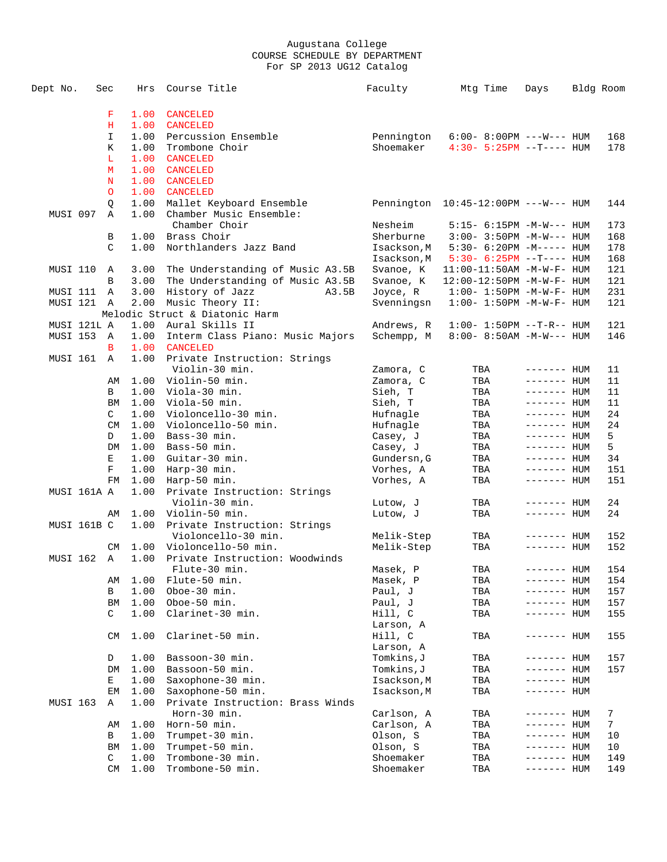| Dept No.        | Sec       | Hrs  | Course Title                          | Faculty     | Mtg Time                               | Days         | Bldg Room      |
|-----------------|-----------|------|---------------------------------------|-------------|----------------------------------------|--------------|----------------|
|                 |           |      |                                       |             |                                        |              |                |
|                 | F         | 1.00 | CANCELED                              |             |                                        |              |                |
|                 | н         | 1.00 | <b>CANCELED</b>                       |             |                                        |              |                |
|                 | I.        | 1.00 | Percussion Ensemble                   | Pennington  | $6:00 - 8:00 \, \text{PM}$ ---W--- HUM |              | 168            |
|                 | Κ         | 1.00 | Trombone Choir                        | Shoemaker   | $4:30 - 5:25PM -T--- HUM$              |              | 178            |
|                 | L         | 1.00 | <b>CANCELED</b>                       |             |                                        |              |                |
|                 | м         | 1.00 | CANCELED                              |             |                                        |              |                |
|                 | N         | 1.00 | <b>CANCELED</b>                       |             |                                        |              |                |
|                 | $\circ$   | 1.00 | <b>CANCELED</b>                       |             |                                        |              |                |
|                 | Q         | 1.00 | Mallet Keyboard Ensemble              |             | Pennington $10:45-12:00PM$ ---W--- HUM |              | 144            |
| MUSI 097        | A         | 1.00 | Chamber Music Ensemble:               |             |                                        |              |                |
|                 |           |      | Chamber Choir                         | Nesheim     | $5:15- 6:15PM -M-W--- HUM$             |              | 173            |
|                 | В         |      | 1.00 Brass Choir                      | Sherburne   | $3:00 - 3:50PM -M-W--- HUM$            |              | 168            |
|                 | C.        | 1.00 | Northlanders Jazz Band                | Isackson, M | $5:30-6:20PM -M--- HUM$                |              | 178            |
|                 |           |      |                                       | Isackson, M | $5:30-6:25PM -T--- HUM$                |              | 168            |
| MUSI 110 A      |           | 3.00 | The Understanding of Music A3.5B      | Svanoe, K   | 11:00-11:50AM -M-W-F- HUM              |              | 121            |
|                 | B         | 3.00 | The Understanding of Music A3.5B      | Svanoe, K   | 12:00-12:50PM -M-W-F- HUM              |              | 121            |
| MUSI 111 A      |           | 3.00 | History of Jazz<br>A3.5B              | Joyce, R    | $1:00 - 1:50PM - M - W - F - HUM$      |              | 231            |
| MUSI 121 A      |           |      | 2.00 Music Theory II:                 | Svenningsn  | $1:00 - 1:50PM - M - W - F - HUM$      |              | 121            |
|                 |           |      | Melodic Struct & Diatonic Harm        |             |                                        |              |                |
| MUSI 121L A     |           |      | 1.00 Aural Skills II                  | Andrews, R  | $1:00 - 1:50PM -T-R-- HUM$             |              | 121            |
| MUSI 153 A      |           |      | 1.00 Interm Class Piano: Music Majors | Schempp, M  | $8:00 - 8:50AM - M - W - - - HUM$      |              | 146            |
|                 | B         | 1.00 | <b>CANCELED</b>                       |             |                                        |              |                |
| MUSI 161        | A         | 1.00 | Private Instruction: Strings          |             |                                        |              |                |
|                 |           |      | Violin-30 min.                        | Zamora, C   | TBA                                    | ------- HUM  | 11             |
|                 | AΜ        |      | 1.00 Violin-50 min.                   | Zamora, C   | TBA                                    | ------- HUM  | 11             |
|                 | B         |      | $1.00$ Viola-30 min.                  | Sieh, T     | TBA                                    | ------- HUM  | 11             |
|                 | ΒM        |      | $1.00$ Viola-50 min.                  | Sieh, T     | TBA                                    | ------- HUM  | 11             |
|                 | C         |      | 1.00 Violoncello-30 min.              | Hufnagle    | TBA                                    | $------$ HUM | 24             |
|                 | CM        | 1.00 | Violoncello-50 min.                   | Hufnagle    | TBA                                    | ------- HUM  | 24             |
|                 | D         | 1.00 | Bass-30 min.                          | Casey, J    | TBA                                    | ------- HUM  | 5              |
|                 | DM        |      | $1.00$ Bass-50 min.                   | Casey, J    | TBA                                    | ------- HUM  | 5              |
|                 | Е         | 1.00 | Guitar-30 min.                        | Gundersn, G | TBA                                    | ------- HUM  | 34             |
|                 | F         | 1.00 | Harp-30 min.                          | Vorhes, A   | TBA                                    | $------$ HUM | 151            |
|                 | FM        | 1.00 | Harp-50 min.                          | Vorhes, A   | TBA                                    | ------- HUM  | 151            |
| MUSI 161A A     |           | 1.00 | Private Instruction: Strings          |             |                                        |              |                |
|                 |           |      | Violin-30 min.                        | Lutow, J    | TBA                                    | $------$ HUM | 24             |
|                 | AΜ        |      | 1.00 Violin-50 min.                   | Lutow, J    | TBA                                    | ------- HUM  | 24             |
| MUSI 161B C     |           |      | 1.00 Private Instruction: Strings     |             |                                        |              |                |
|                 |           |      | Violoncello-30 min.                   | Melik-Step  | TBA                                    | ------- HUM  | 152            |
|                 | <b>CM</b> |      | 1.00 Violoncello-50 min.              | Melik-Step  | TBA                                    | $------$ HUM | 152            |
| MUSI 162 A      |           |      | 1.00 Private Instruction: Woodwinds   |             |                                        |              |                |
|                 |           |      | Flute-30 min.                         | Masek, P    | TBA                                    | $------HH$   | 154            |
|                 | AΜ        |      | 1.00 Flute-50 min.                    | Masek, P    | TBA                                    | $------$ HUM | 154            |
|                 | В         |      | 1.00 Oboe-30 min.                     | Paul, J     | TBA                                    | ------- HUM  | 157            |
|                 | BM        | 1.00 | Oboe-50 min.                          | Paul, J     | TBA                                    | ------- HUM  | 157            |
|                 | C         | 1.00 | Clarinet-30 min.                      | Hill, C     | TBA                                    | ------- HUM  | 155            |
|                 |           |      |                                       | Larson, A   |                                        |              |                |
|                 | <b>CM</b> | 1.00 | Clarinet-50 min.                      | Hill, C     | TBA                                    | ------- HUM  | 155            |
|                 |           |      |                                       | Larson, A   |                                        |              |                |
|                 | D         | 1.00 | Bassoon-30 min.                       | Tomkins, J  | TBA                                    | $------$ HUM | 157            |
|                 | DM        | 1.00 | Bassoon-50 min.                       | Tomkins, J  | TBA                                    | ------- HUM  | 157            |
|                 | Е         | 1.00 | Saxophone-30 min.                     | Isackson, M | TBA                                    | ------- HUM  |                |
|                 | EМ        | 1.00 | Saxophone-50 min.                     | Isackson, M | TBA                                    | ------- HUM  |                |
| <b>MUSI 163</b> | Α         | 1.00 | Private Instruction: Brass Winds      |             |                                        |              |                |
|                 |           |      | Horn-30 min.                          | Carlson, A  | TBA                                    | ------- HUM  | 7              |
|                 | AΜ        | 1.00 | Horn-50 min.                          | Carlson, A  | TBA                                    | ------- HUM  | $7\phantom{.}$ |
|                 | В         | 1.00 | Trumpet-30 min.                       | Olson, S    | TBA                                    | ------- HUM  | 10             |
|                 | ΒM        | 1.00 | Trumpet-50 min.                       | Olson, S    | TBA                                    | ------- HUM  | 10             |
|                 | С         | 1.00 | Trombone-30 min.                      | Shoemaker   | TBA                                    | ------- HUM  | 149            |
|                 | CM        | 1.00 | Trombone-50 min.                      | Shoemaker   | TBA                                    | ------- HUM  | 149            |
|                 |           |      |                                       |             |                                        |              |                |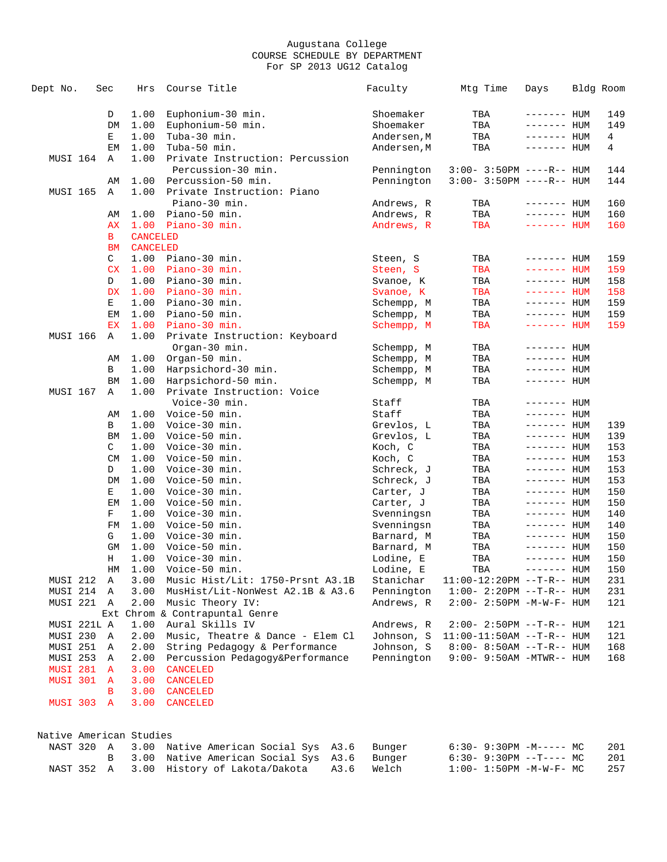| 1.00<br>Euphonium-30 min.<br>Shoemaker<br>TBA<br>149<br>D<br>------- HUM<br>DM<br>1.00<br>Euphonium-50 min.<br>Shoemaker<br>TBA<br>149<br>$------$ HUM<br>1.00<br>Tuba-30 min.<br>Е<br>Andersen, M<br>TBA<br>------- HUM<br>4<br>1.00<br>Tuba-50 min.<br>$\overline{4}$<br>ЕM<br>Andersen, M<br>TBA<br>------- HUM<br>MUSI 164<br>1.00<br>Private Instruction: Percussion<br>A<br>Percussion-30 min.<br>Pennington<br>$3:00 - 3:50PM$ ----R-- HUM<br>144<br>1.00 Percussion-50 min.<br>Pennington<br>$3:00 - 3:50PM$ ----R-- HUM<br>144<br>AΜ<br><b>MUSI 165</b><br>1.00 Private Instruction: Piano<br>Α<br>Piano-30 min.<br>160<br>Andrews, R<br>TBA<br>$------$ HUM<br>$1.00$ Piano-50 min.<br>Andrews, R<br>TBA<br>160<br>$------$ HUM<br>AΜ<br>$1.00$ Piano-30 min.<br>Andrews, R<br>TBA<br>$------$ HUM<br>160<br>AX<br>В<br><b>CANCELED</b><br><b>CANCELED</b><br>ВM<br>C<br>1.00 Piano-30 min.<br>TBA<br>Steen, S<br>$------$ HUM<br>159<br>CX<br>1.00<br>Piano-30 min.<br>TBA<br>Steen, S<br>$------$ HUM<br>159<br>1.00 Piano-30 min.<br>TBA<br>$------$ HUM<br>158<br>D<br>Svanoe, K<br>1.00 Piano-30 min.<br><b>DX</b><br>Svanoe, K<br>TBA<br>$------$ HUM<br>158<br>Е<br>$1.00$ Piano-30 min.<br>TBA<br>159<br>Schempp, M<br>$------$ HUM<br>$1.00$ Piano-50 min.<br>Schempp, M<br>TBA<br>$------$ HUM<br>159<br>EМ<br>1.00 Piano-30 min.<br>Schempp, M<br>TBA<br>------- HUM<br>159<br>ЕX<br><b>MUSI 166</b><br>1.00 Private Instruction: Keyboard<br>Α<br>Organ-30 min.<br>TBA<br>Schempp, M<br>------- HUM<br>1.00<br>Organ-50 min.<br>Schempp, M<br>TBA<br>$------$ HUM<br>AΜ<br>1.00<br>Harpsichord-30 min.<br>Schempp, M<br>TBA<br>$------$ HUM<br>В<br>1.00<br>Harpsichord-50 min.<br>Schempp, M<br>TBA<br>ΒM<br>------- HUM<br>MUSI 167<br>1.00<br>Private Instruction: Voice<br>Α<br>Voice-30 min.<br>Staff<br>TBA<br>$------$ HUM<br>Staff<br>$1.00$ Voice-50 min.<br>TBA<br>$------$ HUM<br>AΜ<br>1.00<br>Voice-30 min.<br>Grevlos, L<br>TBA<br>$------$ HUM<br>В<br>139<br>1.00<br>Voice-50 min.<br><b>BM</b><br>Grevlos, L<br>TBA<br>$------$ HUM<br>139<br>1.00 Voice-30 min.<br>C<br>Koch, C<br>TBA<br>$------$ HUM<br>153<br>CM<br>1.00<br>Voice-50 min.<br>Koch, C<br>TBA<br>$------$ HUM<br>153<br>D<br>1.00<br>Voice-30 min.<br>Schreck, J<br>TBA<br>153<br>$------$ HUM<br>DM<br>1.00<br>Voice-50 min.<br>Schreck, J<br>TBA<br>153<br>$------$ HUM<br>1.00<br>Voice-30 min.<br>150<br>Е<br>Carter, J<br>TBA<br>$------$ HUM<br>1.00<br>Voice-50 min.<br>EM<br>Carter, J<br>TBA<br>$------$ HUM<br>150<br>F<br>$1.00$ Voice-30 min.<br>Svenningsn<br>TBA<br>$------$ HUM<br>140<br>1.00 Voice-50 min.<br>Svenningsn<br>TBA<br>140<br>FM<br>$------$ HUM<br>G<br>1.00<br>Voice-30 min.<br>Barnard, M<br>TBA<br>------- HUM<br>150<br>1.00<br>Voice-50 min.<br>GM<br>Barnard, M<br>TBA<br>------- HUM<br>150<br>1.00 Voice-30 min.<br>150<br>Н<br>Lodine, E<br>TBA<br>$------$ HUM<br>150<br>HM 1.00 Voice-50 min.<br>TBA<br>Lodine, E<br>------- HUM<br>MUSI 212 A<br>3.00 Music Hist/Lit: 1750-Prsnt A3.1B<br>11:00-12:20PM --T-R-- HUM<br>Stanichar<br>231<br>MUSI 214 A<br>3.00 MusHist/Lit-NonWest A2.1B & A3.6<br>Pennington<br>$1:00 - 2:20PM -T-R--HUM$<br>231<br>MUSI 221 A<br>2.00 Music Theory IV:<br>Andrews, R<br>$2:00 - 2:50PM -M-W-F- HUM$<br>121<br>Ext Chrom & Contrapuntal Genre<br>MUSI 221L A<br>1.00 Aural Skills IV<br>Andrews, R<br>$2:00 - 2:50PM -T-R-- HUM$<br>121<br>MUSI 230 A<br>2.00 Music, Theatre & Dance - Elem Cl<br>Johnson, S<br>$11:00-11:50AM$ --T-R-- HUM<br>121<br>String Pedagogy & Performance<br>Johnson, S<br>MUSI 251 A<br>2.00<br>$8:00 - 8:50AM -T-R-- HUM$<br>168<br>2.00<br>Percussion Pedagogy&Performance<br>Pennington<br>MUSI 253 A<br>$9:00 - 9:50AM - MTWR - - HUM$<br>168<br><b>MUSI 281 A</b><br>3.00<br><b>CANCELED</b><br>MUSI 301 A<br>3.00<br><b>CANCELED</b><br>3.00<br><b>CANCELED</b><br>В<br>MUSI 303 A<br>3.00<br>CANCELED<br>Native American Studies<br>3.00 Native American Social Sys<br>NAST 320 A<br>A3.6<br>Bunger<br>$6:30 - 9:30PM -M--- M$<br>201<br>3.00 Native American Social Sys<br>A3.6<br>$6:30-9:30PM --T---MC$<br>201<br>Bunger<br>B<br>NAST 352 A<br>3.00 History of Lakota/Dakota<br>A3.6<br>Welch<br>257<br>$1:00 - 1:50PM - M - W - F - MC$ | Dept No. | Sec | Hrs | Course Title | Faculty | Mtg Time | Days | Bldg Room |  |
|------------------------------------------------------------------------------------------------------------------------------------------------------------------------------------------------------------------------------------------------------------------------------------------------------------------------------------------------------------------------------------------------------------------------------------------------------------------------------------------------------------------------------------------------------------------------------------------------------------------------------------------------------------------------------------------------------------------------------------------------------------------------------------------------------------------------------------------------------------------------------------------------------------------------------------------------------------------------------------------------------------------------------------------------------------------------------------------------------------------------------------------------------------------------------------------------------------------------------------------------------------------------------------------------------------------------------------------------------------------------------------------------------------------------------------------------------------------------------------------------------------------------------------------------------------------------------------------------------------------------------------------------------------------------------------------------------------------------------------------------------------------------------------------------------------------------------------------------------------------------------------------------------------------------------------------------------------------------------------------------------------------------------------------------------------------------------------------------------------------------------------------------------------------------------------------------------------------------------------------------------------------------------------------------------------------------------------------------------------------------------------------------------------------------------------------------------------------------------------------------------------------------------------------------------------------------------------------------------------------------------------------------------------------------------------------------------------------------------------------------------------------------------------------------------------------------------------------------------------------------------------------------------------------------------------------------------------------------------------------------------------------------------------------------------------------------------------------------------------------------------------------------------------------------------------------------------------------------------------------------------------------------------------------------------------------------------------------------------------------------------------------------------------------------------------------------------------------------------------------------------------------------------------------------------------------------------------------------------------------------------------------------------------------------------------------------------------------------------------------------------------------------------------------------------------------------------------------------------------------------------------------------------------------------------------------------------------------------------------------------------------------------------------------------------------------------------------------------------------------------------------------------------------------------------------------------------------------------------------------------------------------|----------|-----|-----|--------------|---------|----------|------|-----------|--|
|                                                                                                                                                                                                                                                                                                                                                                                                                                                                                                                                                                                                                                                                                                                                                                                                                                                                                                                                                                                                                                                                                                                                                                                                                                                                                                                                                                                                                                                                                                                                                                                                                                                                                                                                                                                                                                                                                                                                                                                                                                                                                                                                                                                                                                                                                                                                                                                                                                                                                                                                                                                                                                                                                                                                                                                                                                                                                                                                                                                                                                                                                                                                                                                                                                                                                                                                                                                                                                                                                                                                                                                                                                                                                                                                                                                                                                                                                                                                                                                                                                                                                                                                                                                                                                                                  |          |     |     |              |         |          |      |           |  |
|                                                                                                                                                                                                                                                                                                                                                                                                                                                                                                                                                                                                                                                                                                                                                                                                                                                                                                                                                                                                                                                                                                                                                                                                                                                                                                                                                                                                                                                                                                                                                                                                                                                                                                                                                                                                                                                                                                                                                                                                                                                                                                                                                                                                                                                                                                                                                                                                                                                                                                                                                                                                                                                                                                                                                                                                                                                                                                                                                                                                                                                                                                                                                                                                                                                                                                                                                                                                                                                                                                                                                                                                                                                                                                                                                                                                                                                                                                                                                                                                                                                                                                                                                                                                                                                                  |          |     |     |              |         |          |      |           |  |
|                                                                                                                                                                                                                                                                                                                                                                                                                                                                                                                                                                                                                                                                                                                                                                                                                                                                                                                                                                                                                                                                                                                                                                                                                                                                                                                                                                                                                                                                                                                                                                                                                                                                                                                                                                                                                                                                                                                                                                                                                                                                                                                                                                                                                                                                                                                                                                                                                                                                                                                                                                                                                                                                                                                                                                                                                                                                                                                                                                                                                                                                                                                                                                                                                                                                                                                                                                                                                                                                                                                                                                                                                                                                                                                                                                                                                                                                                                                                                                                                                                                                                                                                                                                                                                                                  |          |     |     |              |         |          |      |           |  |
|                                                                                                                                                                                                                                                                                                                                                                                                                                                                                                                                                                                                                                                                                                                                                                                                                                                                                                                                                                                                                                                                                                                                                                                                                                                                                                                                                                                                                                                                                                                                                                                                                                                                                                                                                                                                                                                                                                                                                                                                                                                                                                                                                                                                                                                                                                                                                                                                                                                                                                                                                                                                                                                                                                                                                                                                                                                                                                                                                                                                                                                                                                                                                                                                                                                                                                                                                                                                                                                                                                                                                                                                                                                                                                                                                                                                                                                                                                                                                                                                                                                                                                                                                                                                                                                                  |          |     |     |              |         |          |      |           |  |
|                                                                                                                                                                                                                                                                                                                                                                                                                                                                                                                                                                                                                                                                                                                                                                                                                                                                                                                                                                                                                                                                                                                                                                                                                                                                                                                                                                                                                                                                                                                                                                                                                                                                                                                                                                                                                                                                                                                                                                                                                                                                                                                                                                                                                                                                                                                                                                                                                                                                                                                                                                                                                                                                                                                                                                                                                                                                                                                                                                                                                                                                                                                                                                                                                                                                                                                                                                                                                                                                                                                                                                                                                                                                                                                                                                                                                                                                                                                                                                                                                                                                                                                                                                                                                                                                  |          |     |     |              |         |          |      |           |  |
|                                                                                                                                                                                                                                                                                                                                                                                                                                                                                                                                                                                                                                                                                                                                                                                                                                                                                                                                                                                                                                                                                                                                                                                                                                                                                                                                                                                                                                                                                                                                                                                                                                                                                                                                                                                                                                                                                                                                                                                                                                                                                                                                                                                                                                                                                                                                                                                                                                                                                                                                                                                                                                                                                                                                                                                                                                                                                                                                                                                                                                                                                                                                                                                                                                                                                                                                                                                                                                                                                                                                                                                                                                                                                                                                                                                                                                                                                                                                                                                                                                                                                                                                                                                                                                                                  |          |     |     |              |         |          |      |           |  |
|                                                                                                                                                                                                                                                                                                                                                                                                                                                                                                                                                                                                                                                                                                                                                                                                                                                                                                                                                                                                                                                                                                                                                                                                                                                                                                                                                                                                                                                                                                                                                                                                                                                                                                                                                                                                                                                                                                                                                                                                                                                                                                                                                                                                                                                                                                                                                                                                                                                                                                                                                                                                                                                                                                                                                                                                                                                                                                                                                                                                                                                                                                                                                                                                                                                                                                                                                                                                                                                                                                                                                                                                                                                                                                                                                                                                                                                                                                                                                                                                                                                                                                                                                                                                                                                                  |          |     |     |              |         |          |      |           |  |
|                                                                                                                                                                                                                                                                                                                                                                                                                                                                                                                                                                                                                                                                                                                                                                                                                                                                                                                                                                                                                                                                                                                                                                                                                                                                                                                                                                                                                                                                                                                                                                                                                                                                                                                                                                                                                                                                                                                                                                                                                                                                                                                                                                                                                                                                                                                                                                                                                                                                                                                                                                                                                                                                                                                                                                                                                                                                                                                                                                                                                                                                                                                                                                                                                                                                                                                                                                                                                                                                                                                                                                                                                                                                                                                                                                                                                                                                                                                                                                                                                                                                                                                                                                                                                                                                  |          |     |     |              |         |          |      |           |  |
|                                                                                                                                                                                                                                                                                                                                                                                                                                                                                                                                                                                                                                                                                                                                                                                                                                                                                                                                                                                                                                                                                                                                                                                                                                                                                                                                                                                                                                                                                                                                                                                                                                                                                                                                                                                                                                                                                                                                                                                                                                                                                                                                                                                                                                                                                                                                                                                                                                                                                                                                                                                                                                                                                                                                                                                                                                                                                                                                                                                                                                                                                                                                                                                                                                                                                                                                                                                                                                                                                                                                                                                                                                                                                                                                                                                                                                                                                                                                                                                                                                                                                                                                                                                                                                                                  |          |     |     |              |         |          |      |           |  |
|                                                                                                                                                                                                                                                                                                                                                                                                                                                                                                                                                                                                                                                                                                                                                                                                                                                                                                                                                                                                                                                                                                                                                                                                                                                                                                                                                                                                                                                                                                                                                                                                                                                                                                                                                                                                                                                                                                                                                                                                                                                                                                                                                                                                                                                                                                                                                                                                                                                                                                                                                                                                                                                                                                                                                                                                                                                                                                                                                                                                                                                                                                                                                                                                                                                                                                                                                                                                                                                                                                                                                                                                                                                                                                                                                                                                                                                                                                                                                                                                                                                                                                                                                                                                                                                                  |          |     |     |              |         |          |      |           |  |
|                                                                                                                                                                                                                                                                                                                                                                                                                                                                                                                                                                                                                                                                                                                                                                                                                                                                                                                                                                                                                                                                                                                                                                                                                                                                                                                                                                                                                                                                                                                                                                                                                                                                                                                                                                                                                                                                                                                                                                                                                                                                                                                                                                                                                                                                                                                                                                                                                                                                                                                                                                                                                                                                                                                                                                                                                                                                                                                                                                                                                                                                                                                                                                                                                                                                                                                                                                                                                                                                                                                                                                                                                                                                                                                                                                                                                                                                                                                                                                                                                                                                                                                                                                                                                                                                  |          |     |     |              |         |          |      |           |  |
|                                                                                                                                                                                                                                                                                                                                                                                                                                                                                                                                                                                                                                                                                                                                                                                                                                                                                                                                                                                                                                                                                                                                                                                                                                                                                                                                                                                                                                                                                                                                                                                                                                                                                                                                                                                                                                                                                                                                                                                                                                                                                                                                                                                                                                                                                                                                                                                                                                                                                                                                                                                                                                                                                                                                                                                                                                                                                                                                                                                                                                                                                                                                                                                                                                                                                                                                                                                                                                                                                                                                                                                                                                                                                                                                                                                                                                                                                                                                                                                                                                                                                                                                                                                                                                                                  |          |     |     |              |         |          |      |           |  |
|                                                                                                                                                                                                                                                                                                                                                                                                                                                                                                                                                                                                                                                                                                                                                                                                                                                                                                                                                                                                                                                                                                                                                                                                                                                                                                                                                                                                                                                                                                                                                                                                                                                                                                                                                                                                                                                                                                                                                                                                                                                                                                                                                                                                                                                                                                                                                                                                                                                                                                                                                                                                                                                                                                                                                                                                                                                                                                                                                                                                                                                                                                                                                                                                                                                                                                                                                                                                                                                                                                                                                                                                                                                                                                                                                                                                                                                                                                                                                                                                                                                                                                                                                                                                                                                                  |          |     |     |              |         |          |      |           |  |
|                                                                                                                                                                                                                                                                                                                                                                                                                                                                                                                                                                                                                                                                                                                                                                                                                                                                                                                                                                                                                                                                                                                                                                                                                                                                                                                                                                                                                                                                                                                                                                                                                                                                                                                                                                                                                                                                                                                                                                                                                                                                                                                                                                                                                                                                                                                                                                                                                                                                                                                                                                                                                                                                                                                                                                                                                                                                                                                                                                                                                                                                                                                                                                                                                                                                                                                                                                                                                                                                                                                                                                                                                                                                                                                                                                                                                                                                                                                                                                                                                                                                                                                                                                                                                                                                  |          |     |     |              |         |          |      |           |  |
|                                                                                                                                                                                                                                                                                                                                                                                                                                                                                                                                                                                                                                                                                                                                                                                                                                                                                                                                                                                                                                                                                                                                                                                                                                                                                                                                                                                                                                                                                                                                                                                                                                                                                                                                                                                                                                                                                                                                                                                                                                                                                                                                                                                                                                                                                                                                                                                                                                                                                                                                                                                                                                                                                                                                                                                                                                                                                                                                                                                                                                                                                                                                                                                                                                                                                                                                                                                                                                                                                                                                                                                                                                                                                                                                                                                                                                                                                                                                                                                                                                                                                                                                                                                                                                                                  |          |     |     |              |         |          |      |           |  |
|                                                                                                                                                                                                                                                                                                                                                                                                                                                                                                                                                                                                                                                                                                                                                                                                                                                                                                                                                                                                                                                                                                                                                                                                                                                                                                                                                                                                                                                                                                                                                                                                                                                                                                                                                                                                                                                                                                                                                                                                                                                                                                                                                                                                                                                                                                                                                                                                                                                                                                                                                                                                                                                                                                                                                                                                                                                                                                                                                                                                                                                                                                                                                                                                                                                                                                                                                                                                                                                                                                                                                                                                                                                                                                                                                                                                                                                                                                                                                                                                                                                                                                                                                                                                                                                                  |          |     |     |              |         |          |      |           |  |
|                                                                                                                                                                                                                                                                                                                                                                                                                                                                                                                                                                                                                                                                                                                                                                                                                                                                                                                                                                                                                                                                                                                                                                                                                                                                                                                                                                                                                                                                                                                                                                                                                                                                                                                                                                                                                                                                                                                                                                                                                                                                                                                                                                                                                                                                                                                                                                                                                                                                                                                                                                                                                                                                                                                                                                                                                                                                                                                                                                                                                                                                                                                                                                                                                                                                                                                                                                                                                                                                                                                                                                                                                                                                                                                                                                                                                                                                                                                                                                                                                                                                                                                                                                                                                                                                  |          |     |     |              |         |          |      |           |  |
|                                                                                                                                                                                                                                                                                                                                                                                                                                                                                                                                                                                                                                                                                                                                                                                                                                                                                                                                                                                                                                                                                                                                                                                                                                                                                                                                                                                                                                                                                                                                                                                                                                                                                                                                                                                                                                                                                                                                                                                                                                                                                                                                                                                                                                                                                                                                                                                                                                                                                                                                                                                                                                                                                                                                                                                                                                                                                                                                                                                                                                                                                                                                                                                                                                                                                                                                                                                                                                                                                                                                                                                                                                                                                                                                                                                                                                                                                                                                                                                                                                                                                                                                                                                                                                                                  |          |     |     |              |         |          |      |           |  |
|                                                                                                                                                                                                                                                                                                                                                                                                                                                                                                                                                                                                                                                                                                                                                                                                                                                                                                                                                                                                                                                                                                                                                                                                                                                                                                                                                                                                                                                                                                                                                                                                                                                                                                                                                                                                                                                                                                                                                                                                                                                                                                                                                                                                                                                                                                                                                                                                                                                                                                                                                                                                                                                                                                                                                                                                                                                                                                                                                                                                                                                                                                                                                                                                                                                                                                                                                                                                                                                                                                                                                                                                                                                                                                                                                                                                                                                                                                                                                                                                                                                                                                                                                                                                                                                                  |          |     |     |              |         |          |      |           |  |
|                                                                                                                                                                                                                                                                                                                                                                                                                                                                                                                                                                                                                                                                                                                                                                                                                                                                                                                                                                                                                                                                                                                                                                                                                                                                                                                                                                                                                                                                                                                                                                                                                                                                                                                                                                                                                                                                                                                                                                                                                                                                                                                                                                                                                                                                                                                                                                                                                                                                                                                                                                                                                                                                                                                                                                                                                                                                                                                                                                                                                                                                                                                                                                                                                                                                                                                                                                                                                                                                                                                                                                                                                                                                                                                                                                                                                                                                                                                                                                                                                                                                                                                                                                                                                                                                  |          |     |     |              |         |          |      |           |  |
|                                                                                                                                                                                                                                                                                                                                                                                                                                                                                                                                                                                                                                                                                                                                                                                                                                                                                                                                                                                                                                                                                                                                                                                                                                                                                                                                                                                                                                                                                                                                                                                                                                                                                                                                                                                                                                                                                                                                                                                                                                                                                                                                                                                                                                                                                                                                                                                                                                                                                                                                                                                                                                                                                                                                                                                                                                                                                                                                                                                                                                                                                                                                                                                                                                                                                                                                                                                                                                                                                                                                                                                                                                                                                                                                                                                                                                                                                                                                                                                                                                                                                                                                                                                                                                                                  |          |     |     |              |         |          |      |           |  |
|                                                                                                                                                                                                                                                                                                                                                                                                                                                                                                                                                                                                                                                                                                                                                                                                                                                                                                                                                                                                                                                                                                                                                                                                                                                                                                                                                                                                                                                                                                                                                                                                                                                                                                                                                                                                                                                                                                                                                                                                                                                                                                                                                                                                                                                                                                                                                                                                                                                                                                                                                                                                                                                                                                                                                                                                                                                                                                                                                                                                                                                                                                                                                                                                                                                                                                                                                                                                                                                                                                                                                                                                                                                                                                                                                                                                                                                                                                                                                                                                                                                                                                                                                                                                                                                                  |          |     |     |              |         |          |      |           |  |
|                                                                                                                                                                                                                                                                                                                                                                                                                                                                                                                                                                                                                                                                                                                                                                                                                                                                                                                                                                                                                                                                                                                                                                                                                                                                                                                                                                                                                                                                                                                                                                                                                                                                                                                                                                                                                                                                                                                                                                                                                                                                                                                                                                                                                                                                                                                                                                                                                                                                                                                                                                                                                                                                                                                                                                                                                                                                                                                                                                                                                                                                                                                                                                                                                                                                                                                                                                                                                                                                                                                                                                                                                                                                                                                                                                                                                                                                                                                                                                                                                                                                                                                                                                                                                                                                  |          |     |     |              |         |          |      |           |  |
|                                                                                                                                                                                                                                                                                                                                                                                                                                                                                                                                                                                                                                                                                                                                                                                                                                                                                                                                                                                                                                                                                                                                                                                                                                                                                                                                                                                                                                                                                                                                                                                                                                                                                                                                                                                                                                                                                                                                                                                                                                                                                                                                                                                                                                                                                                                                                                                                                                                                                                                                                                                                                                                                                                                                                                                                                                                                                                                                                                                                                                                                                                                                                                                                                                                                                                                                                                                                                                                                                                                                                                                                                                                                                                                                                                                                                                                                                                                                                                                                                                                                                                                                                                                                                                                                  |          |     |     |              |         |          |      |           |  |
|                                                                                                                                                                                                                                                                                                                                                                                                                                                                                                                                                                                                                                                                                                                                                                                                                                                                                                                                                                                                                                                                                                                                                                                                                                                                                                                                                                                                                                                                                                                                                                                                                                                                                                                                                                                                                                                                                                                                                                                                                                                                                                                                                                                                                                                                                                                                                                                                                                                                                                                                                                                                                                                                                                                                                                                                                                                                                                                                                                                                                                                                                                                                                                                                                                                                                                                                                                                                                                                                                                                                                                                                                                                                                                                                                                                                                                                                                                                                                                                                                                                                                                                                                                                                                                                                  |          |     |     |              |         |          |      |           |  |
|                                                                                                                                                                                                                                                                                                                                                                                                                                                                                                                                                                                                                                                                                                                                                                                                                                                                                                                                                                                                                                                                                                                                                                                                                                                                                                                                                                                                                                                                                                                                                                                                                                                                                                                                                                                                                                                                                                                                                                                                                                                                                                                                                                                                                                                                                                                                                                                                                                                                                                                                                                                                                                                                                                                                                                                                                                                                                                                                                                                                                                                                                                                                                                                                                                                                                                                                                                                                                                                                                                                                                                                                                                                                                                                                                                                                                                                                                                                                                                                                                                                                                                                                                                                                                                                                  |          |     |     |              |         |          |      |           |  |
|                                                                                                                                                                                                                                                                                                                                                                                                                                                                                                                                                                                                                                                                                                                                                                                                                                                                                                                                                                                                                                                                                                                                                                                                                                                                                                                                                                                                                                                                                                                                                                                                                                                                                                                                                                                                                                                                                                                                                                                                                                                                                                                                                                                                                                                                                                                                                                                                                                                                                                                                                                                                                                                                                                                                                                                                                                                                                                                                                                                                                                                                                                                                                                                                                                                                                                                                                                                                                                                                                                                                                                                                                                                                                                                                                                                                                                                                                                                                                                                                                                                                                                                                                                                                                                                                  |          |     |     |              |         |          |      |           |  |
|                                                                                                                                                                                                                                                                                                                                                                                                                                                                                                                                                                                                                                                                                                                                                                                                                                                                                                                                                                                                                                                                                                                                                                                                                                                                                                                                                                                                                                                                                                                                                                                                                                                                                                                                                                                                                                                                                                                                                                                                                                                                                                                                                                                                                                                                                                                                                                                                                                                                                                                                                                                                                                                                                                                                                                                                                                                                                                                                                                                                                                                                                                                                                                                                                                                                                                                                                                                                                                                                                                                                                                                                                                                                                                                                                                                                                                                                                                                                                                                                                                                                                                                                                                                                                                                                  |          |     |     |              |         |          |      |           |  |
|                                                                                                                                                                                                                                                                                                                                                                                                                                                                                                                                                                                                                                                                                                                                                                                                                                                                                                                                                                                                                                                                                                                                                                                                                                                                                                                                                                                                                                                                                                                                                                                                                                                                                                                                                                                                                                                                                                                                                                                                                                                                                                                                                                                                                                                                                                                                                                                                                                                                                                                                                                                                                                                                                                                                                                                                                                                                                                                                                                                                                                                                                                                                                                                                                                                                                                                                                                                                                                                                                                                                                                                                                                                                                                                                                                                                                                                                                                                                                                                                                                                                                                                                                                                                                                                                  |          |     |     |              |         |          |      |           |  |
|                                                                                                                                                                                                                                                                                                                                                                                                                                                                                                                                                                                                                                                                                                                                                                                                                                                                                                                                                                                                                                                                                                                                                                                                                                                                                                                                                                                                                                                                                                                                                                                                                                                                                                                                                                                                                                                                                                                                                                                                                                                                                                                                                                                                                                                                                                                                                                                                                                                                                                                                                                                                                                                                                                                                                                                                                                                                                                                                                                                                                                                                                                                                                                                                                                                                                                                                                                                                                                                                                                                                                                                                                                                                                                                                                                                                                                                                                                                                                                                                                                                                                                                                                                                                                                                                  |          |     |     |              |         |          |      |           |  |
|                                                                                                                                                                                                                                                                                                                                                                                                                                                                                                                                                                                                                                                                                                                                                                                                                                                                                                                                                                                                                                                                                                                                                                                                                                                                                                                                                                                                                                                                                                                                                                                                                                                                                                                                                                                                                                                                                                                                                                                                                                                                                                                                                                                                                                                                                                                                                                                                                                                                                                                                                                                                                                                                                                                                                                                                                                                                                                                                                                                                                                                                                                                                                                                                                                                                                                                                                                                                                                                                                                                                                                                                                                                                                                                                                                                                                                                                                                                                                                                                                                                                                                                                                                                                                                                                  |          |     |     |              |         |          |      |           |  |
|                                                                                                                                                                                                                                                                                                                                                                                                                                                                                                                                                                                                                                                                                                                                                                                                                                                                                                                                                                                                                                                                                                                                                                                                                                                                                                                                                                                                                                                                                                                                                                                                                                                                                                                                                                                                                                                                                                                                                                                                                                                                                                                                                                                                                                                                                                                                                                                                                                                                                                                                                                                                                                                                                                                                                                                                                                                                                                                                                                                                                                                                                                                                                                                                                                                                                                                                                                                                                                                                                                                                                                                                                                                                                                                                                                                                                                                                                                                                                                                                                                                                                                                                                                                                                                                                  |          |     |     |              |         |          |      |           |  |
|                                                                                                                                                                                                                                                                                                                                                                                                                                                                                                                                                                                                                                                                                                                                                                                                                                                                                                                                                                                                                                                                                                                                                                                                                                                                                                                                                                                                                                                                                                                                                                                                                                                                                                                                                                                                                                                                                                                                                                                                                                                                                                                                                                                                                                                                                                                                                                                                                                                                                                                                                                                                                                                                                                                                                                                                                                                                                                                                                                                                                                                                                                                                                                                                                                                                                                                                                                                                                                                                                                                                                                                                                                                                                                                                                                                                                                                                                                                                                                                                                                                                                                                                                                                                                                                                  |          |     |     |              |         |          |      |           |  |
|                                                                                                                                                                                                                                                                                                                                                                                                                                                                                                                                                                                                                                                                                                                                                                                                                                                                                                                                                                                                                                                                                                                                                                                                                                                                                                                                                                                                                                                                                                                                                                                                                                                                                                                                                                                                                                                                                                                                                                                                                                                                                                                                                                                                                                                                                                                                                                                                                                                                                                                                                                                                                                                                                                                                                                                                                                                                                                                                                                                                                                                                                                                                                                                                                                                                                                                                                                                                                                                                                                                                                                                                                                                                                                                                                                                                                                                                                                                                                                                                                                                                                                                                                                                                                                                                  |          |     |     |              |         |          |      |           |  |
|                                                                                                                                                                                                                                                                                                                                                                                                                                                                                                                                                                                                                                                                                                                                                                                                                                                                                                                                                                                                                                                                                                                                                                                                                                                                                                                                                                                                                                                                                                                                                                                                                                                                                                                                                                                                                                                                                                                                                                                                                                                                                                                                                                                                                                                                                                                                                                                                                                                                                                                                                                                                                                                                                                                                                                                                                                                                                                                                                                                                                                                                                                                                                                                                                                                                                                                                                                                                                                                                                                                                                                                                                                                                                                                                                                                                                                                                                                                                                                                                                                                                                                                                                                                                                                                                  |          |     |     |              |         |          |      |           |  |
|                                                                                                                                                                                                                                                                                                                                                                                                                                                                                                                                                                                                                                                                                                                                                                                                                                                                                                                                                                                                                                                                                                                                                                                                                                                                                                                                                                                                                                                                                                                                                                                                                                                                                                                                                                                                                                                                                                                                                                                                                                                                                                                                                                                                                                                                                                                                                                                                                                                                                                                                                                                                                                                                                                                                                                                                                                                                                                                                                                                                                                                                                                                                                                                                                                                                                                                                                                                                                                                                                                                                                                                                                                                                                                                                                                                                                                                                                                                                                                                                                                                                                                                                                                                                                                                                  |          |     |     |              |         |          |      |           |  |
|                                                                                                                                                                                                                                                                                                                                                                                                                                                                                                                                                                                                                                                                                                                                                                                                                                                                                                                                                                                                                                                                                                                                                                                                                                                                                                                                                                                                                                                                                                                                                                                                                                                                                                                                                                                                                                                                                                                                                                                                                                                                                                                                                                                                                                                                                                                                                                                                                                                                                                                                                                                                                                                                                                                                                                                                                                                                                                                                                                                                                                                                                                                                                                                                                                                                                                                                                                                                                                                                                                                                                                                                                                                                                                                                                                                                                                                                                                                                                                                                                                                                                                                                                                                                                                                                  |          |     |     |              |         |          |      |           |  |
|                                                                                                                                                                                                                                                                                                                                                                                                                                                                                                                                                                                                                                                                                                                                                                                                                                                                                                                                                                                                                                                                                                                                                                                                                                                                                                                                                                                                                                                                                                                                                                                                                                                                                                                                                                                                                                                                                                                                                                                                                                                                                                                                                                                                                                                                                                                                                                                                                                                                                                                                                                                                                                                                                                                                                                                                                                                                                                                                                                                                                                                                                                                                                                                                                                                                                                                                                                                                                                                                                                                                                                                                                                                                                                                                                                                                                                                                                                                                                                                                                                                                                                                                                                                                                                                                  |          |     |     |              |         |          |      |           |  |
|                                                                                                                                                                                                                                                                                                                                                                                                                                                                                                                                                                                                                                                                                                                                                                                                                                                                                                                                                                                                                                                                                                                                                                                                                                                                                                                                                                                                                                                                                                                                                                                                                                                                                                                                                                                                                                                                                                                                                                                                                                                                                                                                                                                                                                                                                                                                                                                                                                                                                                                                                                                                                                                                                                                                                                                                                                                                                                                                                                                                                                                                                                                                                                                                                                                                                                                                                                                                                                                                                                                                                                                                                                                                                                                                                                                                                                                                                                                                                                                                                                                                                                                                                                                                                                                                  |          |     |     |              |         |          |      |           |  |
|                                                                                                                                                                                                                                                                                                                                                                                                                                                                                                                                                                                                                                                                                                                                                                                                                                                                                                                                                                                                                                                                                                                                                                                                                                                                                                                                                                                                                                                                                                                                                                                                                                                                                                                                                                                                                                                                                                                                                                                                                                                                                                                                                                                                                                                                                                                                                                                                                                                                                                                                                                                                                                                                                                                                                                                                                                                                                                                                                                                                                                                                                                                                                                                                                                                                                                                                                                                                                                                                                                                                                                                                                                                                                                                                                                                                                                                                                                                                                                                                                                                                                                                                                                                                                                                                  |          |     |     |              |         |          |      |           |  |
|                                                                                                                                                                                                                                                                                                                                                                                                                                                                                                                                                                                                                                                                                                                                                                                                                                                                                                                                                                                                                                                                                                                                                                                                                                                                                                                                                                                                                                                                                                                                                                                                                                                                                                                                                                                                                                                                                                                                                                                                                                                                                                                                                                                                                                                                                                                                                                                                                                                                                                                                                                                                                                                                                                                                                                                                                                                                                                                                                                                                                                                                                                                                                                                                                                                                                                                                                                                                                                                                                                                                                                                                                                                                                                                                                                                                                                                                                                                                                                                                                                                                                                                                                                                                                                                                  |          |     |     |              |         |          |      |           |  |
|                                                                                                                                                                                                                                                                                                                                                                                                                                                                                                                                                                                                                                                                                                                                                                                                                                                                                                                                                                                                                                                                                                                                                                                                                                                                                                                                                                                                                                                                                                                                                                                                                                                                                                                                                                                                                                                                                                                                                                                                                                                                                                                                                                                                                                                                                                                                                                                                                                                                                                                                                                                                                                                                                                                                                                                                                                                                                                                                                                                                                                                                                                                                                                                                                                                                                                                                                                                                                                                                                                                                                                                                                                                                                                                                                                                                                                                                                                                                                                                                                                                                                                                                                                                                                                                                  |          |     |     |              |         |          |      |           |  |
|                                                                                                                                                                                                                                                                                                                                                                                                                                                                                                                                                                                                                                                                                                                                                                                                                                                                                                                                                                                                                                                                                                                                                                                                                                                                                                                                                                                                                                                                                                                                                                                                                                                                                                                                                                                                                                                                                                                                                                                                                                                                                                                                                                                                                                                                                                                                                                                                                                                                                                                                                                                                                                                                                                                                                                                                                                                                                                                                                                                                                                                                                                                                                                                                                                                                                                                                                                                                                                                                                                                                                                                                                                                                                                                                                                                                                                                                                                                                                                                                                                                                                                                                                                                                                                                                  |          |     |     |              |         |          |      |           |  |
|                                                                                                                                                                                                                                                                                                                                                                                                                                                                                                                                                                                                                                                                                                                                                                                                                                                                                                                                                                                                                                                                                                                                                                                                                                                                                                                                                                                                                                                                                                                                                                                                                                                                                                                                                                                                                                                                                                                                                                                                                                                                                                                                                                                                                                                                                                                                                                                                                                                                                                                                                                                                                                                                                                                                                                                                                                                                                                                                                                                                                                                                                                                                                                                                                                                                                                                                                                                                                                                                                                                                                                                                                                                                                                                                                                                                                                                                                                                                                                                                                                                                                                                                                                                                                                                                  |          |     |     |              |         |          |      |           |  |
|                                                                                                                                                                                                                                                                                                                                                                                                                                                                                                                                                                                                                                                                                                                                                                                                                                                                                                                                                                                                                                                                                                                                                                                                                                                                                                                                                                                                                                                                                                                                                                                                                                                                                                                                                                                                                                                                                                                                                                                                                                                                                                                                                                                                                                                                                                                                                                                                                                                                                                                                                                                                                                                                                                                                                                                                                                                                                                                                                                                                                                                                                                                                                                                                                                                                                                                                                                                                                                                                                                                                                                                                                                                                                                                                                                                                                                                                                                                                                                                                                                                                                                                                                                                                                                                                  |          |     |     |              |         |          |      |           |  |
|                                                                                                                                                                                                                                                                                                                                                                                                                                                                                                                                                                                                                                                                                                                                                                                                                                                                                                                                                                                                                                                                                                                                                                                                                                                                                                                                                                                                                                                                                                                                                                                                                                                                                                                                                                                                                                                                                                                                                                                                                                                                                                                                                                                                                                                                                                                                                                                                                                                                                                                                                                                                                                                                                                                                                                                                                                                                                                                                                                                                                                                                                                                                                                                                                                                                                                                                                                                                                                                                                                                                                                                                                                                                                                                                                                                                                                                                                                                                                                                                                                                                                                                                                                                                                                                                  |          |     |     |              |         |          |      |           |  |
|                                                                                                                                                                                                                                                                                                                                                                                                                                                                                                                                                                                                                                                                                                                                                                                                                                                                                                                                                                                                                                                                                                                                                                                                                                                                                                                                                                                                                                                                                                                                                                                                                                                                                                                                                                                                                                                                                                                                                                                                                                                                                                                                                                                                                                                                                                                                                                                                                                                                                                                                                                                                                                                                                                                                                                                                                                                                                                                                                                                                                                                                                                                                                                                                                                                                                                                                                                                                                                                                                                                                                                                                                                                                                                                                                                                                                                                                                                                                                                                                                                                                                                                                                                                                                                                                  |          |     |     |              |         |          |      |           |  |
|                                                                                                                                                                                                                                                                                                                                                                                                                                                                                                                                                                                                                                                                                                                                                                                                                                                                                                                                                                                                                                                                                                                                                                                                                                                                                                                                                                                                                                                                                                                                                                                                                                                                                                                                                                                                                                                                                                                                                                                                                                                                                                                                                                                                                                                                                                                                                                                                                                                                                                                                                                                                                                                                                                                                                                                                                                                                                                                                                                                                                                                                                                                                                                                                                                                                                                                                                                                                                                                                                                                                                                                                                                                                                                                                                                                                                                                                                                                                                                                                                                                                                                                                                                                                                                                                  |          |     |     |              |         |          |      |           |  |
|                                                                                                                                                                                                                                                                                                                                                                                                                                                                                                                                                                                                                                                                                                                                                                                                                                                                                                                                                                                                                                                                                                                                                                                                                                                                                                                                                                                                                                                                                                                                                                                                                                                                                                                                                                                                                                                                                                                                                                                                                                                                                                                                                                                                                                                                                                                                                                                                                                                                                                                                                                                                                                                                                                                                                                                                                                                                                                                                                                                                                                                                                                                                                                                                                                                                                                                                                                                                                                                                                                                                                                                                                                                                                                                                                                                                                                                                                                                                                                                                                                                                                                                                                                                                                                                                  |          |     |     |              |         |          |      |           |  |
|                                                                                                                                                                                                                                                                                                                                                                                                                                                                                                                                                                                                                                                                                                                                                                                                                                                                                                                                                                                                                                                                                                                                                                                                                                                                                                                                                                                                                                                                                                                                                                                                                                                                                                                                                                                                                                                                                                                                                                                                                                                                                                                                                                                                                                                                                                                                                                                                                                                                                                                                                                                                                                                                                                                                                                                                                                                                                                                                                                                                                                                                                                                                                                                                                                                                                                                                                                                                                                                                                                                                                                                                                                                                                                                                                                                                                                                                                                                                                                                                                                                                                                                                                                                                                                                                  |          |     |     |              |         |          |      |           |  |
|                                                                                                                                                                                                                                                                                                                                                                                                                                                                                                                                                                                                                                                                                                                                                                                                                                                                                                                                                                                                                                                                                                                                                                                                                                                                                                                                                                                                                                                                                                                                                                                                                                                                                                                                                                                                                                                                                                                                                                                                                                                                                                                                                                                                                                                                                                                                                                                                                                                                                                                                                                                                                                                                                                                                                                                                                                                                                                                                                                                                                                                                                                                                                                                                                                                                                                                                                                                                                                                                                                                                                                                                                                                                                                                                                                                                                                                                                                                                                                                                                                                                                                                                                                                                                                                                  |          |     |     |              |         |          |      |           |  |
|                                                                                                                                                                                                                                                                                                                                                                                                                                                                                                                                                                                                                                                                                                                                                                                                                                                                                                                                                                                                                                                                                                                                                                                                                                                                                                                                                                                                                                                                                                                                                                                                                                                                                                                                                                                                                                                                                                                                                                                                                                                                                                                                                                                                                                                                                                                                                                                                                                                                                                                                                                                                                                                                                                                                                                                                                                                                                                                                                                                                                                                                                                                                                                                                                                                                                                                                                                                                                                                                                                                                                                                                                                                                                                                                                                                                                                                                                                                                                                                                                                                                                                                                                                                                                                                                  |          |     |     |              |         |          |      |           |  |
|                                                                                                                                                                                                                                                                                                                                                                                                                                                                                                                                                                                                                                                                                                                                                                                                                                                                                                                                                                                                                                                                                                                                                                                                                                                                                                                                                                                                                                                                                                                                                                                                                                                                                                                                                                                                                                                                                                                                                                                                                                                                                                                                                                                                                                                                                                                                                                                                                                                                                                                                                                                                                                                                                                                                                                                                                                                                                                                                                                                                                                                                                                                                                                                                                                                                                                                                                                                                                                                                                                                                                                                                                                                                                                                                                                                                                                                                                                                                                                                                                                                                                                                                                                                                                                                                  |          |     |     |              |         |          |      |           |  |
|                                                                                                                                                                                                                                                                                                                                                                                                                                                                                                                                                                                                                                                                                                                                                                                                                                                                                                                                                                                                                                                                                                                                                                                                                                                                                                                                                                                                                                                                                                                                                                                                                                                                                                                                                                                                                                                                                                                                                                                                                                                                                                                                                                                                                                                                                                                                                                                                                                                                                                                                                                                                                                                                                                                                                                                                                                                                                                                                                                                                                                                                                                                                                                                                                                                                                                                                                                                                                                                                                                                                                                                                                                                                                                                                                                                                                                                                                                                                                                                                                                                                                                                                                                                                                                                                  |          |     |     |              |         |          |      |           |  |
|                                                                                                                                                                                                                                                                                                                                                                                                                                                                                                                                                                                                                                                                                                                                                                                                                                                                                                                                                                                                                                                                                                                                                                                                                                                                                                                                                                                                                                                                                                                                                                                                                                                                                                                                                                                                                                                                                                                                                                                                                                                                                                                                                                                                                                                                                                                                                                                                                                                                                                                                                                                                                                                                                                                                                                                                                                                                                                                                                                                                                                                                                                                                                                                                                                                                                                                                                                                                                                                                                                                                                                                                                                                                                                                                                                                                                                                                                                                                                                                                                                                                                                                                                                                                                                                                  |          |     |     |              |         |          |      |           |  |
|                                                                                                                                                                                                                                                                                                                                                                                                                                                                                                                                                                                                                                                                                                                                                                                                                                                                                                                                                                                                                                                                                                                                                                                                                                                                                                                                                                                                                                                                                                                                                                                                                                                                                                                                                                                                                                                                                                                                                                                                                                                                                                                                                                                                                                                                                                                                                                                                                                                                                                                                                                                                                                                                                                                                                                                                                                                                                                                                                                                                                                                                                                                                                                                                                                                                                                                                                                                                                                                                                                                                                                                                                                                                                                                                                                                                                                                                                                                                                                                                                                                                                                                                                                                                                                                                  |          |     |     |              |         |          |      |           |  |
|                                                                                                                                                                                                                                                                                                                                                                                                                                                                                                                                                                                                                                                                                                                                                                                                                                                                                                                                                                                                                                                                                                                                                                                                                                                                                                                                                                                                                                                                                                                                                                                                                                                                                                                                                                                                                                                                                                                                                                                                                                                                                                                                                                                                                                                                                                                                                                                                                                                                                                                                                                                                                                                                                                                                                                                                                                                                                                                                                                                                                                                                                                                                                                                                                                                                                                                                                                                                                                                                                                                                                                                                                                                                                                                                                                                                                                                                                                                                                                                                                                                                                                                                                                                                                                                                  |          |     |     |              |         |          |      |           |  |
|                                                                                                                                                                                                                                                                                                                                                                                                                                                                                                                                                                                                                                                                                                                                                                                                                                                                                                                                                                                                                                                                                                                                                                                                                                                                                                                                                                                                                                                                                                                                                                                                                                                                                                                                                                                                                                                                                                                                                                                                                                                                                                                                                                                                                                                                                                                                                                                                                                                                                                                                                                                                                                                                                                                                                                                                                                                                                                                                                                                                                                                                                                                                                                                                                                                                                                                                                                                                                                                                                                                                                                                                                                                                                                                                                                                                                                                                                                                                                                                                                                                                                                                                                                                                                                                                  |          |     |     |              |         |          |      |           |  |
|                                                                                                                                                                                                                                                                                                                                                                                                                                                                                                                                                                                                                                                                                                                                                                                                                                                                                                                                                                                                                                                                                                                                                                                                                                                                                                                                                                                                                                                                                                                                                                                                                                                                                                                                                                                                                                                                                                                                                                                                                                                                                                                                                                                                                                                                                                                                                                                                                                                                                                                                                                                                                                                                                                                                                                                                                                                                                                                                                                                                                                                                                                                                                                                                                                                                                                                                                                                                                                                                                                                                                                                                                                                                                                                                                                                                                                                                                                                                                                                                                                                                                                                                                                                                                                                                  |          |     |     |              |         |          |      |           |  |
|                                                                                                                                                                                                                                                                                                                                                                                                                                                                                                                                                                                                                                                                                                                                                                                                                                                                                                                                                                                                                                                                                                                                                                                                                                                                                                                                                                                                                                                                                                                                                                                                                                                                                                                                                                                                                                                                                                                                                                                                                                                                                                                                                                                                                                                                                                                                                                                                                                                                                                                                                                                                                                                                                                                                                                                                                                                                                                                                                                                                                                                                                                                                                                                                                                                                                                                                                                                                                                                                                                                                                                                                                                                                                                                                                                                                                                                                                                                                                                                                                                                                                                                                                                                                                                                                  |          |     |     |              |         |          |      |           |  |
|                                                                                                                                                                                                                                                                                                                                                                                                                                                                                                                                                                                                                                                                                                                                                                                                                                                                                                                                                                                                                                                                                                                                                                                                                                                                                                                                                                                                                                                                                                                                                                                                                                                                                                                                                                                                                                                                                                                                                                                                                                                                                                                                                                                                                                                                                                                                                                                                                                                                                                                                                                                                                                                                                                                                                                                                                                                                                                                                                                                                                                                                                                                                                                                                                                                                                                                                                                                                                                                                                                                                                                                                                                                                                                                                                                                                                                                                                                                                                                                                                                                                                                                                                                                                                                                                  |          |     |     |              |         |          |      |           |  |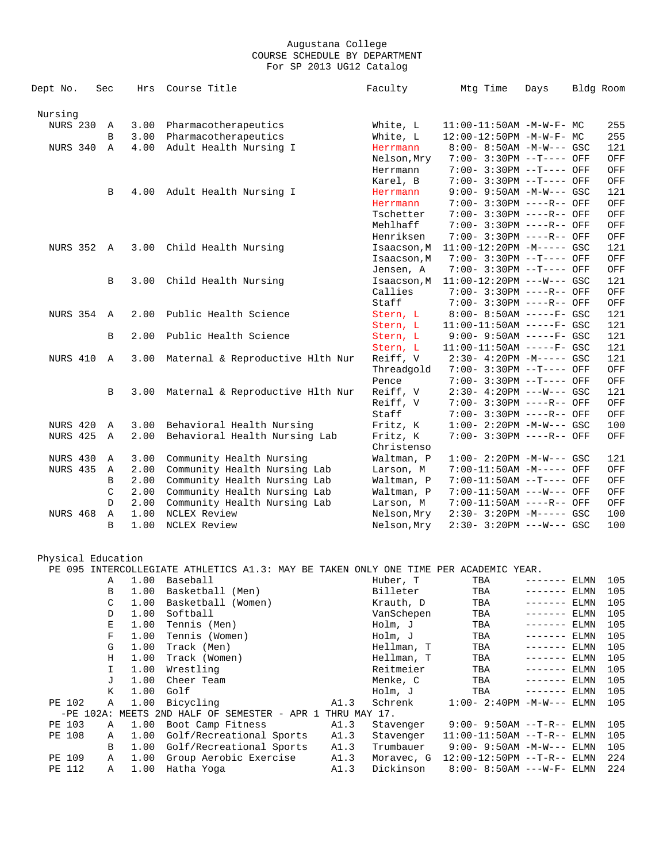| Dept No.        | Sec           | Hrs  | Course Title                                               | Faculty                  | Mtg Time                                                | Days | Bldg Room  |
|-----------------|---------------|------|------------------------------------------------------------|--------------------------|---------------------------------------------------------|------|------------|
| Nursing         |               |      |                                                            |                          |                                                         |      |            |
| <b>NURS 230</b> | Α             | 3.00 | Pharmacotherapeutics                                       | White, L                 | 11:00-11:50AM -M-W-F- MC                                |      | 255        |
|                 | B             | 3.00 | Pharmacotherapeutics                                       | White, L                 | 12:00-12:50PM -M-W-F- MC                                |      | 255        |
| NURS 340        | $\mathbb{A}$  | 4.00 | Adult Health Nursing I                                     | Herrmann                 | $8:00 - 8:50AM - M-W--- GSC$                            |      | 121        |
|                 |               |      |                                                            | Nelson, Mry              | 7:00- 3:30PM --T---- OFF                                |      | OFF        |
|                 |               |      |                                                            | Herrmann                 | 7:00- 3:30PM --T---- OFF                                |      | OFF        |
|                 |               |      |                                                            | Karel, B                 | 7:00- 3:30PM --T---- OFF                                |      | OFF        |
|                 | B             | 4.00 | Adult Health Nursing I                                     | Herrmann                 | $9:00 - 9:50AM - M-W--- GSC$                            |      | 121        |
|                 |               |      |                                                            | Herrmann                 | $7:00 - 3:30PM$ ----R-- OFF                             |      | OFF        |
|                 |               |      |                                                            | Tschetter                | 7:00- 3:30PM ----R-- OFF                                |      | OFF        |
|                 |               |      |                                                            | Mehlhaff                 | 7:00- 3:30PM ----R-- OFF                                |      | OFF        |
|                 |               |      |                                                            | Henriksen                | 7:00- 3:30PM ----R-- OFF                                |      | OFF        |
| NURS 352 A      |               | 3.00 | Child Health Nursing                                       | Isaacson, M              | 11:00-12:20PM -M----- GSC                               |      | 121        |
|                 |               |      |                                                            | Isaacson, M              | 7:00- 3:30PM --T---- OFF                                |      | OFF        |
|                 |               |      |                                                            | Jensen, A                | 7:00- 3:30PM --T---- OFF                                |      | OFF        |
|                 | B             | 3.00 | Child Health Nursing                                       | Isaacson, M              | $11:00-12:20PM$ ---W--- GSC                             |      | 121        |
|                 |               |      |                                                            | Callies                  | 7:00- 3:30PM ----R-- OFF                                |      | OFF        |
|                 |               |      |                                                            | Staff                    | 7:00- 3:30PM ----R-- OFF                                |      | OFF        |
| NURS 354        | $\mathbb{A}$  | 2.00 | Public Health Science                                      | Stern, L                 | $8:00 - 8:50AM$ -----F- GSC                             |      | 121        |
|                 |               |      |                                                            | Stern, L                 | $11:00-11:50AM$ -----F- GSC                             |      | 121        |
|                 | B             | 2.00 | Public Health Science                                      | Stern, L                 | $9:00 - 9:50AM$ -----F- GSC                             |      | 121        |
|                 |               |      |                                                            | Stern, L                 | $11:00-11:50AM$ -----F- GSC                             |      | 121        |
| NURS 410        | A             | 3.00 | Maternal & Reproductive Hlth Nur                           | Reiff, V                 | $2:30-4:20PM -M---GSC$                                  |      | 121        |
|                 |               |      |                                                            | Threadgold               | $7:00 - 3:30PM -T---$ OFF                               |      | OFF        |
|                 |               |      |                                                            | Pence                    | $7:00 - 3:30PM -T---$ OFF                               |      | OFF        |
|                 | B             | 3.00 | Maternal & Reproductive Hlth Nur                           | Reiff, V                 | $2:30-4:20PM$ ---W--- GSC                               |      | 121        |
|                 |               |      |                                                            | Reiff, V                 | 7:00- 3:30PM ----R-- OFF                                |      | OFF        |
| NURS 420        |               | 3.00 |                                                            | Staff                    | 7:00- 3:30PM ----R-- OFF<br>$1:00 - 2:20PM -M-W--- GSC$ |      | OFF<br>100 |
| <b>NURS 425</b> | Α             |      | Behavioral Health Nursing<br>Behavioral Health Nursing Lab | Fritz, K                 | 7:00- 3:30PM ----R-- OFF                                |      |            |
|                 | Α             | 2.00 |                                                            | Fritz, K                 |                                                         |      | OFF        |
| NURS 430        | $\mathbb A$   | 3.00 | Community Health Nursing                                   | Christenso<br>Waltman, P | $1:00 - 2:20PM -M-W--- GSC$                             |      | 121        |
| <b>NURS 435</b> | Α             | 2.00 | Community Health Nursing Lab                               | Larson, M                | 7:00-11:50AM -M----- OFF                                |      | OFF        |
|                 | B             | 2.00 | Community Health Nursing Lab                               | Waltman, P               | 7:00-11:50AM --T---- OFF                                |      | OFF        |
|                 | $\mathcal{C}$ | 2.00 | Community Health Nursing Lab                               | Waltman, P               | 7:00-11:50AM ---W--- OFF                                |      | OFF        |
|                 | D             | 2.00 | Community Health Nursing Lab                               | Larson, M                | 7:00-11:50AM ----R-- OFF                                |      | OFF        |
| <b>NURS 468</b> | Α             | 1.00 | NCLEX Review                                               | Nelson, Mry              | 2:30- 3:20PM -M----- GSC                                |      | 100        |
|                 | B             | 1.00 | NCLEX Review                                               | Nelson, Mry              | $2:30 - 3:20PM$ ---W--- GSC                             |      | 100        |
|                 |               |      |                                                            |                          |                                                         |      |            |

 Physical Education PE 095 INTERCOLLEGIATE ATHLETICS A1.3: MAY BE TAKEN ONLY ONE TIME PER ACADEMIC YEAR.<br>
A 1.00 Baseball (Men) Huber, T TBA ---<br>
B 1.00 Basketball (Men) Billeter TBA ---<br>
C 1.00 Basketball (Women) Krauth, D TBA ---A 1.00 Baseball (Men) Huber, T TBA -------- ELMN 105<br>
B 1.00 Basketball (Men) Billeter TBA -------- ELMN 105<br>
C 1.00 Basketball (Women) Krauth, D TBA -------- ELMN 105 B 1.00 Basketball (Men) Billeter TBA ------- ELMN 105 C 1.00 Basketball (Women) Krauth, D TBA ------- ELMN 105 D 1.00 Softball VanSchepen TBA ------- ELMN 105 E 1.00 Tennis (Men) Holm, J TBA ------- ELMN 105 F 1.00 Tennis (Women) Holm, J TBA ------- ELMN 105 G 1.00 Track (Men) Hellman, T TBA ------- ELMN 105 H 1.00 Track (Women) Hellman, T TBA ------- ELMN 105 I 1.00 Wrestling Reitmeier TBA ------- ELMN 105 J 1.00 Cheer Team Menke, C TBA ------- ELMN 105 K 1.00 Golf Holm, J TBA ------- ELMN 105 PE 102 A 1.00 Bicycling A1.3 Schrenk 1:00- 2:40PM -M-W--- ELMN 105 -PE 102A: MEETS 2ND HALF OF SEMESTER - APR 1 THRU MAY 17. PE 103 A 1.00 Boot Camp Fitness A1.3 Stavenger 9:00-9:50AM --T-R-- ELMN 105<br>PE 108 A 1.00 Golf/Recreational Sports A1.3 Stavenger 11:00-11:50AM --T-R-- ELMN 105 PE 1.00 Golf/Recreational Sports A1.3<br>
B 1.00 Golf/Recreational Sports A1.3<br>
A 1.00 Group Aerobic Exercise A1.3<br>
A 1.00 Hatha Yoga A1.3 B 1.00 Golf/Recreational Sports A1.3 Trumbauer 9:00- 9:50AM -M-W--- ELMN 105 PE 109 A 1.00 Group Aerobic Exercise A1.3 Moravec, G 12:00-12:50PM --T-R-- ELMN 224 PE 112 A 1.00 Hatha Yoga A1.3 Dickinson 8:00- 8:50AM ---W-F- ELMN 224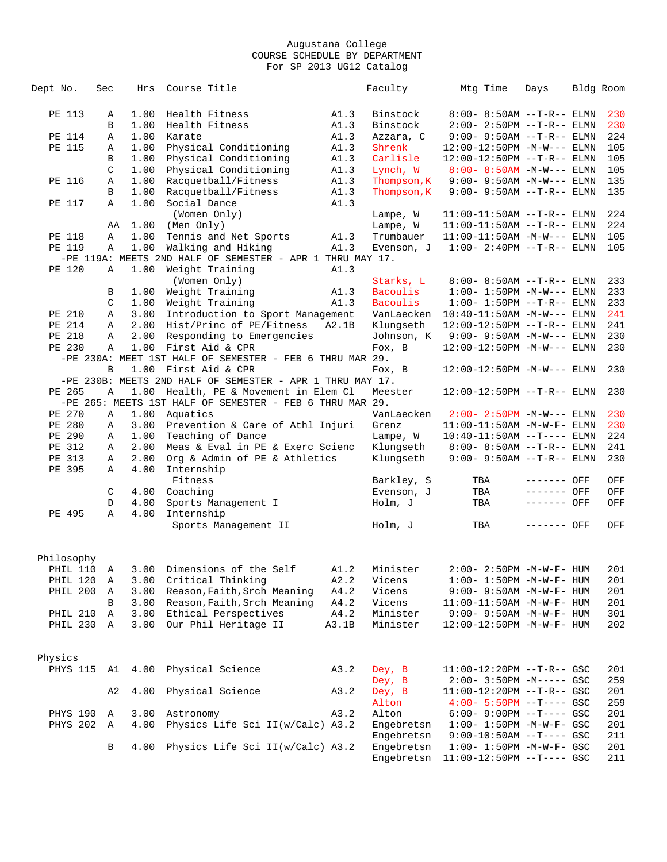| Dept No.   | Sec | Hrs  | Course Title                                              |       | Faculty       | Mtg Time                          | Days         | Bldg Room |
|------------|-----|------|-----------------------------------------------------------|-------|---------------|-----------------------------------|--------------|-----------|
|            |     |      |                                                           |       |               |                                   |              |           |
| PE 113     | Α   | 1.00 | Health Fitness                                            | A1.3  | Binstock      | $8:00 - 8:50AM$ --T-R-- ELMN      |              | 230       |
|            | B   | 1.00 | Health Fitness                                            | A1.3  | Binstock      | $2:00 - 2:50PM -T-R-- ELMN$       |              | 230       |
| PE 114     | Α   | 1.00 | Karate                                                    | A1.3  | Azzara, C     | $9:00 - 9:50AM -T-R--ELMN$        |              | 224       |
| PE 115     |     | 1.00 | Physical Conditioning                                     | A1.3  | Shrenk        | 12:00-12:50PM -M-W--- ELMN        |              | 105       |
|            | Α   |      |                                                           |       |               |                                   |              |           |
|            | B   | 1.00 | Physical Conditioning                                     | A1.3  | Carlisle      | 12:00-12:50PM --T-R-- ELMN        |              | 105       |
|            | C   | 1.00 | Physical Conditioning                                     | A1.3  | Lynch, W      | $8:00 - 8:50AM$ -M-W--- ELMN      |              | 105       |
| PE 116     | Α   | 1.00 | Racquetball/Fitness                                       | A1.3  | Thompson, K   | $9:00 - 9:50AM -M-W---$ ELMN      |              | 135       |
|            | В   | 1.00 | Racquetball/Fitness                                       | A1.3  | Thompson, K   | $9:00 - 9:50AM -T-R--ELMN$        |              | 135       |
| PE 117     | Α   | 1.00 | Social Dance                                              | A1.3  |               |                                   |              |           |
|            |     |      | (Women Only)                                              |       | Lampe, W      | $11:00-11:50AM$ --T-R-- ELMN      |              | 224       |
|            | AA  | 1.00 | (Men Only)                                                |       | Lampe, W      | $11:00-11:50AM$ --T-R-- ELMN      |              | 224       |
| PE 118     | Α   | 1.00 | Tennis and Net Sports                                     | A1.3  | Trumbauer     | $11:00-11:50AM - M-W---$ ELMN     |              | 105       |
| PE 119     | Α   | 1.00 | Walking and Hiking                                        | A1.3  | Evenson, J    | $1:00 - 2:40PM -T-R-- ELMN$       |              | 105       |
|            |     |      | -PE 119A: MEETS 2ND HALF OF SEMESTER - APR 1 THRU MAY 17. |       |               |                                   |              |           |
| PE 120     | Α   | 1.00 | Weight Training                                           | A1.3  |               |                                   |              |           |
|            |     |      | (Women Only)                                              |       | Starks, L     | $8:00 - 8:50AM$ --T-R-- ELMN      |              | 233       |
|            | В   | 1.00 | Weight Training                                           | A1.3  | Bacoulis      | $1:00 - 1:50PM -M-W---$ ELMN      |              | 233       |
|            | C   |      | 1.00 Weight Training                                      | A1.3  | Bacoulis      | $1:00 - 1:50PM -T-R-- ELMN$       |              | 233       |
| PE 210     | Α   | 3.00 | Introduction to Sport Management                          |       | VanLaecken    | $10:40-11:50AM -M-W---$ ELMN      |              | 241       |
| PE 214     | Α   |      | 2.00 Hist/Princ of PE/Fitness                             | A2.1B | Klungseth     | 12:00-12:50PM --T-R-- ELMN        |              | 241       |
| PE 218     | Α   | 2.00 | Responding to Emergencies                                 |       | Johnson, K    | $9:00 - 9:50AM -M-W---$ ELMN      |              | 230       |
| PE 230     | Α   | 1.00 | First Aid & CPR                                           |       | Fox, B        | $12:00-12:50PM -M-W---$ ELMN      |              | 230       |
|            |     |      | -PE 230A: MEET 1ST HALF OF SEMESTER - FEB 6 THRU MAR 29.  |       |               |                                   |              |           |
|            | B   |      | 1.00 First Aid & CPR                                      |       |               |                                   |              |           |
|            |     |      |                                                           |       | Fox, B        | 12:00-12:50PM -M-W--- ELMN        |              | 230       |
|            |     |      | -PE 230B: MEETS 2ND HALF OF SEMESTER - APR 1 THRU MAY 17. |       |               |                                   |              |           |
| PE 265     | Α   | 1.00 | Health, PE & Movement in Elem Cl                          |       | Meester       | $12:00-12:50PM --T-R--ELMN$       |              | 230       |
|            |     |      | -PE 265: MEETS 1ST HALF OF SEMESTER - FEB 6 THRU MAR 29.  |       |               |                                   |              |           |
| PE 270     | Α   |      | 1.00 Aquatics                                             |       | VanLaecken    | $2:00 - 2:50PM -M-W---$ ELMN      |              | 230       |
| PE 280     | Α   | 3.00 | Prevention & Care of Athl Injuri                          |       | Grenz         | 11:00-11:50AM -M-W-F- ELMN        |              | 230       |
| PE 290     | Α   | 1.00 | Teaching of Dance                                         |       | Lampe, W      | $10:40-11:50AM$ --T---- ELMN      |              | 224       |
| PE 312     | Α   | 2.00 | Meas & Eval in PE & Exerc Scienc                          |       | Klungseth     | $8:00 - 8:50AM$ --T-R-- ELMN      |              | 241       |
| PE 313     | Α   | 2.00 | Org & Admin of PE & Athletics                             |       | Klungseth     | $9:00 - 9:50AM -T-R--ELMN$        |              | 230       |
| PE 395     | Α   | 4.00 | Internship                                                |       |               |                                   |              |           |
|            |     |      | Fitness                                                   |       | Barkley, S    | TBA                               | ------- OFF  | OFF       |
|            | C   |      | 4.00 Coaching                                             |       | Evenson, J    | TBA                               | $-----$ OFF  | OFF       |
|            | D   | 4.00 | Sports Management I                                       |       | Holm, J       | TBA                               | $------$ OFF | OFF       |
| PE 495     | Α   | 4.00 | Internship                                                |       |               |                                   |              |           |
|            |     |      | Sports Management II                                      |       | Holm, J       | TBA                               | ------- OFF  | OFF       |
|            |     |      |                                                           |       |               |                                   |              |           |
|            |     |      |                                                           |       |               |                                   |              |           |
| Philosophy |     |      |                                                           |       |               |                                   |              |           |
|            |     |      | PHIL 110 A 3.00 Dimensions of the Self                    |       | A1.2 Minister | $2:00-2:50PM -M-W-F-HUM$          |              | 201       |
| PHIL 120 A |     | 3.00 | Critical Thinking                                         | A2.2  | Vicens        | $1:00 - 1:50PM -M-W-F - HUM$      |              | 201       |
| PHIL 200 A |     |      | 3.00 Reason, Faith, Srch Meaning                          | A4.2  | Vicens        | $9:00 - 9:50AM - M - W - F - HUM$ |              | 201       |
|            | B   |      | 3.00 Reason, Faith, Srch Meaning                          | A4.2  | Vicens        | 11:00-11:50AM -M-W-F- HUM         |              | 201       |
| PHIL 210 A |     |      | 3.00 Ethical Perspectives                                 | A4.2  | Minister      | $9:00 - 9:50AM - M - W - F - HUM$ |              | 301       |
| PHIL 230 A |     |      | 3.00 Our Phil Heritage II                                 | A3.1B | Minister      | 12:00-12:50PM -M-W-F- HUM         |              | 202       |
|            |     |      |                                                           |       |               |                                   |              |           |
|            |     |      |                                                           |       |               |                                   |              |           |
|            |     |      |                                                           |       |               |                                   |              |           |
| Physics    |     |      |                                                           |       |               |                                   |              |           |
|            |     |      | PHYS 115 A1 4.00 Physical Science                         | A3.2  | Dey, B        | 11:00-12:20PM --T-R-- GSC         |              | 201       |
|            |     |      |                                                           |       | Dey, B        | $2:00-3:50PM -M---GSC$            |              | 259       |
|            | A2  | 4.00 | Physical Science                                          | A3.2  | Dey, B        | $11:00-12:20PM$ --T-R-- GSC       |              | 201       |
|            |     |      |                                                           |       | Alton         | $4:00 - 5:50PM -T--- GSC$         |              | 259       |
| PHYS 190 A |     |      | 3.00 Astronomy                                            | A3.2  | Alton         | $6:00 - 9:00PM -T--- GSC$         |              | 201       |
| PHYS 202 A |     | 4.00 | Physics Life Sci II(w/Calc) A3.2                          |       | Engebretsn    | $1:00 - 1:50PM - M - W - F - GSC$ |              | 201       |
|            |     |      |                                                           |       | Engebretsn    | $9:00-10:50AM$ --T---- GSC        |              | 211       |
|            | B   | 4.00 | Physics Life Sci II(w/Calc) A3.2                          |       | Engebretsn    | $1:00 - 1:50PM -M-W-F - GSC$      |              | 201       |
|            |     |      |                                                           |       | Engebretsn    | $11:00-12:50PM$ --T---- GSC       |              | 211       |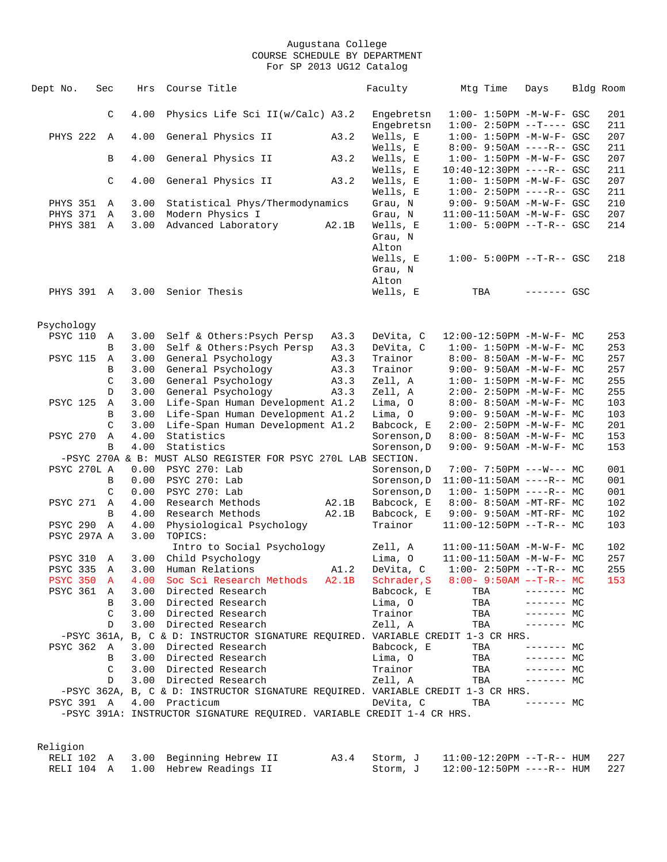| Dept No.                    | Sec               | Hrs          | Course Title                                                                        |               | Faculty                  | Mtg Time | Days                                                                 | Bldg Room |            |
|-----------------------------|-------------------|--------------|-------------------------------------------------------------------------------------|---------------|--------------------------|----------|----------------------------------------------------------------------|-----------|------------|
|                             | C                 | 4.00         | Physics Life Sci II(w/Calc) A3.2                                                    |               | Engebretsn               |          | $1:00-1:50PM -M-W-F-GSC$                                             |           | 201        |
|                             |                   |              |                                                                                     |               | Engebretsn               |          | $1:00 - 2:50PM -T---$ GSC                                            |           | 211        |
| PHYS 222                    | $\mathbb{A}$      | 4.00         | General Physics II                                                                  | A3.2          | Wells, E                 |          | $1:00 - 1:50PM - M - W - F - GSC$                                    |           | 207        |
|                             |                   |              |                                                                                     |               | Wells, E                 |          | $8:00 - 9:50AM$ ----R-- GSC                                          |           | 211        |
|                             | B                 | 4.00         | General Physics II                                                                  | A3.2          | Wells, E                 |          | $1:00 - 1:50PM - M - W - F - GSC$                                    |           | 207        |
|                             |                   |              |                                                                                     |               | Wells, E                 |          | $10:40-12:30PM$ ----R-- GSC                                          |           | 211        |
|                             | C                 | 4.00         | General Physics II                                                                  | A3.2          | Wells, E                 |          | $1:00 - 1:50PM - M - W - F - GSC$                                    |           | 207        |
| <b>PHYS 351</b>             | A                 | 3.00         | Statistical Phys/Thermodynamics                                                     |               | Wells, E<br>Grau, N      |          | $1:00-2:50PM$ ----R-- GSC<br>9:00- 9:50AM -M-W-F- GSC                |           | 211<br>210 |
| PHYS 371                    | A                 | 3.00         | Modern Physics I                                                                    |               | Grau, N                  |          | 11:00-11:50AM -M-W-F- GSC                                            |           | 207        |
| PHYS 381 A                  |                   | 3.00         | Advanced Laboratory                                                                 | A2.1B         | Wells, E                 |          | $1:00 - 5:00PM -T-R--GSC$                                            |           | 214        |
|                             |                   |              |                                                                                     |               | Grau, N<br>Alton         |          |                                                                      |           |            |
|                             |                   |              |                                                                                     |               | Wells, E                 |          | $1:00 - 5:00PM -T-R--$ GSC                                           |           | 218        |
|                             |                   |              |                                                                                     |               | Grau, N                  |          |                                                                      |           |            |
|                             |                   |              |                                                                                     |               | Alton                    |          |                                                                      |           |            |
| PHYS 391 A                  |                   | 3.00         | Senior Thesis                                                                       |               | Wells, E                 | TBA      | $------$ GSC                                                         |           |            |
|                             |                   |              |                                                                                     |               |                          |          |                                                                      |           |            |
| Psychology                  |                   |              |                                                                                     |               |                          |          |                                                                      |           |            |
| <b>PSYC 110</b>             | A                 | 3.00         | Self & Others: Psych Persp                                                          | A3.3          | DeVita, C                |          | 12:00-12:50PM -M-W-F- MC                                             |           | 253        |
|                             | B                 | 3.00         | Self & Others: Psych Persp                                                          | A3.3          | DeVita, C                |          | $1:00 - 1:50PM -M-W-F - MC$                                          |           | 253        |
| <b>PSYC 115</b>             | A                 | 3.00         | General Psychology                                                                  | A3.3          | Trainor                  |          | $8:00 - 8:50AM - M - W - F - MC$                                     |           | 257        |
|                             | B                 | 3.00         | General Psychology                                                                  | A3.3          | Trainor                  |          | $9:00 - 9:50AM - M - W - F - MC$                                     |           | 257        |
|                             | $\mathcal{C}$     | 3.00         | General Psychology                                                                  | A3.3          | Zell, A                  |          | $1:00-1:50PM -M-W-F-MC$                                              |           | 255        |
| <b>PSYC 125</b>             | D                 | 3.00<br>3.00 | General Psychology                                                                  | A3.3          | Zell, A<br>Lima, O       |          | $2:00 - 2:50PM -M-W-F - MC$                                          |           | 255<br>103 |
|                             | Α<br>B            | 3.00         | Life-Span Human Development A1.2<br>Life-Span Human Development A1.2                |               | Lima, O                  |          | $8:00 - 8:50AM - M - W - F - MC$<br>$9:00 - 9:50AM - M - W - F - MC$ |           | 103        |
|                             | C                 | 3.00         | Life-Span Human Development A1.2                                                    |               | Babcock, E               |          | $2:00 - 2:50PM -M-W-F - MC$                                          |           | 201        |
| <b>PSYC 270</b>             | Α                 | 4.00         | Statistics                                                                          |               | Sorenson, D              |          | $8:00 - 8:50AM - M - W - F - MC$                                     |           | 153        |
|                             | B                 | 4.00         | Statistics                                                                          |               | Sorenson, D              |          | 9:00- 9:50AM -M-W-F- MC                                              |           | 153        |
|                             |                   |              | -PSYC 270A & B: MUST ALSO REGISTER FOR PSYC 270L LAB SECTION.                       |               |                          |          |                                                                      |           |            |
| PSYC 270L A                 |                   | 0.00         | PSYC 270: Lab                                                                       |               | Sorenson, D              |          | $7:00 - 7:50PM$ ---W--- MC                                           |           | 001        |
|                             | B                 | 0.00         | PSYC 270: Lab                                                                       |               | Sorenson, D              |          | $11:00-11:50AM$ ----R-- MC                                           |           | 001        |
|                             | C                 | 0.00         | PSYC 270: Lab                                                                       |               | Sorenson, D              |          | $1:00-1:50PM$ ----R-- MC                                             |           | 001        |
| <b>PSYC 271</b>             | $\mathbb{A}$      | 4.00         | Research Methods                                                                    | A2.1B         | Babcock, E               |          | 8:00- 8:50AM -MT-RF- MC                                              |           | 102        |
|                             | B                 | 4.00         | Research Methods                                                                    | A2.1B         | Babcock, E               |          | 9:00- 9:50AM -MT-RF- MC                                              |           | 102        |
| <b>PSYC 290</b>             | Α                 | 4.00         | Physiological Psychology                                                            |               | Trainor                  |          | $11:00-12:50PM$ --T-R-- MC                                           |           | 103        |
| PSYC 297A A                 |                   | 3.00         | TOPICS:                                                                             |               |                          |          |                                                                      |           |            |
|                             |                   |              | Intro to Social Psychology                                                          |               | Zell, A                  |          | $11:00-11:50AM$ -M-W-F- MC                                           |           | 102        |
| <b>PSYC 310</b>             | $\mathbb{A}$      | 3.00         | Child Psychology                                                                    |               | Lima, O                  |          | $11:00-11:50AM$ -M-W-F- MC                                           |           | 257        |
| PSYC 335<br><b>PSYC 350</b> | Α                 | 3.00<br>4.00 | Human Relations<br>Soc Sci Research Methods                                         | A1.2<br>A2.1B | DeVita, C<br>Schrader, S |          | $1:00-2:50PM -T-R--MC$<br>$8:00 - 9:50AM -T-R-- MC$                  |           | 255<br>153 |
| <b>PSYC 361</b>             | $\mathbf{A}$<br>A |              | 3.00 Directed Research                                                              |               | Babcock, E               | TBA      | $------$ MC                                                          |           |            |
|                             | B                 | 3.00         | Directed Research                                                                   |               | Lima, O                  | TBA      | $------MC$                                                           |           |            |
|                             | C                 |              | 3.00 Directed Research                                                              |               | Trainor                  | TBA      | $------$ MC                                                          |           |            |
|                             | D                 | 3.00         | Directed Research                                                                   |               | Zell, A                  | TBA      | $------$ MC                                                          |           |            |
|                             |                   |              | -PSYC 361A, B, C & D: INSTRUCTOR SIGNATURE REQUIRED. VARIABLE CREDIT 1-3 CR HRS.    |               |                          |          |                                                                      |           |            |
| PSYC 362 A                  |                   |              | 3.00 Directed Research                                                              |               | Babcock, E               | TBA      | ------- MC                                                           |           |            |
|                             | B                 |              | 3.00 Directed Research                                                              |               | Lima, O                  | TBA      | $------$ MC                                                          |           |            |
|                             | C                 |              | 3.00 Directed Research                                                              |               | Trainor                  | TBA      | $------MC$                                                           |           |            |
|                             | D                 | 3.00         | Directed Research                                                                   |               | Zell, A                  | TBA      | $------MC$                                                           |           |            |
|                             |                   |              | $-$ PSYC 362A, B, C & D: INSTRUCTOR SIGNATURE REQUIRED. VARIABLE CREDIT 1-3 CR HRS. |               |                          |          |                                                                      |           |            |
| PSYC 391 A                  |                   |              | 4.00 Practicum                                                                      |               | DeVita, C                | TBA      | $------$ MC                                                          |           |            |
|                             |                   |              | -PSYC 391A: INSTRUCTOR SIGNATURE REQUIRED. VARIABLE CREDIT 1-4 CR HRS.              |               |                          |          |                                                                      |           |            |
|                             |                   |              |                                                                                     |               |                          |          |                                                                      |           |            |
| Religion                    |                   |              |                                                                                     |               |                          |          |                                                                      |           |            |

|  | RELI 102 A 3.00 Beginning Hebrew II |  | A3.4 Storm, J 11:00-12:20PM --T-R-- HUM 227 |  |
|--|-------------------------------------|--|---------------------------------------------|--|
|  | RELI 104 A 1.00 Hebrew Readings II  |  | Storm, J 12:00-12:50PM ----R-- HUM 227      |  |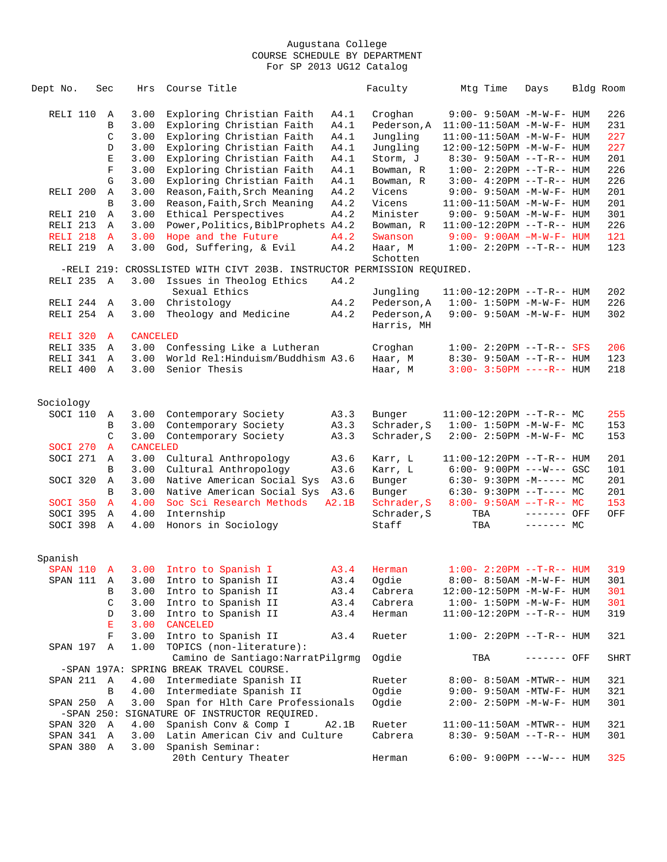| Dept No.   | Sec |              | Hrs             | Course Title                                                           |       | Faculty     | Mtg Time                          | Days        | Bldg Room |
|------------|-----|--------------|-----------------|------------------------------------------------------------------------|-------|-------------|-----------------------------------|-------------|-----------|
|            |     |              |                 |                                                                        |       |             |                                   |             |           |
| RELI 110   |     | A            | 3.00            | Exploring Christian Faith                                              | A4.1  | Croghan     | 9:00- 9:50AM -M-W-F- HUM          |             | 226       |
|            |     | В            | 3.00            | Exploring Christian Faith                                              | A4.1  | Pederson, A | 11:00-11:50AM -M-W-F- HUM         |             | 231       |
|            |     | C            | 3.00            | Exploring Christian Faith                                              | A4.1  | Jungling    | 11:00-11:50AM -M-W-F- HUM         |             | 227       |
|            |     | D            | 3.00            | Exploring Christian Faith                                              | A4.1  | Jungling    | 12:00-12:50PM -M-W-F- HUM         |             | 227       |
|            |     | Ε            | 3.00            | Exploring Christian Faith                                              | A4.1  | Storm, J    | $8:30 - 9:50AM -T-R - HUM$        |             | 201       |
|            |     | $\mathbf F$  | 3.00            | Exploring Christian Faith                                              | A4.1  | Bowman, R   | $1:00-2:20PM -T-R--HUM$           |             | 226       |
|            |     | G            | 3.00            | Exploring Christian Faith                                              | A4.1  | Bowman, R   | $3:00 - 4:20PM -T-R-- HUM$        |             | 226       |
| RELI 200   |     | A            | 3.00            | Reason, Faith, Srch Meaning                                            | A4.2  | Vicens      | $9:00 - 9:50AM - M - W - F - HUM$ |             | 201       |
|            |     | B            | 3.00            | Reason, Faith, Srch Meaning                                            | A4.2  | Vicens      | $11:00-11:50AM$ $-M-W-F-$ HUM     |             | 201       |
| RELI 210   |     | A            | 3.00            | Ethical Perspectives                                                   | A4.2  | Minister    | $9:00 - 9:50AM - M - W - F - HUM$ |             | 301       |
| RELI 213   |     | A            | 3.00            | Power, Politics, BiblProphets A4.2                                     |       | Bowman, R   | $11:00-12:20PM$ --T-R-- HUM       |             | 226       |
| RELI 218   |     | $\mathbf{A}$ | 3.00            | Hope and the Future                                                    | A4.2  | Swanson     | $9:00 - 9:00$ AM $-M-W-F-$ HUM    |             | 121       |
| RELI 219 A |     |              | 3.00            | God, Suffering, & Evil                                                 | A4.2  | Haar, M     | $1:00 - 2:20PM -T-R--HUM$         |             | 123       |
|            |     |              |                 |                                                                        |       | Schotten    |                                   |             |           |
|            |     |              |                 | -RELI 219: CROSSLISTED WITH CIVT 203B. INSTRUCTOR PERMISSION REQUIRED. |       |             |                                   |             |           |
| RELI 235 A |     |              | 3.00            | Issues in Theolog Ethics                                               | A4.2  |             |                                   |             |           |
|            |     |              |                 | Sexual Ethics                                                          |       | Jungling    | $11:00-12:20PM -T-R--HUM$         |             | 202       |
| RELI 244 A |     |              | 3.00            | Christology                                                            | A4.2  | Pederson, A | $1:00 - 1:50PM -M-W-F - HUM$      |             | 226       |
| RELI 254 A |     |              | 3.00            | Theology and Medicine                                                  | A4.2  | Pederson, A | $9:00 - 9:50AM - M - W - F - HUM$ |             | 302       |
|            |     |              |                 |                                                                        |       | Harris, MH  |                                   |             |           |
| RELI 320   |     | A            | <b>CANCELED</b> |                                                                        |       |             |                                   |             |           |
| RELI 335 A |     |              | 3.00            | Confessing Like a Lutheran                                             |       | Croghan     | $1:00 - 2:20PM -T-R-- SFS$        |             | 206       |
| RELI 341   |     | A            | 3.00            | World Rel: Hinduism/Buddhism A3.6                                      |       | Haar, M     | $8:30 - 9:50AM -T-R-- HUM$        |             | 123       |
| RELI 400 A |     |              | 3.00            | Senior Thesis                                                          |       | Haar, M     | $3:00 - 3:50PM$ ----R-- HUM       |             | 218       |
|            |     |              |                 |                                                                        |       |             |                                   |             |           |
|            |     |              |                 |                                                                        |       |             |                                   |             |           |
| Sociology  |     |              |                 |                                                                        |       |             |                                   |             |           |
| SOCI 110   |     | A            | 3.00            | Contemporary Society                                                   | A3.3  | Bunger      | $11:00-12:20PM$ --T-R-- MC        |             | 255       |
|            |     | B            | 3.00            | Contemporary Society                                                   | A3.3  | Schrader, S | $1:00-1:50PM -M-W-F-MC$           |             | 153       |
|            |     | C            | 3.00            | Contemporary Society                                                   | A3.3  | Schrader, S | $2:00-2:50PM -M-W-F-MC$           |             | 153       |
| SOCI 270   |     | $\mathbf{A}$ | <b>CANCELED</b> |                                                                        |       |             |                                   |             |           |
| SOCI 271   |     | A            | 3.00            | Cultural Anthropology                                                  | A3.6  | Karr, L     | $11:00-12:20PM$ --T-R-- HUM       |             | 201       |
|            |     | В            | 3.00            | Cultural Anthropology                                                  | A3.6  | Karr, L     | $6:00 - 9:00PM$ ---W--- GSC       |             | 101       |
| SOCI 320   |     | A            | 3.00            | Native American Social Sys                                             | A3.6  | Bunger      | $6:30-9:30PM -M--- MC$            |             | 201       |
|            |     | B            | 3.00            | Native American Social Sys A3.6                                        |       | Bunger      | $6:30-9:30PM --T---MC$            |             | 201       |
| SOCI 350   |     | $\mathbf{A}$ | 4.00            | Soc Sci Research Methods                                               | A2.1B | Schrader, S | $8:00 - 9:50AM -T-R-- MC$         |             | 153       |
| SOCI 395 A |     |              | 4.00            | Internship                                                             |       | Schrader, S | TBA                               | $-----$ OFF | OFF       |
| SOCI 398 A |     |              | 4.00            | Honors in Sociology                                                    |       | Staff       | TBA                               | $------$ MC |           |
|            |     |              |                 |                                                                        |       |             |                                   |             |           |
| Spanish    |     |              |                 |                                                                        |       |             |                                   |             |           |
|            |     |              |                 | SPAN 110 A 3.00 Intro to Spanish I                                     |       | A3.4 Herman | $1:00-2:20PM -T-R--HUM$           |             | 319       |
| SPAN 111 A |     |              | 3.00            | Intro to Spanish II                                                    | A3.4  | Oqdie       | 8:00- 8:50AM -M-W-F- HUM          |             | 301       |
|            |     | В            |                 | 3.00 Intro to Spanish II                                               | A3.4  | Cabrera     | 12:00-12:50PM -M-W-F- HUM         |             | 301       |
|            |     | C            | 3.00            | Intro to Spanish II                                                    | A3.4  | Cabrera     | $1:00-1:50$ PM $-M-W-F-$ HUM      |             | 301       |
|            |     | D            | 3.00            | Intro to Spanish II                                                    | A3.4  | Herman      | 11:00-12:20PM --T-R-- HUM         |             | 319       |
|            |     | Е            | 3.00            | CANCELED                                                               |       |             |                                   |             |           |
|            |     | F            | 3.00            | Intro to Spanish II                                                    | A3.4  | Rueter      | $1:00 - 2:20PM -T-R--HUM$         |             | 321       |
| SPAN 197 A |     |              | 1.00            | TOPICS (non-literature):                                               |       |             |                                   |             |           |
|            |     |              |                 | Camino de Santiago: NarratPilgrmg                                      |       | Ogdie       | TBA                               | ------- OFF | SHRT      |
|            |     |              |                 | -SPAN 197A: SPRING BREAK TRAVEL COURSE.                                |       |             |                                   |             |           |
| SPAN 211 A |     |              |                 | 4.00 Intermediate Spanish II                                           |       | Rueter      | 8:00- 8:50AM -MTWR-- HUM          |             | 321       |
|            |     | В            |                 | 4.00 Intermediate Spanish II                                           |       | Oqdie       | 9:00- 9:50AM -MTW-F- HUM          |             | 321       |
| SPAN 250 A |     |              |                 | 3.00 Span for Hlth Care Professionals                                  |       | Ogdie       | $2:00 - 2:50PM -M-W-F - HUM$      |             | 301       |
|            |     |              |                 | -SPAN 250: SIGNATURE OF INSTRUCTOR REQUIRED.                           |       |             |                                   |             |           |
| SPAN 320 A |     |              | 4.00            | Spanish Conv & Comp I                                                  | A2.1B | Rueter      | 11:00-11:50AM -MTWR-- HUM         |             | 321       |
| SPAN 341 A |     |              | 3.00            | Latin American Civ and Culture                                         |       | Cabrera     | $8:30 - 9:50AM -T-R-- HUM$        |             | 301       |
| SPAN 380 A |     |              |                 | 3.00 Spanish Seminar:                                                  |       |             |                                   |             |           |
|            |     |              |                 | 20th Century Theater                                                   |       | Herman      | $6:00 - 9:00PM$ ---W--- HUM       |             | 325       |